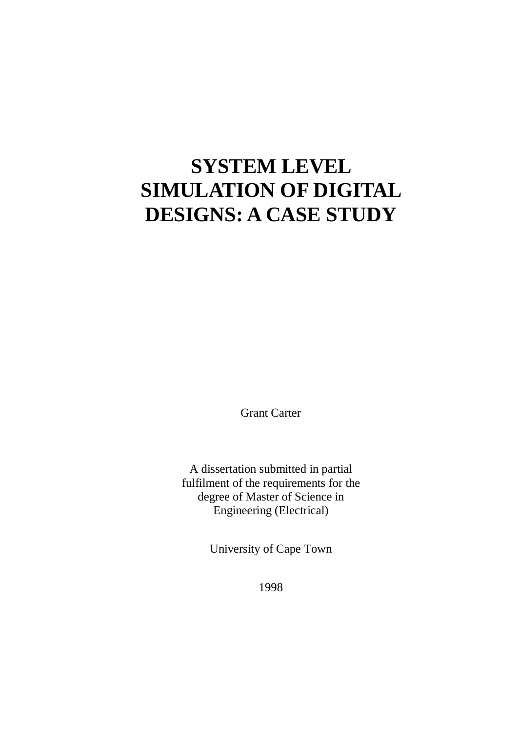# **SYSTEM LEVEL SIMULATION OF DIGITAL DESIGNS: A CASE STUDY**

Grant Carter

A dissertation submitted in partial fulfilment of the requirements for the degree of Master of Science in Engineering (Electrical)

University of Cape Town

1998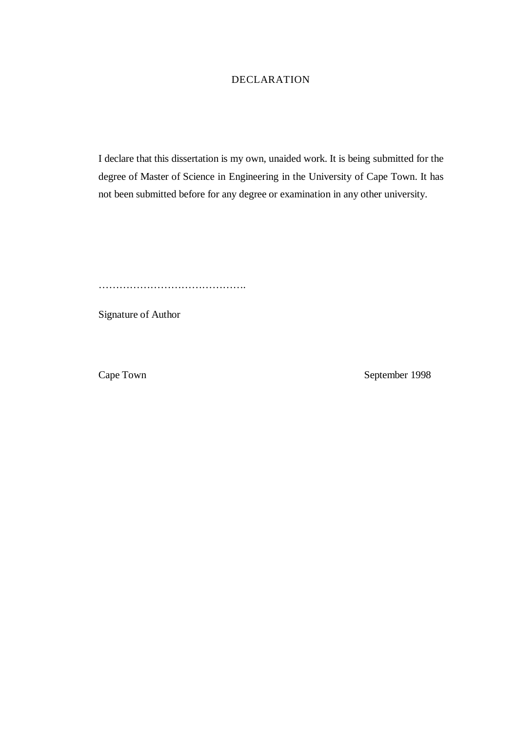#### DECLARATION

I declare that this dissertation is my own, unaided work. It is being submitted for the degree of Master of Science in Engineering in the University of Cape Town. It has not been submitted before for any degree or examination in any other university.

…………………………………….

Signature of Author

Cape Town September 1998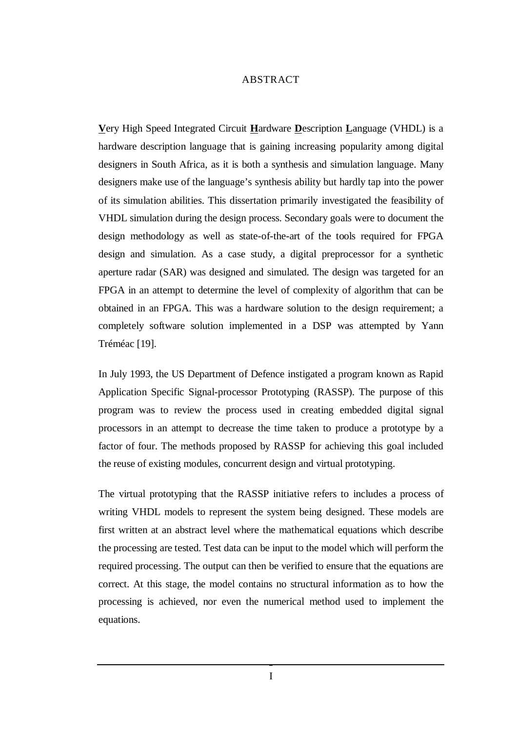#### ABSTRACT

**V**ery High Speed Integrated Circuit **H**ardware **D**escription **L**anguage (VHDL) is a hardware description language that is gaining increasing popularity among digital designers in South Africa, as it is both a synthesis and simulation language. Many designers make use of the language's synthesis ability but hardly tap into the power of its simulation abilities. This dissertation primarily investigated the feasibility of VHDL simulation during the design process. Secondary goals were to document the design methodology as well as state-of-the-art of the tools required for FPGA design and simulation. As a case study, a digital preprocessor for a synthetic aperture radar (SAR) was designed and simulated. The design was targeted for an FPGA in an attempt to determine the level of complexity of algorithm that can be obtained in an FPGA. This was a hardware solution to the design requirement; a completely software solution implemented in a DSP was attempted by Yann Tréméac [19].

In July 1993, the US Department of Defence instigated a program known as Rapid Application Specific Signal-processor Prototyping (RASSP). The purpose of this program was to review the process used in creating embedded digital signal processors in an attempt to decrease the time taken to produce a prototype by a factor of four. The methods proposed by RASSP for achieving this goal included the reuse of existing modules, concurrent design and virtual prototyping.

The virtual prototyping that the RASSP initiative refers to includes a process of writing VHDL models to represent the system being designed. These models are first written at an abstract level where the mathematical equations which describe the processing are tested. Test data can be input to the model which will perform the required processing. The output can then be verified to ensure that the equations are correct. At this stage, the model contains no structural information as to how the processing is achieved, nor even the numerical method used to implement the equations.

I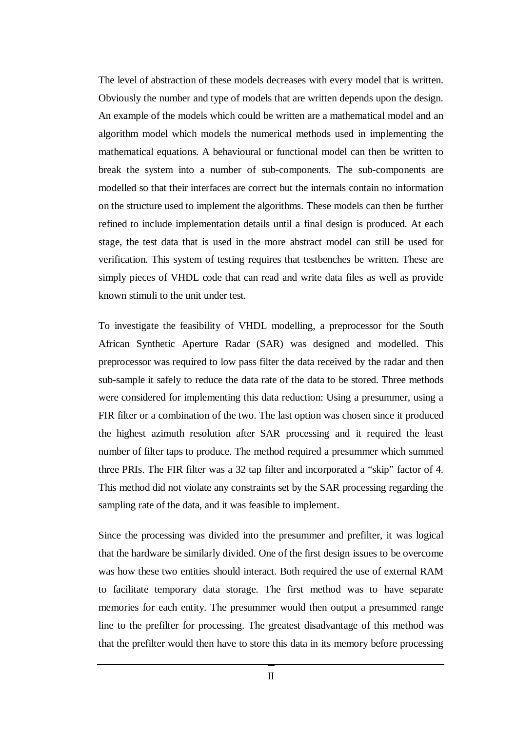The level of abstraction of these models decreases with every model that is written. Obviously the number and type of models that are written depends upon the design. An example of the models which could be written are a mathematical model and an algorithm model which models the numerical methods used in implementing the mathematical equations. A behavioural or functional model can then be written to break the system into a number of sub-components. The sub-components are modelled so that their interfaces are correct but the internals contain no information on the structure used to implement the algorithms. These models can then be further refined to include implementation details until a final design is produced. At each stage, the test data that is used in the more abstract model can still be used for verification. This system of testing requires that testbenches be written. These are simply pieces of VHDL code that can read and write data files as well as provide known stimuli to the unit under test.

To investigate the feasibility of VHDL modelling, a preprocessor for the South African Synthetic Aperture Radar (SAR) was designed and modelled. This preprocessor was required to low pass filter the data received by the radar and then sub-sample it safely to reduce the data rate of the data to be stored. Three methods were considered for implementing this data reduction: Using a presummer, using a FIR filter or a combination of the two. The last option was chosen since it produced the highest azimuth resolution after SAR processing and it required the least number of filter taps to produce. The method required a presummer which summed three PRIs. The FIR filter was a 32 tap filter and incorporated a "skip" factor of 4. This method did not violate any constraints set by the SAR processing regarding the sampling rate of the data, and it was feasible to implement.

Since the processing was divided into the presummer and prefilter, it was logical that the hardware be similarly divided. One of the first design issues to be overcome was how these two entities should interact. Both required the use of external RAM to facilitate temporary data storage. The first method was to have separate memories for each entity. The presummer would then output a presummed range line to the prefilter for processing. The greatest disadvantage of this method was that the prefilter would then have to store this data in its memory before processing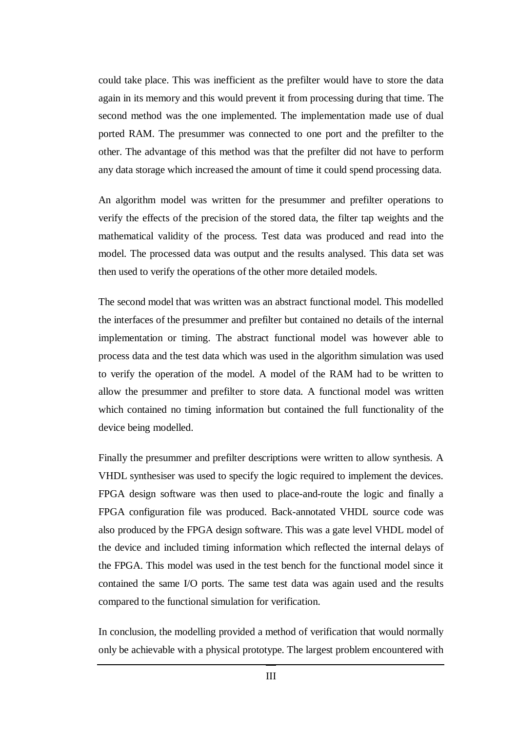could take place. This was inefficient as the prefilter would have to store the data again in its memory and this would prevent it from processing during that time. The second method was the one implemented. The implementation made use of dual ported RAM. The presummer was connected to one port and the prefilter to the other. The advantage of this method was that the prefilter did not have to perform any data storage which increased the amount of time it could spend processing data.

An algorithm model was written for the presummer and prefilter operations to verify the effects of the precision of the stored data, the filter tap weights and the mathematical validity of the process. Test data was produced and read into the model. The processed data was output and the results analysed. This data set was then used to verify the operations of the other more detailed models.

The second model that was written was an abstract functional model. This modelled the interfaces of the presummer and prefilter but contained no details of the internal implementation or timing. The abstract functional model was however able to process data and the test data which was used in the algorithm simulation was used to verify the operation of the model. A model of the RAM had to be written to allow the presummer and prefilter to store data. A functional model was written which contained no timing information but contained the full functionality of the device being modelled.

Finally the presummer and prefilter descriptions were written to allow synthesis. A VHDL synthesiser was used to specify the logic required to implement the devices. FPGA design software was then used to place-and-route the logic and finally a FPGA configuration file was produced. Back-annotated VHDL source code was also produced by the FPGA design software. This was a gate level VHDL model of the device and included timing information which reflected the internal delays of the FPGA. This model was used in the test bench for the functional model since it contained the same I/O ports. The same test data was again used and the results compared to the functional simulation for verification.

In conclusion, the modelling provided a method of verification that would normally only be achievable with a physical prototype. The largest problem encountered with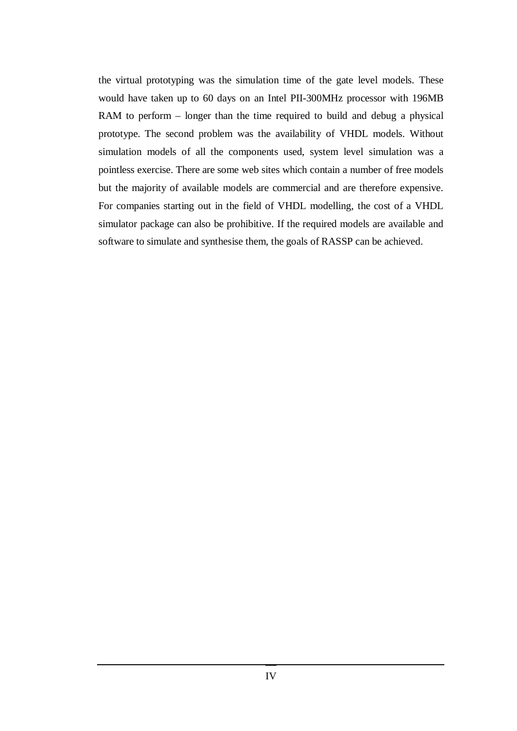the virtual prototyping was the simulation time of the gate level models. These would have taken up to 60 days on an Intel PII-300MHz processor with 196MB RAM to perform – longer than the time required to build and debug a physical prototype. The second problem was the availability of VHDL models. Without simulation models of all the components used, system level simulation was a pointless exercise. There are some web sites which contain a number of free models but the majority of available models are commercial and are therefore expensive. For companies starting out in the field of VHDL modelling, the cost of a VHDL simulator package can also be prohibitive. If the required models are available and software to simulate and synthesise them, the goals of RASSP can be achieved.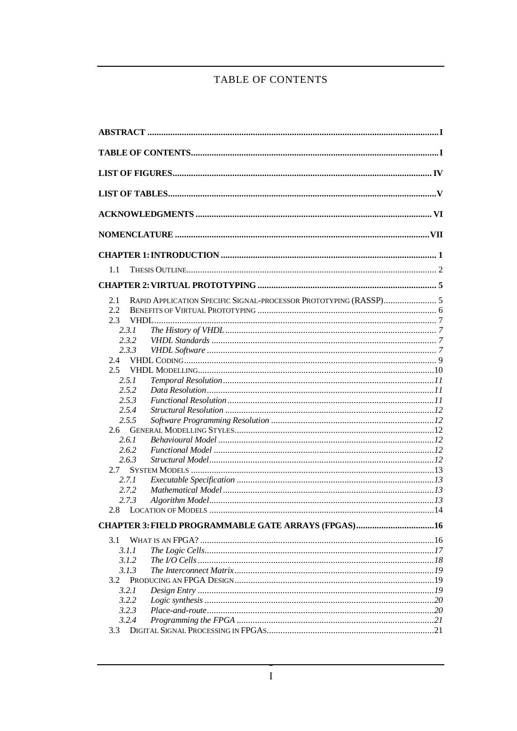### TABLE OF CONTENTS

| 1.1           |  |
|---------------|--|
|               |  |
| 2.1           |  |
| 2.2           |  |
| 2.3           |  |
| 2.3.1         |  |
| 2.3.2         |  |
| 2.3.3         |  |
| $2.4^{\circ}$ |  |
| $2.5^{\circ}$ |  |
| 2.5.1         |  |
| 2.5.2         |  |
| 2.5.3         |  |
| 2.5.4         |  |
| 2.5.5         |  |
| 2.6           |  |
| 2.6.1         |  |
| 2.6.2         |  |
| 2.6.3         |  |
| 2.7           |  |
| 2.7.1         |  |
| 2.7.2         |  |
| 2.7.3         |  |
|               |  |
|               |  |
| 3.1           |  |
| 3.1.1         |  |
| 3.1.2         |  |
| 3.1.3         |  |
| 3.2           |  |
| 3.2.1         |  |
| 3.2.2         |  |
| 3.2.3         |  |
| 3.2.4         |  |
| 3.3           |  |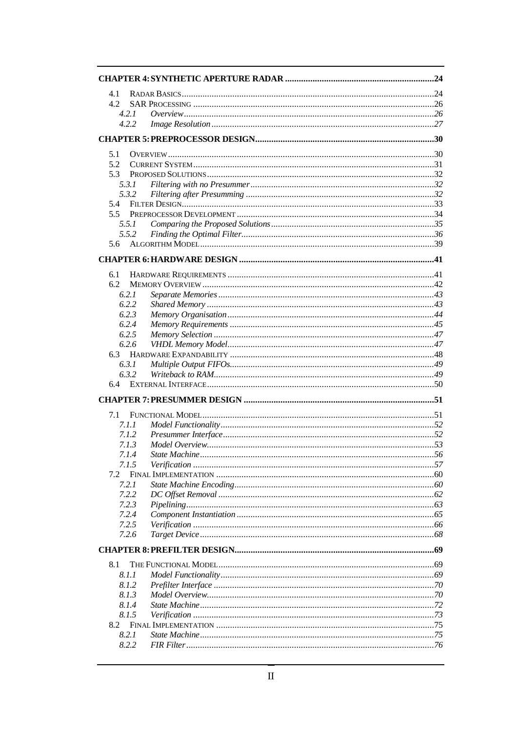| 4.1            |  |
|----------------|--|
| 4.2            |  |
| 4.2.1          |  |
| 4.2.2          |  |
|                |  |
| 5.1            |  |
| 5.2            |  |
| 5.3            |  |
| 5.3.1          |  |
| 5.3.2          |  |
| 5.4            |  |
| 5.5            |  |
| 5.5.1          |  |
| 5.5.2          |  |
| 5.6            |  |
|                |  |
| 6.1            |  |
| 6.2            |  |
| 6.2.1          |  |
| 6.2.2          |  |
| 6.2.3          |  |
| 6.2.4          |  |
| 6.2.5          |  |
| 6.2.6          |  |
| 6.3            |  |
| 6.3.1<br>6.3.2 |  |
| 6.4            |  |
|                |  |
| 7.1            |  |
| 7.1.1          |  |
| 7.1.2          |  |
| 7.1.3          |  |
| 7.1.4          |  |
| 7.1.5          |  |
| 7.2            |  |
| 7.2.1          |  |
| 7.2.2          |  |
| 7.2.3          |  |
| 7.2.4          |  |
| 7.2.5          |  |
| 7.2.6          |  |
|                |  |
| 8.1            |  |
| 8.1.1          |  |
| 8.1.2          |  |
| 8.1.3          |  |
| 8.1.4          |  |
| 8.1.5          |  |
| 8.2.1          |  |
| 8.2.2          |  |
|                |  |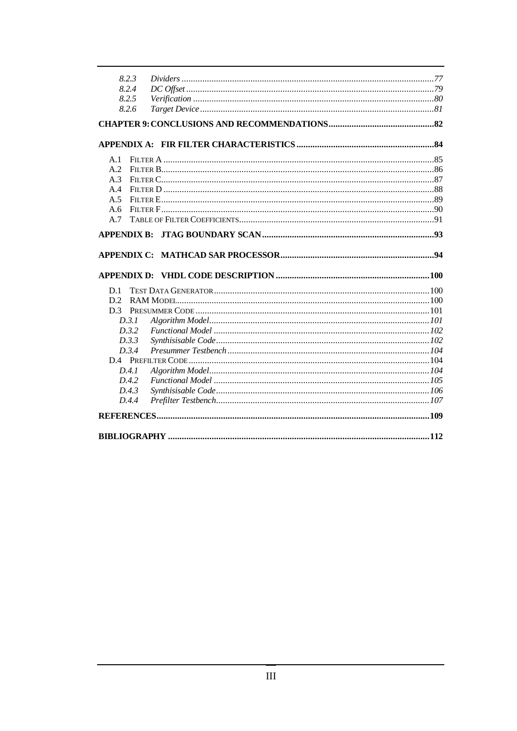| 8.2.3          |  |
|----------------|--|
| 8.2.4          |  |
| 8.2.5          |  |
| 8.2.6          |  |
|                |  |
|                |  |
| A.1            |  |
| A.2            |  |
| A.3            |  |
| A.4            |  |
| A.5            |  |
| A.6            |  |
| A.7            |  |
|                |  |
|                |  |
|                |  |
|                |  |
| D.1            |  |
| D.2            |  |
| D <sub>3</sub> |  |
| D.3.1          |  |
| D.3.2          |  |
| D.3.3<br>D.3.4 |  |
|                |  |
| D.4.1          |  |
| D.4.2          |  |
| D.4.3          |  |
| D.4.4          |  |
|                |  |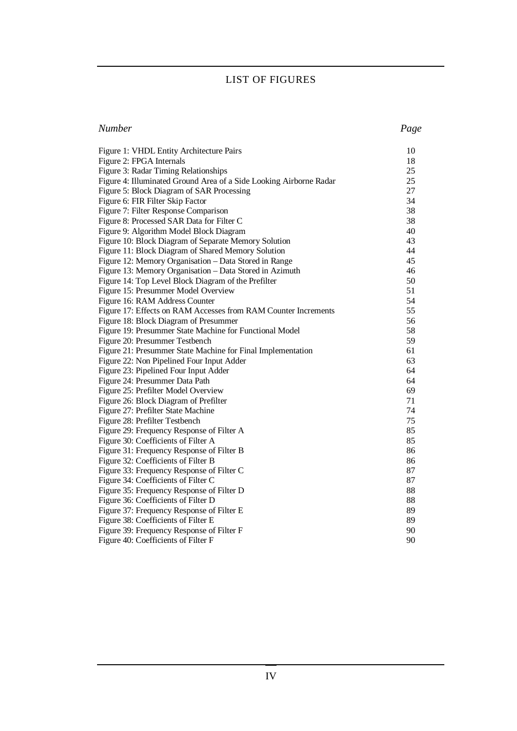#### LIST OF FIGURES

| <b>Number</b> | Page |
|---------------|------|
|               |      |

| Figure 1: VHDL Entity Architecture Pairs                           | 10 |
|--------------------------------------------------------------------|----|
| Figure 2: FPGA Internals                                           | 18 |
| Figure 3: Radar Timing Relationships                               | 25 |
| Figure 4: Illuminated Ground Area of a Side Looking Airborne Radar | 25 |
| Figure 5: Block Diagram of SAR Processing                          | 27 |
| Figure 6: FIR Filter Skip Factor                                   | 34 |
| Figure 7: Filter Response Comparison                               | 38 |
| Figure 8: Processed SAR Data for Filter C                          | 38 |
| Figure 9: Algorithm Model Block Diagram                            | 40 |
| Figure 10: Block Diagram of Separate Memory Solution               | 43 |
| Figure 11: Block Diagram of Shared Memory Solution                 | 44 |
| Figure 12: Memory Organisation - Data Stored in Range              | 45 |
| Figure 13: Memory Organisation - Data Stored in Azimuth            | 46 |
| Figure 14: Top Level Block Diagram of the Prefilter                | 50 |
| Figure 15: Presummer Model Overview                                | 51 |
| Figure 16: RAM Address Counter                                     | 54 |
| Figure 17: Effects on RAM Accesses from RAM Counter Increments     | 55 |
| Figure 18: Block Diagram of Presummer                              | 56 |
| Figure 19: Presummer State Machine for Functional Model            | 58 |
| Figure 20: Presummer Testbench                                     | 59 |
| Figure 21: Presummer State Machine for Final Implementation        | 61 |
| Figure 22: Non Pipelined Four Input Adder                          | 63 |
| Figure 23: Pipelined Four Input Adder                              | 64 |
| Figure 24: Presummer Data Path                                     | 64 |
| Figure 25: Prefilter Model Overview                                | 69 |
| Figure 26: Block Diagram of Prefilter                              | 71 |
| Figure 27: Prefilter State Machine                                 | 74 |
| Figure 28: Prefilter Testbench                                     | 75 |
| Figure 29: Frequency Response of Filter A                          | 85 |
| Figure 30: Coefficients of Filter A                                | 85 |
| Figure 31: Frequency Response of Filter B                          | 86 |
| Figure 32: Coefficients of Filter B                                | 86 |
| Figure 33: Frequency Response of Filter C                          | 87 |
| Figure 34: Coefficients of Filter C                                | 87 |
| Figure 35: Frequency Response of Filter D                          | 88 |
| Figure 36: Coefficients of Filter D                                | 88 |
| Figure 37: Frequency Response of Filter E                          | 89 |
| Figure 38: Coefficients of Filter E                                | 89 |
| Figure 39: Frequency Response of Filter F                          | 90 |
| Figure 40: Coefficients of Filter F                                | 90 |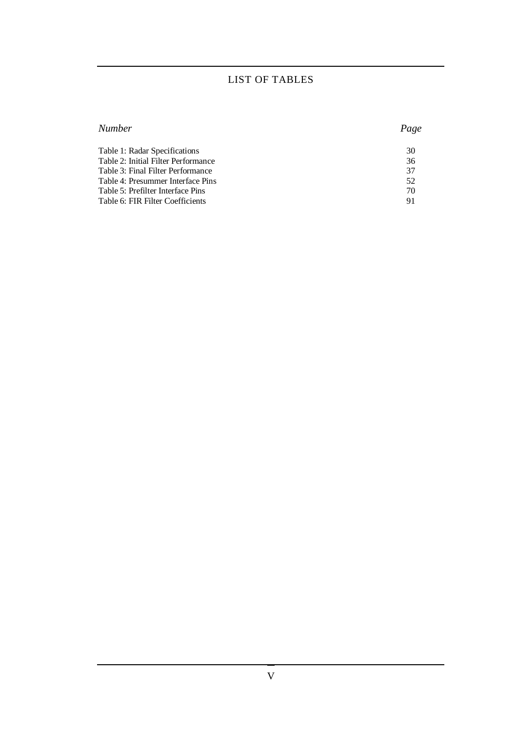### LIST OF TABLES

| Number                              | Page |
|-------------------------------------|------|
| Table 1: Radar Specifications       | 30   |
| Table 2: Initial Filter Performance | 36   |
| Table 3: Final Filter Performance   | 37   |
| Table 4: Presummer Interface Pins   | 52   |
| Table 5: Prefilter Interface Pins   | 70   |
| Table 6: FIR Filter Coefficients    | 91   |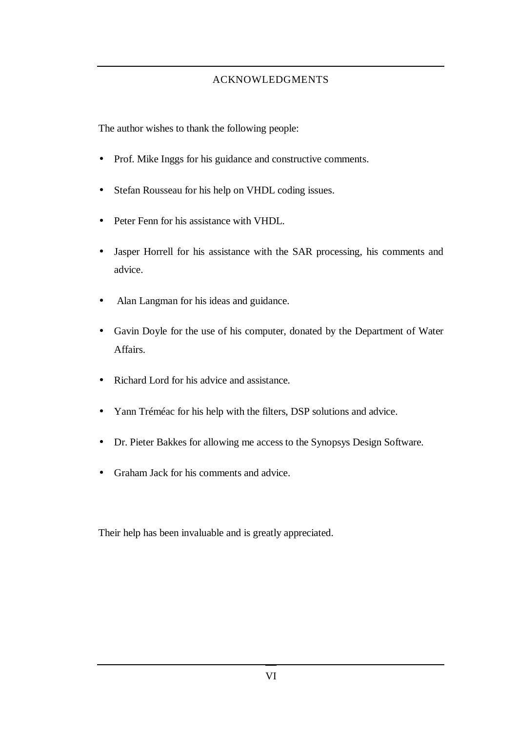#### ACKNOWLEDGMENTS

The author wishes to thank the following people:

- Prof. Mike Inggs for his guidance and constructive comments.
- Stefan Rousseau for his help on VHDL coding issues.
- Peter Fenn for his assistance with VHDL.
- Jasper Horrell for his assistance with the SAR processing, his comments and advice.
- Alan Langman for his ideas and guidance.
- Gavin Doyle for the use of his computer, donated by the Department of Water Affairs.
- Richard Lord for his advice and assistance.
- Yann Tréméac for his help with the filters, DSP solutions and advice.
- Dr. Pieter Bakkes for allowing me access to the Synopsys Design Software.
- Graham Jack for his comments and advice.

Their help has been invaluable and is greatly appreciated.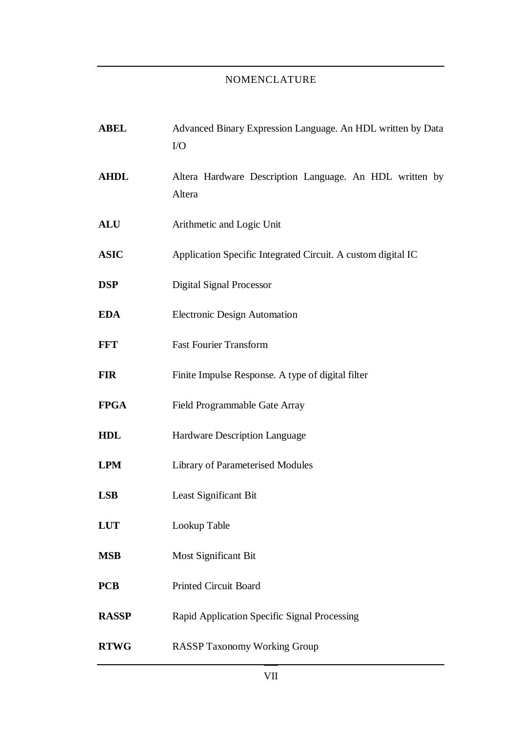### NOMENCLATURE

| <b>ABEL</b>  | Advanced Binary Expression Language. An HDL written by Data<br>I/O |
|--------------|--------------------------------------------------------------------|
| <b>AHDL</b>  | Altera Hardware Description Language. An HDL written by<br>Altera  |
| <b>ALU</b>   | Arithmetic and Logic Unit                                          |
| <b>ASIC</b>  | Application Specific Integrated Circuit. A custom digital IC       |
| <b>DSP</b>   | <b>Digital Signal Processor</b>                                    |
| <b>EDA</b>   | <b>Electronic Design Automation</b>                                |
| <b>FFT</b>   | <b>Fast Fourier Transform</b>                                      |
| <b>FIR</b>   | Finite Impulse Response. A type of digital filter                  |
| <b>FPGA</b>  | Field Programmable Gate Array                                      |
| <b>HDL</b>   | Hardware Description Language                                      |
| <b>LPM</b>   | <b>Library of Parameterised Modules</b>                            |
| <b>LSB</b>   | Least Significant Bit                                              |
| <b>LUT</b>   | Lookup Table                                                       |
| <b>MSB</b>   | <b>Most Significant Bit</b>                                        |
| <b>PCB</b>   | <b>Printed Circuit Board</b>                                       |
| <b>RASSP</b> | Rapid Application Specific Signal Processing                       |
| <b>RTWG</b>  | <b>RASSP Taxonomy Working Group</b>                                |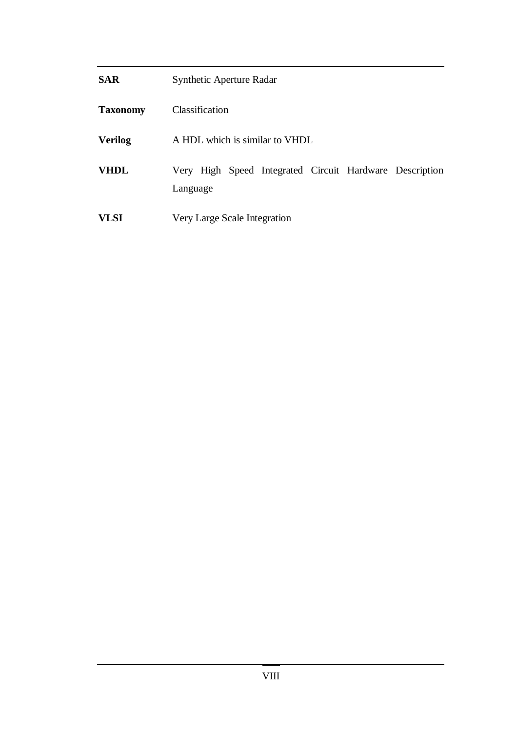| <b>SAR</b>      | Synthetic Aperture Radar                                            |
|-----------------|---------------------------------------------------------------------|
| <b>Taxonomy</b> | Classification                                                      |
| <b>Verilog</b>  | A HDL which is similar to VHDL                                      |
| <b>VHDL</b>     | Very High Speed Integrated Circuit Hardware Description<br>Language |
| <b>VLSI</b>     | Very Large Scale Integration                                        |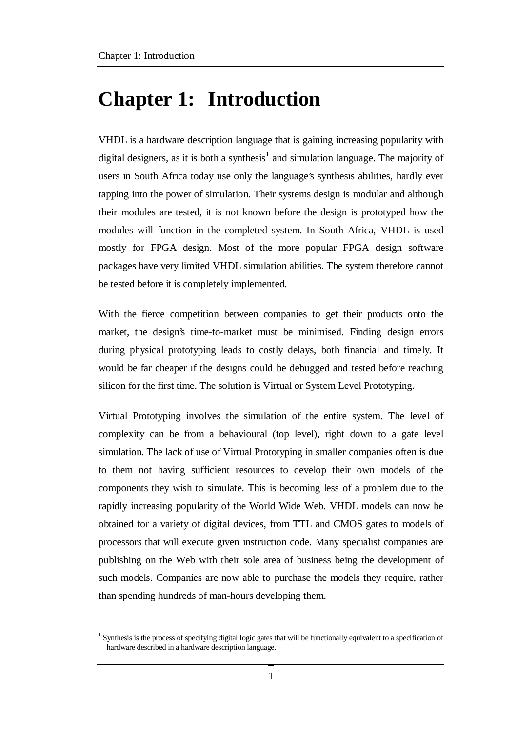# **Chapter 1: Introduction**

VHDL is a hardware description language that is gaining increasing popularity with digital designers, as it is both a synthesis<sup>1</sup> and simulation language. The majority of users in South Africa today use only the language's synthesis abilities, hardly ever tapping into the power of simulation. Their systems design is modular and although their modules are tested, it is not known before the design is prototyped how the modules will function in the completed system. In South Africa, VHDL is used mostly for FPGA design. Most of the more popular FPGA design software packages have very limited VHDL simulation abilities. The system therefore cannot be tested before it is completely implemented.

With the fierce competition between companies to get their products onto the market, the design's time-to-market must be minimised. Finding design errors during physical prototyping leads to costly delays, both financial and timely. It would be far cheaper if the designs could be debugged and tested before reaching silicon for the first time. The solution is Virtual or System Level Prototyping.

Virtual Prototyping involves the simulation of the entire system. The level of complexity can be from a behavioural (top level), right down to a gate level simulation. The lack of use of Virtual Prototyping in smaller companies often is due to them not having sufficient resources to develop their own models of the components they wish to simulate. This is becoming less of a problem due to the rapidly increasing popularity of the World Wide Web. VHDL models can now be obtained for a variety of digital devices, from TTL and CMOS gates to models of processors that will execute given instruction code. Many specialist companies are publishing on the Web with their sole area of business being the development of such models. Companies are now able to purchase the models they require, rather than spending hundreds of man-hours developing them.

 $\overline{a}$  $<sup>1</sup>$  Synthesis is the process of specifying digital logic gates that will be functionally equivalent to a specification of</sup> hardware described in a hardware description language.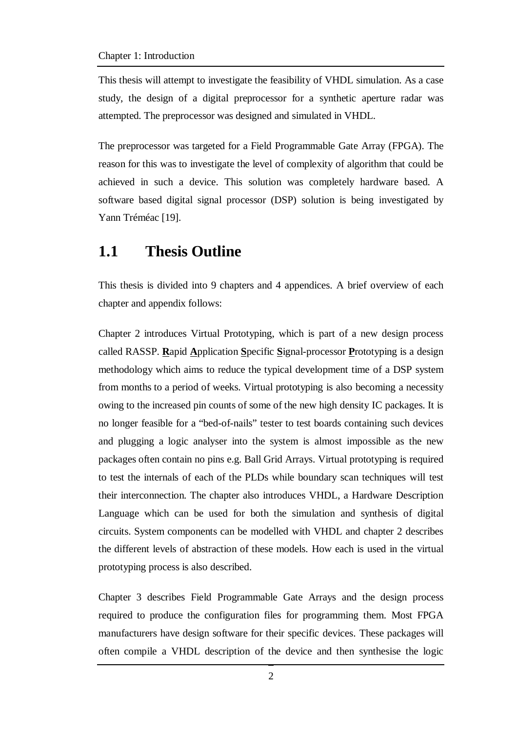This thesis will attempt to investigate the feasibility of VHDL simulation. As a case study, the design of a digital preprocessor for a synthetic aperture radar was attempted. The preprocessor was designed and simulated in VHDL.

The preprocessor was targeted for a Field Programmable Gate Array (FPGA). The reason for this was to investigate the level of complexity of algorithm that could be achieved in such a device. This solution was completely hardware based. A software based digital signal processor (DSP) solution is being investigated by Yann Tréméac [19].

### **1.1 Thesis Outline**

This thesis is divided into 9 chapters and 4 appendices. A brief overview of each chapter and appendix follows:

Chapter 2 introduces Virtual Prototyping, which is part of a new design process called RASSP. **R**apid **A**pplication **S**pecific **S**ignal-processor **P**rototyping is a design methodology which aims to reduce the typical development time of a DSP system from months to a period of weeks. Virtual prototyping is also becoming a necessity owing to the increased pin counts of some of the new high density IC packages. It is no longer feasible for a "bed-of-nails" tester to test boards containing such devices and plugging a logic analyser into the system is almost impossible as the new packages often contain no pins e.g. Ball Grid Arrays. Virtual prototyping is required to test the internals of each of the PLDs while boundary scan techniques will test their interconnection. The chapter also introduces VHDL, a Hardware Description Language which can be used for both the simulation and synthesis of digital circuits. System components can be modelled with VHDL and chapter 2 describes the different levels of abstraction of these models. How each is used in the virtual prototyping process is also described.

Chapter 3 describes Field Programmable Gate Arrays and the design process required to produce the configuration files for programming them. Most FPGA manufacturers have design software for their specific devices. These packages will often compile a VHDL description of the device and then synthesise the logic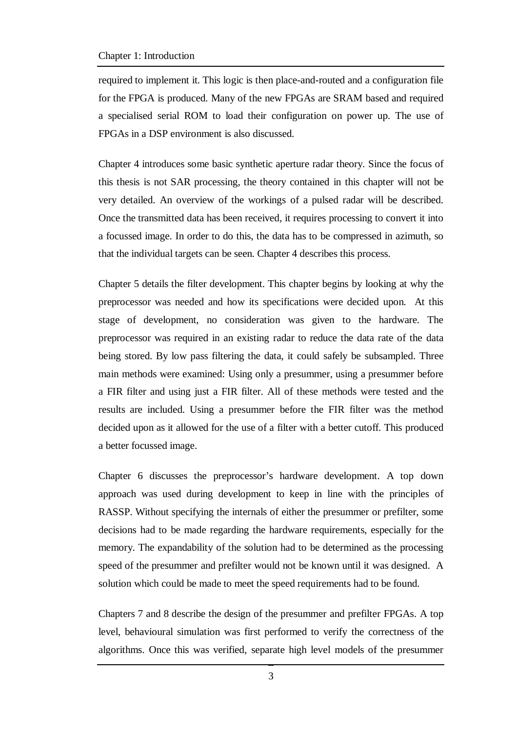#### Chapter 1: Introduction

required to implement it. This logic is then place-and-routed and a configuration file for the FPGA is produced. Many of the new FPGAs are SRAM based and required a specialised serial ROM to load their configuration on power up. The use of FPGAs in a DSP environment is also discussed.

Chapter 4 introduces some basic synthetic aperture radar theory. Since the focus of this thesis is not SAR processing, the theory contained in this chapter will not be very detailed. An overview of the workings of a pulsed radar will be described. Once the transmitted data has been received, it requires processing to convert it into a focussed image. In order to do this, the data has to be compressed in azimuth, so that the individual targets can be seen. Chapter 4 describes this process.

Chapter 5 details the filter development. This chapter begins by looking at why the preprocessor was needed and how its specifications were decided upon. At this stage of development, no consideration was given to the hardware. The preprocessor was required in an existing radar to reduce the data rate of the data being stored. By low pass filtering the data, it could safely be subsampled. Three main methods were examined: Using only a presummer, using a presummer before a FIR filter and using just a FIR filter. All of these methods were tested and the results are included. Using a presummer before the FIR filter was the method decided upon as it allowed for the use of a filter with a better cutoff. This produced a better focussed image.

Chapter 6 discusses the preprocessor's hardware development. A top down approach was used during development to keep in line with the principles of RASSP. Without specifying the internals of either the presummer or prefilter, some decisions had to be made regarding the hardware requirements, especially for the memory. The expandability of the solution had to be determined as the processing speed of the presummer and prefilter would not be known until it was designed. A solution which could be made to meet the speed requirements had to be found.

Chapters 7 and 8 describe the design of the presummer and prefilter FPGAs. A top level, behavioural simulation was first performed to verify the correctness of the algorithms. Once this was verified, separate high level models of the presummer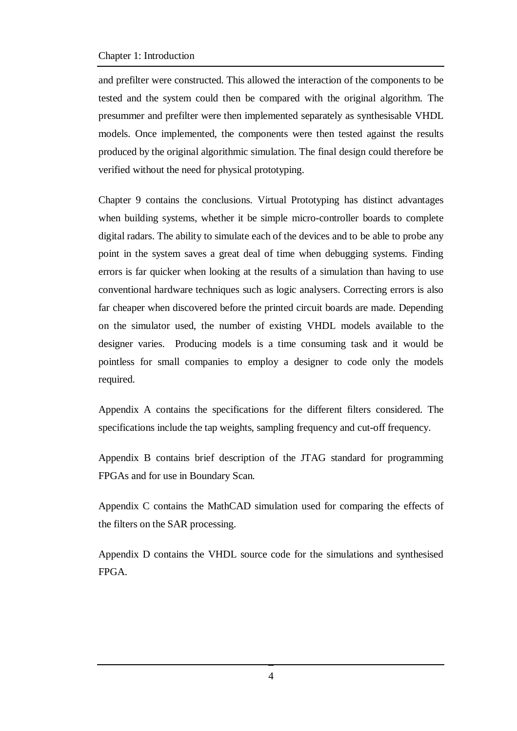#### Chapter 1: Introduction

and prefilter were constructed. This allowed the interaction of the components to be tested and the system could then be compared with the original algorithm. The presummer and prefilter were then implemented separately as synthesisable VHDL models. Once implemented, the components were then tested against the results produced by the original algorithmic simulation. The final design could therefore be verified without the need for physical prototyping.

Chapter 9 contains the conclusions. Virtual Prototyping has distinct advantages when building systems, whether it be simple micro-controller boards to complete digital radars. The ability to simulate each of the devices and to be able to probe any point in the system saves a great deal of time when debugging systems. Finding errors is far quicker when looking at the results of a simulation than having to use conventional hardware techniques such as logic analysers. Correcting errors is also far cheaper when discovered before the printed circuit boards are made. Depending on the simulator used, the number of existing VHDL models available to the designer varies. Producing models is a time consuming task and it would be pointless for small companies to employ a designer to code only the models required.

Appendix A contains the specifications for the different filters considered. The specifications include the tap weights, sampling frequency and cut-off frequency.

Appendix B contains brief description of the JTAG standard for programming FPGAs and for use in Boundary Scan.

Appendix C contains the MathCAD simulation used for comparing the effects of the filters on the SAR processing.

Appendix D contains the VHDL source code for the simulations and synthesised FPGA.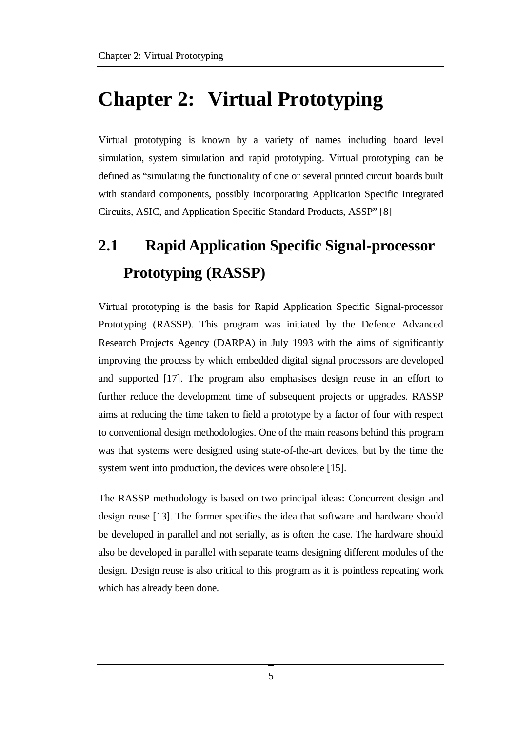# **Chapter 2: Virtual Prototyping**

Virtual prototyping is known by a variety of names including board level simulation, system simulation and rapid prototyping. Virtual prototyping can be defined as "simulating the functionality of one or several printed circuit boards built with standard components, possibly incorporating Application Specific Integrated Circuits, ASIC, and Application Specific Standard Products, ASSP" [8]

# **2.1 Rapid Application Specific Signal-processor Prototyping (RASSP)**

Virtual prototyping is the basis for Rapid Application Specific Signal-processor Prototyping (RASSP). This program was initiated by the Defence Advanced Research Projects Agency (DARPA) in July 1993 with the aims of significantly improving the process by which embedded digital signal processors are developed and supported [17]. The program also emphasises design reuse in an effort to further reduce the development time of subsequent projects or upgrades. RASSP aims at reducing the time taken to field a prototype by a factor of four with respect to conventional design methodologies. One of the main reasons behind this program was that systems were designed using state-of-the-art devices, but by the time the system went into production, the devices were obsolete [15].

The RASSP methodology is based on two principal ideas: Concurrent design and design reuse [13]. The former specifies the idea that software and hardware should be developed in parallel and not serially, as is often the case. The hardware should also be developed in parallel with separate teams designing different modules of the design. Design reuse is also critical to this program as it is pointless repeating work which has already been done.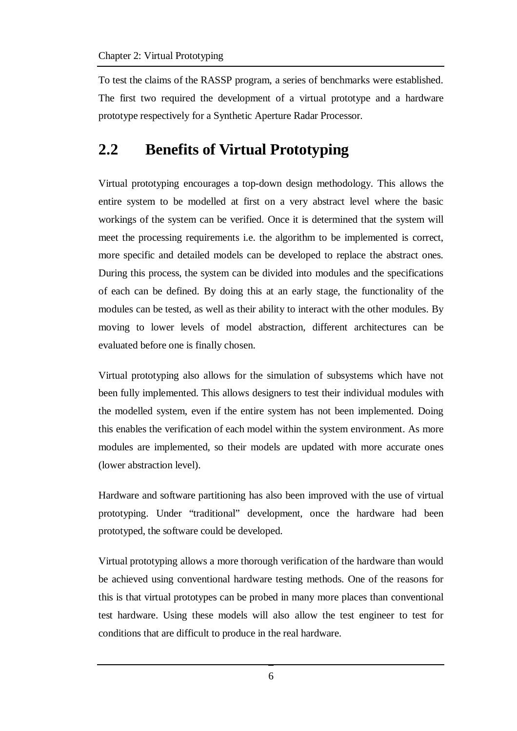To test the claims of the RASSP program, a series of benchmarks were established. The first two required the development of a virtual prototype and a hardware prototype respectively for a Synthetic Aperture Radar Processor.

### **2.2 Benefits of Virtual Prototyping**

Virtual prototyping encourages a top-down design methodology. This allows the entire system to be modelled at first on a very abstract level where the basic workings of the system can be verified. Once it is determined that the system will meet the processing requirements i.e. the algorithm to be implemented is correct, more specific and detailed models can be developed to replace the abstract ones. During this process, the system can be divided into modules and the specifications of each can be defined. By doing this at an early stage, the functionality of the modules can be tested, as well as their ability to interact with the other modules. By moving to lower levels of model abstraction, different architectures can be evaluated before one is finally chosen.

Virtual prototyping also allows for the simulation of subsystems which have not been fully implemented. This allows designers to test their individual modules with the modelled system, even if the entire system has not been implemented. Doing this enables the verification of each model within the system environment. As more modules are implemented, so their models are updated with more accurate ones (lower abstraction level).

Hardware and software partitioning has also been improved with the use of virtual prototyping. Under "traditional" development, once the hardware had been prototyped, the software could be developed.

Virtual prototyping allows a more thorough verification of the hardware than would be achieved using conventional hardware testing methods. One of the reasons for this is that virtual prototypes can be probed in many more places than conventional test hardware. Using these models will also allow the test engineer to test for conditions that are difficult to produce in the real hardware.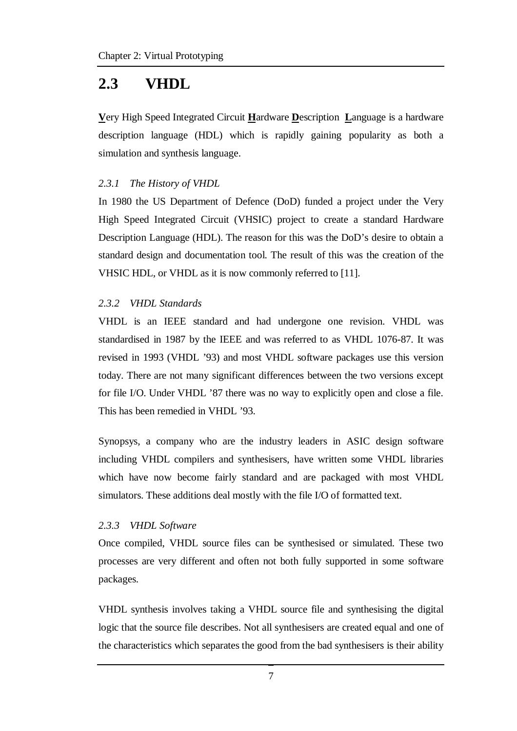### **2.3 VHDL**

**V**ery High Speed Integrated Circuit **H**ardware **D**escription **L**anguage is a hardware description language (HDL) which is rapidly gaining popularity as both a simulation and synthesis language.

#### *2.3.1 The History of VHDL*

In 1980 the US Department of Defence (DoD) funded a project under the Very High Speed Integrated Circuit (VHSIC) project to create a standard Hardware Description Language (HDL). The reason for this was the DoD's desire to obtain a standard design and documentation tool. The result of this was the creation of the VHSIC HDL, or VHDL as it is now commonly referred to [11].

#### *2.3.2 VHDL Standards*

VHDL is an IEEE standard and had undergone one revision. VHDL was standardised in 1987 by the IEEE and was referred to as VHDL 1076-87. It was revised in 1993 (VHDL '93) and most VHDL software packages use this version today. There are not many significant differences between the two versions except for file I/O. Under VHDL '87 there was no way to explicitly open and close a file. This has been remedied in VHDL '93.

Synopsys, a company who are the industry leaders in ASIC design software including VHDL compilers and synthesisers, have written some VHDL libraries which have now become fairly standard and are packaged with most VHDL simulators. These additions deal mostly with the file I/O of formatted text.

#### *2.3.3 VHDL Software*

Once compiled, VHDL source files can be synthesised or simulated. These two processes are very different and often not both fully supported in some software packages.

VHDL synthesis involves taking a VHDL source file and synthesising the digital logic that the source file describes. Not all synthesisers are created equal and one of the characteristics which separates the good from the bad synthesisers is their ability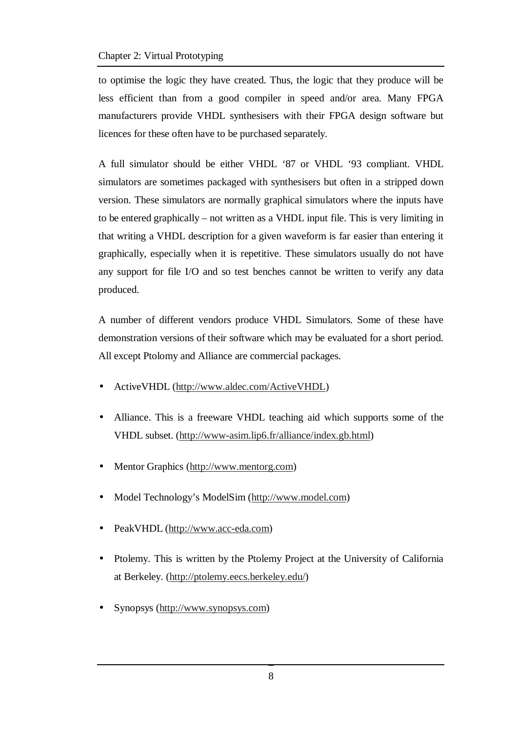to optimise the logic they have created. Thus, the logic that they produce will be less efficient than from a good compiler in speed and/or area. Many FPGA manufacturers provide VHDL synthesisers with their FPGA design software but licences for these often have to be purchased separately.

A full simulator should be either VHDL '87 or VHDL '93 compliant. VHDL simulators are sometimes packaged with synthesisers but often in a stripped down version. These simulators are normally graphical simulators where the inputs have to be entered graphically – not written as a VHDL input file. This is very limiting in that writing a VHDL description for a given waveform is far easier than entering it graphically, especially when it is repetitive. These simulators usually do not have any support for file I/O and so test benches cannot be written to verify any data produced.

A number of different vendors produce VHDL Simulators. Some of these have demonstration versions of their software which may be evaluated for a short period. All except Ptolomy and Alliance are commercial packages.

- Active VHDL (http://www.aldec.com/Active VHDL)
- Alliance. This is a freeware VHDL teaching aid which supports some of the VHDL subset. (http://www-asim.lip6.fr/alliance/index.gb.html)
- Mentor Graphics (http://www.mentorg.com)
- Model Technology's ModelSim (http://www.model.com)
- PeakVHDL (http://www.acc-eda.com)
- Ptolemy. This is written by the Ptolemy Project at the University of California at Berkeley. (http://ptolemy.eecs.berkeley.edu/)
- Synopsys (http://www.synopsys.com)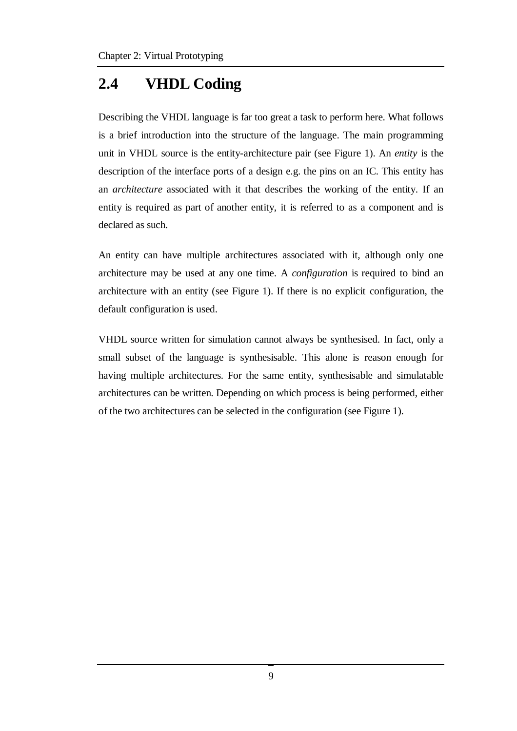# **2.4 VHDL Coding**

Describing the VHDL language is far too great a task to perform here. What follows is a brief introduction into the structure of the language. The main programming unit in VHDL source is the entity-architecture pair (see Figure 1). An *entity* is the description of the interface ports of a design e.g. the pins on an IC. This entity has an *architecture* associated with it that describes the working of the entity. If an entity is required as part of another entity, it is referred to as a component and is declared as such.

An entity can have multiple architectures associated with it, although only one architecture may be used at any one time. A *configuration* is required to bind an architecture with an entity (see Figure 1). If there is no explicit configuration, the default configuration is used.

VHDL source written for simulation cannot always be synthesised. In fact, only a small subset of the language is synthesisable. This alone is reason enough for having multiple architectures. For the same entity, synthesisable and simulatable architectures can be written. Depending on which process is being performed, either of the two architectures can be selected in the configuration (see Figure 1).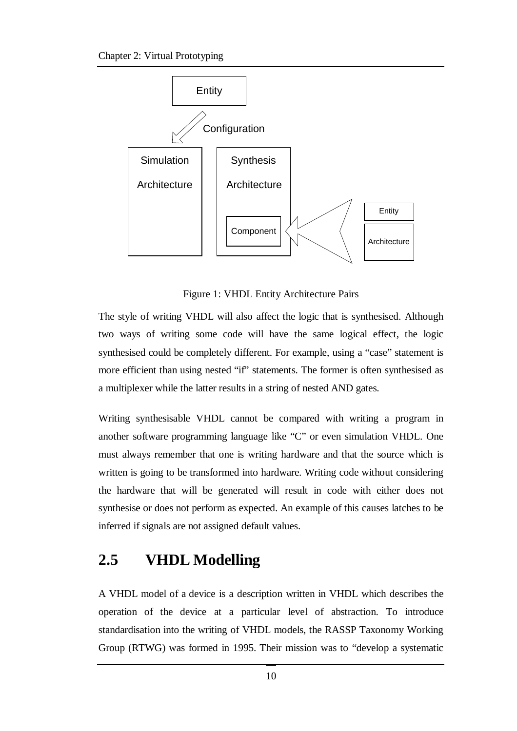

Figure 1: VHDL Entity Architecture Pairs

The style of writing VHDL will also affect the logic that is synthesised. Although two ways of writing some code will have the same logical effect, the logic synthesised could be completely different. For example, using a "case" statement is more efficient than using nested "if" statements. The former is often synthesised as a multiplexer while the latter results in a string of nested AND gates.

Writing synthesisable VHDL cannot be compared with writing a program in another software programming language like "C" or even simulation VHDL. One must always remember that one is writing hardware and that the source which is written is going to be transformed into hardware. Writing code without considering the hardware that will be generated will result in code with either does not synthesise or does not perform as expected. An example of this causes latches to be inferred if signals are not assigned default values.

### **2.5 VHDL Modelling**

A VHDL model of a device is a description written in VHDL which describes the operation of the device at a particular level of abstraction. To introduce standardisation into the writing of VHDL models, the RASSP Taxonomy Working Group (RTWG) was formed in 1995. Their mission was to "develop a systematic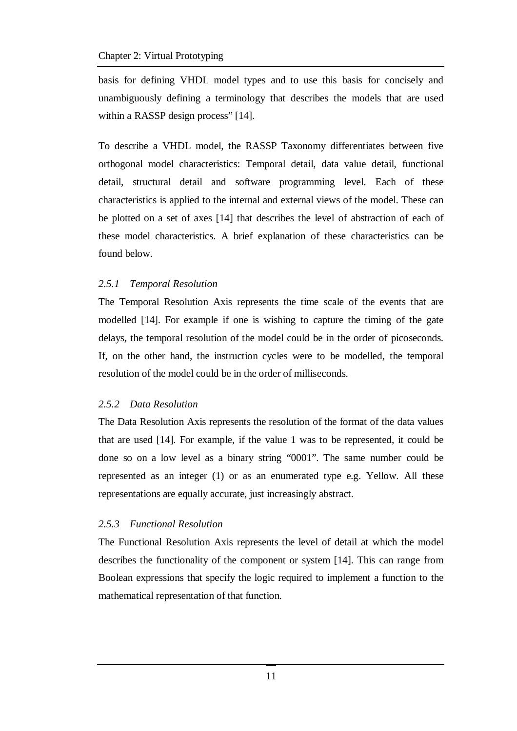basis for defining VHDL model types and to use this basis for concisely and unambiguously defining a terminology that describes the models that are used within a RASSP design process" [14].

To describe a VHDL model, the RASSP Taxonomy differentiates between five orthogonal model characteristics: Temporal detail, data value detail, functional detail, structural detail and software programming level. Each of these characteristics is applied to the internal and external views of the model. These can be plotted on a set of axes [14] that describes the level of abstraction of each of these model characteristics. A brief explanation of these characteristics can be found below.

#### *2.5.1 Temporal Resolution*

The Temporal Resolution Axis represents the time scale of the events that are modelled [14]. For example if one is wishing to capture the timing of the gate delays, the temporal resolution of the model could be in the order of picoseconds. If, on the other hand, the instruction cycles were to be modelled, the temporal resolution of the model could be in the order of milliseconds.

#### *2.5.2 Data Resolution*

The Data Resolution Axis represents the resolution of the format of the data values that are used [14]. For example, if the value 1 was to be represented, it could be done so on a low level as a binary string "0001". The same number could be represented as an integer (1) or as an enumerated type e.g. Yellow. All these representations are equally accurate, just increasingly abstract.

#### *2.5.3 Functional Resolution*

The Functional Resolution Axis represents the level of detail at which the model describes the functionality of the component or system [14]. This can range from Boolean expressions that specify the logic required to implement a function to the mathematical representation of that function.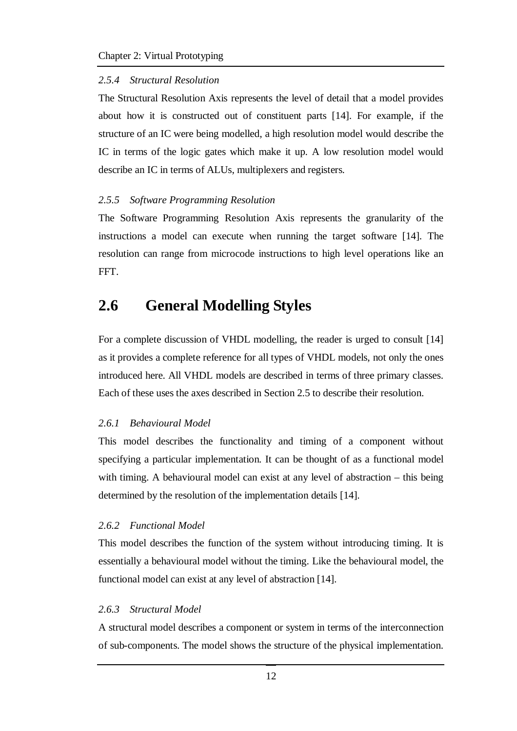#### *2.5.4 Structural Resolution*

The Structural Resolution Axis represents the level of detail that a model provides about how it is constructed out of constituent parts [14]. For example, if the structure of an IC were being modelled, a high resolution model would describe the IC in terms of the logic gates which make it up. A low resolution model would describe an IC in terms of ALUs, multiplexers and registers.

#### *2.5.5 Software Programming Resolution*

The Software Programming Resolution Axis represents the granularity of the instructions a model can execute when running the target software [14]. The resolution can range from microcode instructions to high level operations like an FFT.

### **2.6 General Modelling Styles**

For a complete discussion of VHDL modelling, the reader is urged to consult [14] as it provides a complete reference for all types of VHDL models, not only the ones introduced here. All VHDL models are described in terms of three primary classes. Each of these uses the axes described in Section 2.5 to describe their resolution.

#### *2.6.1 Behavioural Model*

This model describes the functionality and timing of a component without specifying a particular implementation. It can be thought of as a functional model with timing. A behavioural model can exist at any level of abstraction – this being determined by the resolution of the implementation details [14].

#### *2.6.2 Functional Model*

This model describes the function of the system without introducing timing. It is essentially a behavioural model without the timing. Like the behavioural model, the functional model can exist at any level of abstraction [14].

#### *2.6.3 Structural Model*

A structural model describes a component or system in terms of the interconnection of sub-components. The model shows the structure of the physical implementation.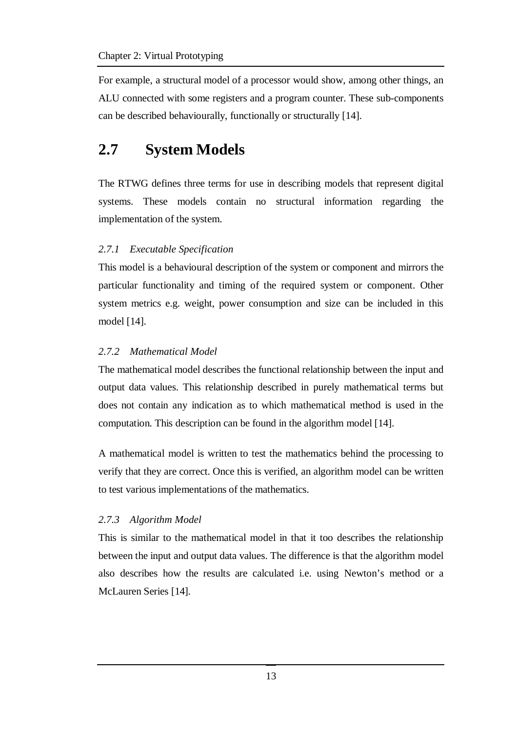For example, a structural model of a processor would show, among other things, an ALU connected with some registers and a program counter. These sub-components can be described behaviourally, functionally or structurally [14].

# **2.7 System Models**

The RTWG defines three terms for use in describing models that represent digital systems. These models contain no structural information regarding the implementation of the system.

### *2.7.1 Executable Specification*

This model is a behavioural description of the system or component and mirrors the particular functionality and timing of the required system or component. Other system metrics e.g. weight, power consumption and size can be included in this model [14].

### *2.7.2 Mathematical Model*

The mathematical model describes the functional relationship between the input and output data values. This relationship described in purely mathematical terms but does not contain any indication as to which mathematical method is used in the computation. This description can be found in the algorithm model [14].

A mathematical model is written to test the mathematics behind the processing to verify that they are correct. Once this is verified, an algorithm model can be written to test various implementations of the mathematics.

#### *2.7.3 Algorithm Model*

This is similar to the mathematical model in that it too describes the relationship between the input and output data values. The difference is that the algorithm model also describes how the results are calculated i.e. using Newton's method or a McLauren Series [14].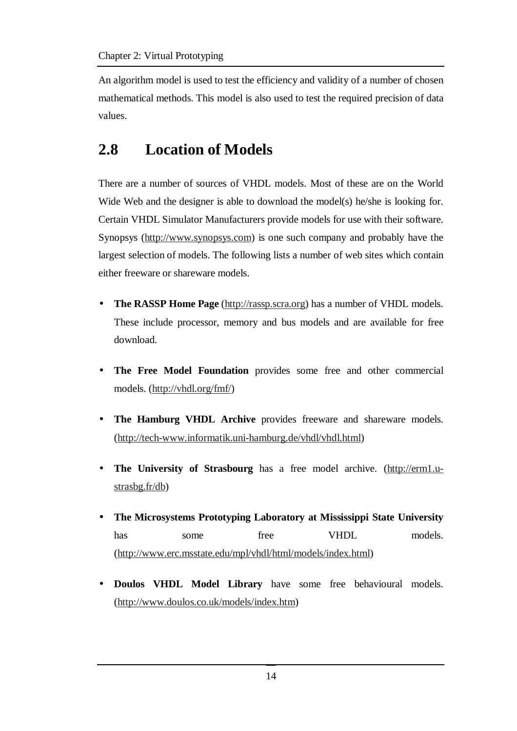An algorithm model is used to test the efficiency and validity of a number of chosen mathematical methods. This model is also used to test the required precision of data values.

# **2.8 Location of Models**

There are a number of sources of VHDL models. Most of these are on the World Wide Web and the designer is able to download the model(s) he/she is looking for. Certain VHDL Simulator Manufacturers provide models for use with their software. Synopsys (http://www.synopsys.com) is one such company and probably have the largest selection of models. The following lists a number of web sites which contain either freeware or shareware models.

- **The RASSP Home Page** (http://rassp.scra.org) has a number of VHDL models. These include processor, memory and bus models and are available for free download.
- **The Free Model Foundation** provides some free and other commercial models. (http://vhdl.org/fmf/)
- **The Hamburg VHDL Archive** provides freeware and shareware models. (http://tech-www.informatik.uni-hamburg.de/vhdl/vhdl.html)
- **The University of Strasbourg** has a free model archive. (http://erm1.ustrasbg.fr/db)
- **The Microsystems Prototyping Laboratory at Mississippi State University** has some free VHDL models. (http://www.erc.msstate.edu/mpl/vhdl/html/models/index.html)
- **Doulos VHDL Model Library** have some free behavioural models. (http://www.doulos.co.uk/models/index.htm)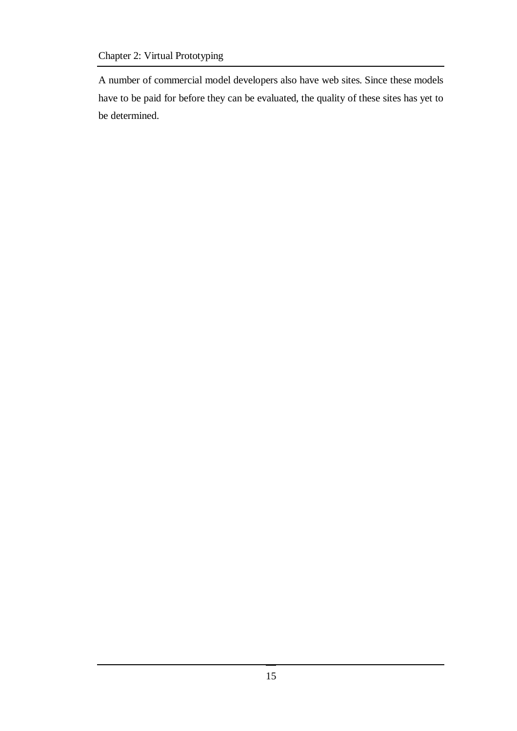### Chapter 2: Virtual Prototyping

A number of commercial model developers also have web sites. Since these models have to be paid for before they can be evaluated, the quality of these sites has yet to be determined.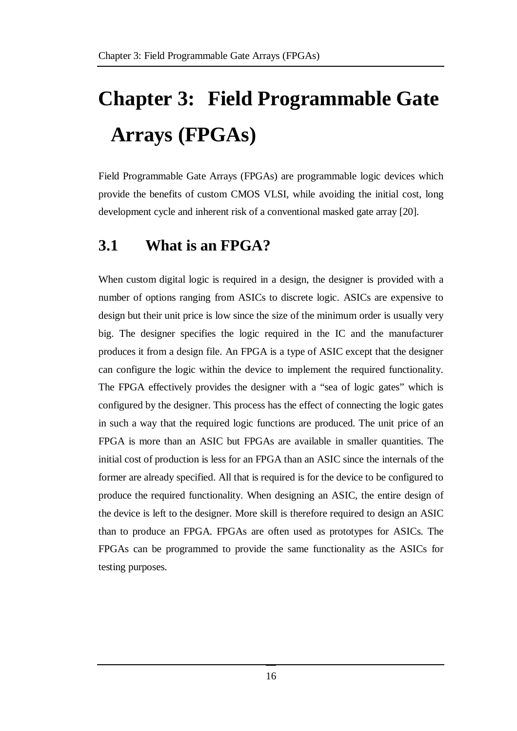# **Chapter 3: Field Programmable Gate Arrays (FPGAs)**

Field Programmable Gate Arrays (FPGAs) are programmable logic devices which provide the benefits of custom CMOS VLSI, while avoiding the initial cost, long development cycle and inherent risk of a conventional masked gate array [20].

### **3.1 What is an FPGA?**

When custom digital logic is required in a design, the designer is provided with a number of options ranging from ASICs to discrete logic. ASICs are expensive to design but their unit price is low since the size of the minimum order is usually very big. The designer specifies the logic required in the IC and the manufacturer produces it from a design file. An FPGA is a type of ASIC except that the designer can configure the logic within the device to implement the required functionality. The FPGA effectively provides the designer with a "sea of logic gates" which is configured by the designer. This process has the effect of connecting the logic gates in such a way that the required logic functions are produced. The unit price of an FPGA is more than an ASIC but FPGAs are available in smaller quantities. The initial cost of production is less for an FPGA than an ASIC since the internals of the former are already specified. All that is required is for the device to be configured to produce the required functionality. When designing an ASIC, the entire design of the device is left to the designer. More skill is therefore required to design an ASIC than to produce an FPGA. FPGAs are often used as prototypes for ASICs. The FPGAs can be programmed to provide the same functionality as the ASICs for testing purposes.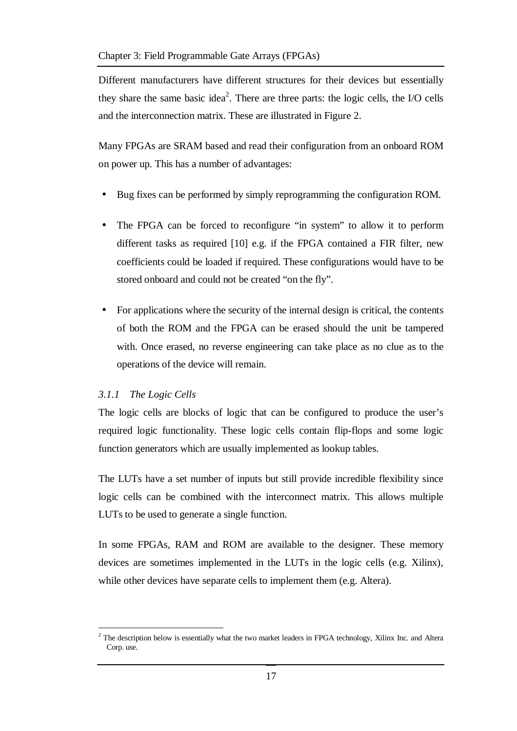Different manufacturers have different structures for their devices but essentially they share the same basic idea<sup>2</sup>. There are three parts: the logic cells, the I/O cells and the interconnection matrix. These are illustrated in Figure 2.

Many FPGAs are SRAM based and read their configuration from an onboard ROM on power up. This has a number of advantages:

- Bug fixes can be performed by simply reprogramming the configuration ROM.
- The FPGA can be forced to reconfigure "in system" to allow it to perform different tasks as required [10] e.g. if the FPGA contained a FIR filter, new coefficients could be loaded if required. These configurations would have to be stored onboard and could not be created "on the fly".
- For applications where the security of the internal design is critical, the contents of both the ROM and the FPGA can be erased should the unit be tampered with. Once erased, no reverse engineering can take place as no clue as to the operations of the device will remain.

#### *3.1.1 The Logic Cells*

The logic cells are blocks of logic that can be configured to produce the user's required logic functionality. These logic cells contain flip-flops and some logic function generators which are usually implemented as lookup tables.

The LUTs have a set number of inputs but still provide incredible flexibility since logic cells can be combined with the interconnect matrix. This allows multiple LUTs to be used to generate a single function.

In some FPGAs, RAM and ROM are available to the designer. These memory devices are sometimes implemented in the LUTs in the logic cells (e.g. Xilinx), while other devices have separate cells to implement them (e.g. Altera).

 $\overline{a}$  $2$  The description below is essentially what the two market leaders in FPGA technology, Xilinx Inc. and Altera Corp. use.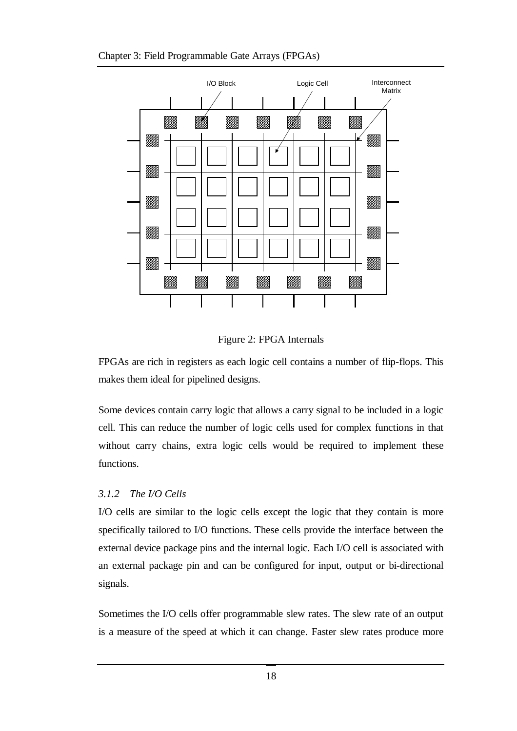



Figure 2: FPGA Internals

FPGAs are rich in registers as each logic cell contains a number of flip-flops. This makes them ideal for pipelined designs.

Some devices contain carry logic that allows a carry signal to be included in a logic cell. This can reduce the number of logic cells used for complex functions in that without carry chains, extra logic cells would be required to implement these functions.

#### *3.1.2 The I/O Cells*

I/O cells are similar to the logic cells except the logic that they contain is more specifically tailored to I/O functions. These cells provide the interface between the external device package pins and the internal logic. Each I/O cell is associated with an external package pin and can be configured for input, output or bi-directional signals.

Sometimes the I/O cells offer programmable slew rates. The slew rate of an output is a measure of the speed at which it can change. Faster slew rates produce more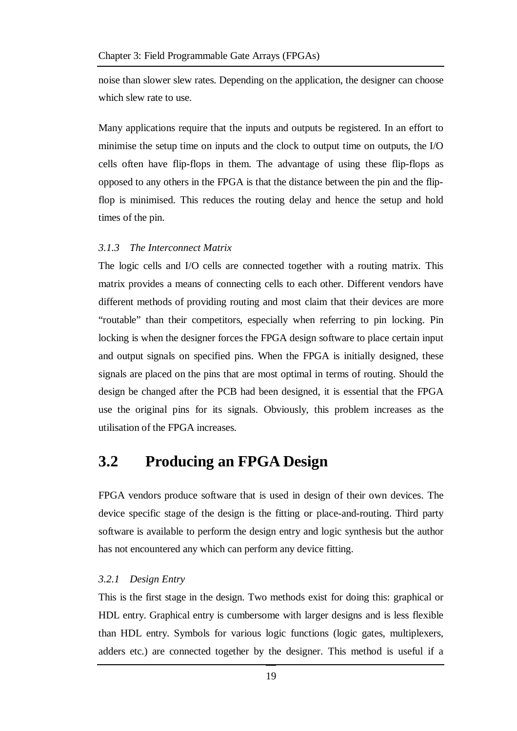noise than slower slew rates. Depending on the application, the designer can choose which slew rate to use.

Many applications require that the inputs and outputs be registered. In an effort to minimise the setup time on inputs and the clock to output time on outputs, the I/O cells often have flip-flops in them. The advantage of using these flip-flops as opposed to any others in the FPGA is that the distance between the pin and the flipflop is minimised. This reduces the routing delay and hence the setup and hold times of the pin.

#### *3.1.3 The Interconnect Matrix*

The logic cells and I/O cells are connected together with a routing matrix. This matrix provides a means of connecting cells to each other. Different vendors have different methods of providing routing and most claim that their devices are more "routable" than their competitors, especially when referring to pin locking. Pin locking is when the designer forces the FPGA design software to place certain input and output signals on specified pins. When the FPGA is initially designed, these signals are placed on the pins that are most optimal in terms of routing. Should the design be changed after the PCB had been designed, it is essential that the FPGA use the original pins for its signals. Obviously, this problem increases as the utilisation of the FPGA increases.

### **3.2 Producing an FPGA Design**

FPGA vendors produce software that is used in design of their own devices. The device specific stage of the design is the fitting or place-and-routing. Third party software is available to perform the design entry and logic synthesis but the author has not encountered any which can perform any device fitting.

#### *3.2.1 Design Entry*

This is the first stage in the design. Two methods exist for doing this: graphical or HDL entry. Graphical entry is cumbersome with larger designs and is less flexible than HDL entry. Symbols for various logic functions (logic gates, multiplexers, adders etc.) are connected together by the designer. This method is useful if a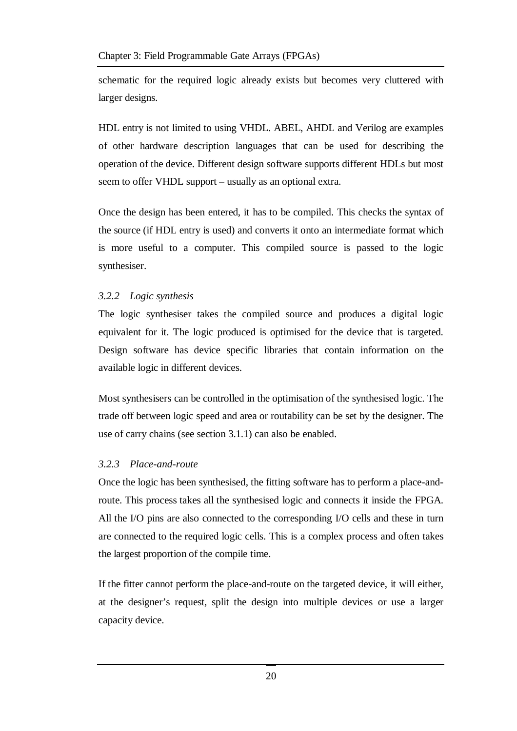schematic for the required logic already exists but becomes very cluttered with larger designs.

HDL entry is not limited to using VHDL. ABEL, AHDL and Verilog are examples of other hardware description languages that can be used for describing the operation of the device. Different design software supports different HDLs but most seem to offer VHDL support – usually as an optional extra.

Once the design has been entered, it has to be compiled. This checks the syntax of the source (if HDL entry is used) and converts it onto an intermediate format which is more useful to a computer. This compiled source is passed to the logic synthesiser.

### *3.2.2 Logic synthesis*

The logic synthesiser takes the compiled source and produces a digital logic equivalent for it. The logic produced is optimised for the device that is targeted. Design software has device specific libraries that contain information on the available logic in different devices.

Most synthesisers can be controlled in the optimisation of the synthesised logic. The trade off between logic speed and area or routability can be set by the designer. The use of carry chains (see section 3.1.1) can also be enabled.

### *3.2.3 Place-and-route*

Once the logic has been synthesised, the fitting software has to perform a place-androute. This process takes all the synthesised logic and connects it inside the FPGA. All the I/O pins are also connected to the corresponding I/O cells and these in turn are connected to the required logic cells. This is a complex process and often takes the largest proportion of the compile time.

If the fitter cannot perform the place-and-route on the targeted device, it will either, at the designer's request, split the design into multiple devices or use a larger capacity device.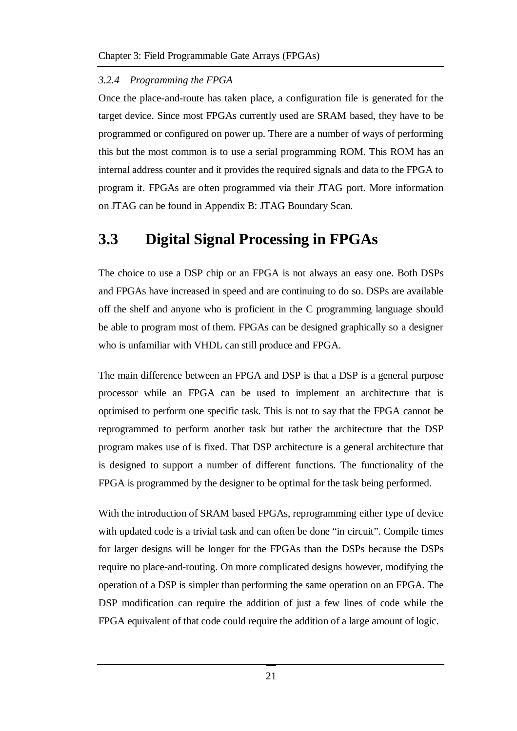#### *3.2.4 Programming the FPGA*

Once the place-and-route has taken place, a configuration file is generated for the target device. Since most FPGAs currently used are SRAM based, they have to be programmed or configured on power up. There are a number of ways of performing this but the most common is to use a serial programming ROM. This ROM has an internal address counter and it provides the required signals and data to the FPGA to program it. FPGAs are often programmed via their JTAG port. More information on JTAG can be found in Appendix B: JTAG Boundary Scan.

### **3.3 Digital Signal Processing in FPGAs**

The choice to use a DSP chip or an FPGA is not always an easy one. Both DSPs and FPGAs have increased in speed and are continuing to do so. DSPs are available off the shelf and anyone who is proficient in the C programming language should be able to program most of them. FPGAs can be designed graphically so a designer who is unfamiliar with VHDL can still produce and FPGA.

The main difference between an FPGA and DSP is that a DSP is a general purpose processor while an FPGA can be used to implement an architecture that is optimised to perform one specific task. This is not to say that the FPGA cannot be reprogrammed to perform another task but rather the architecture that the DSP program makes use of is fixed. That DSP architecture is a general architecture that is designed to support a number of different functions. The functionality of the FPGA is programmed by the designer to be optimal for the task being performed.

With the introduction of SRAM based FPGAs, reprogramming either type of device with updated code is a trivial task and can often be done "in circuit". Compile times for larger designs will be longer for the FPGAs than the DSPs because the DSPs require no place-and-routing. On more complicated designs however, modifying the operation of a DSP is simpler than performing the same operation on an FPGA. The DSP modification can require the addition of just a few lines of code while the FPGA equivalent of that code could require the addition of a large amount of logic.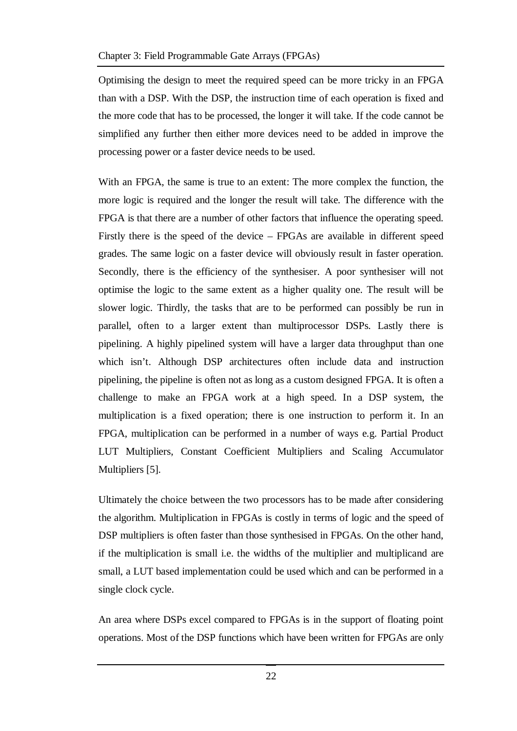Optimising the design to meet the required speed can be more tricky in an FPGA than with a DSP. With the DSP, the instruction time of each operation is fixed and the more code that has to be processed, the longer it will take. If the code cannot be simplified any further then either more devices need to be added in improve the processing power or a faster device needs to be used.

With an FPGA, the same is true to an extent: The more complex the function, the more logic is required and the longer the result will take. The difference with the FPGA is that there are a number of other factors that influence the operating speed. Firstly there is the speed of the device – FPGAs are available in different speed grades. The same logic on a faster device will obviously result in faster operation. Secondly, there is the efficiency of the synthesiser. A poor synthesiser will not optimise the logic to the same extent as a higher quality one. The result will be slower logic. Thirdly, the tasks that are to be performed can possibly be run in parallel, often to a larger extent than multiprocessor DSPs. Lastly there is pipelining. A highly pipelined system will have a larger data throughput than one which isn't. Although DSP architectures often include data and instruction pipelining, the pipeline is often not as long as a custom designed FPGA. It is often a challenge to make an FPGA work at a high speed. In a DSP system, the multiplication is a fixed operation; there is one instruction to perform it. In an FPGA, multiplication can be performed in a number of ways e.g. Partial Product LUT Multipliers, Constant Coefficient Multipliers and Scaling Accumulator Multipliers [5].

Ultimately the choice between the two processors has to be made after considering the algorithm. Multiplication in FPGAs is costly in terms of logic and the speed of DSP multipliers is often faster than those synthesised in FPGAs. On the other hand, if the multiplication is small i.e. the widths of the multiplier and multiplicand are small, a LUT based implementation could be used which and can be performed in a single clock cycle.

An area where DSPs excel compared to FPGAs is in the support of floating point operations. Most of the DSP functions which have been written for FPGAs are only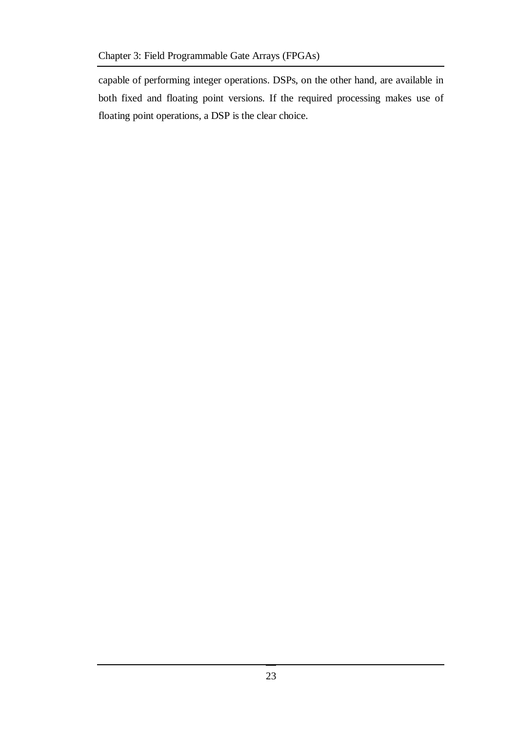capable of performing integer operations. DSPs, on the other hand, are available in both fixed and floating point versions. If the required processing makes use of floating point operations, a DSP is the clear choice.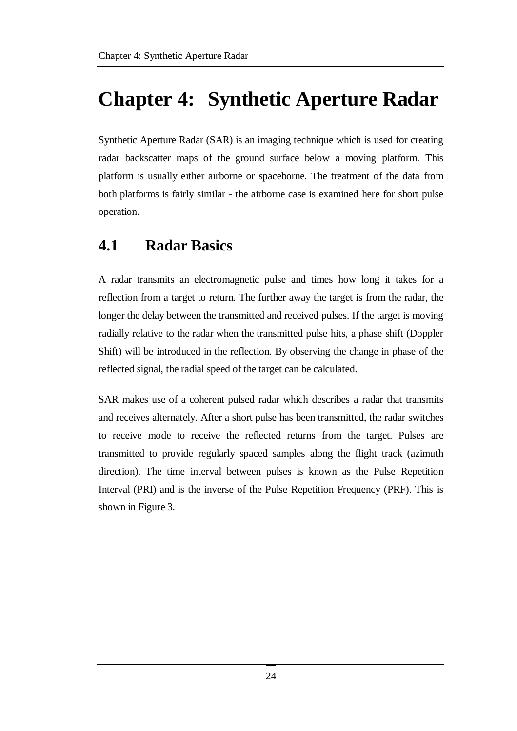# **Chapter 4: Synthetic Aperture Radar**

Synthetic Aperture Radar (SAR) is an imaging technique which is used for creating radar backscatter maps of the ground surface below a moving platform. This platform is usually either airborne or spaceborne. The treatment of the data from both platforms is fairly similar - the airborne case is examined here for short pulse operation.

## **4.1 Radar Basics**

A radar transmits an electromagnetic pulse and times how long it takes for a reflection from a target to return. The further away the target is from the radar, the longer the delay between the transmitted and received pulses. If the target is moving radially relative to the radar when the transmitted pulse hits, a phase shift (Doppler Shift) will be introduced in the reflection. By observing the change in phase of the reflected signal, the radial speed of the target can be calculated.

SAR makes use of a coherent pulsed radar which describes a radar that transmits and receives alternately. After a short pulse has been transmitted, the radar switches to receive mode to receive the reflected returns from the target. Pulses are transmitted to provide regularly spaced samples along the flight track (azimuth direction). The time interval between pulses is known as the Pulse Repetition Interval (PRI) and is the inverse of the Pulse Repetition Frequency (PRF). This is shown in Figure 3.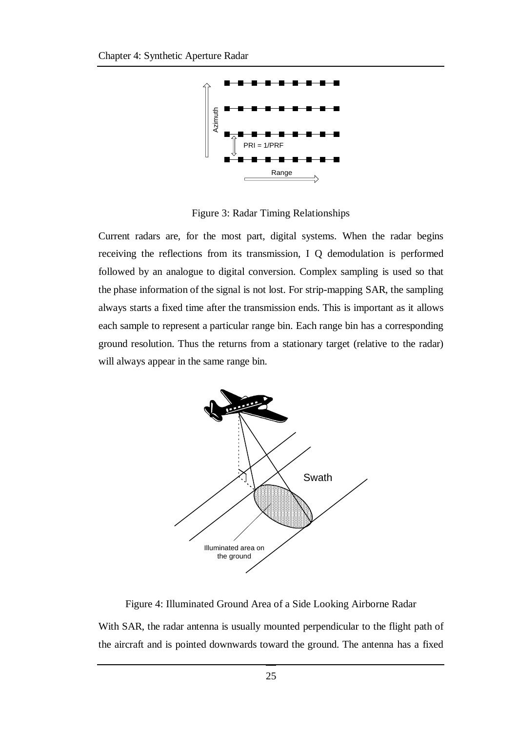

Figure 3: Radar Timing Relationships

Current radars are, for the most part, digital systems. When the radar begins receiving the reflections from its transmission, I Q demodulation is performed followed by an analogue to digital conversion. Complex sampling is used so that the phase information of the signal is not lost. For strip-mapping SAR, the sampling always starts a fixed time after the transmission ends. This is important as it allows each sample to represent a particular range bin. Each range bin has a corresponding ground resolution. Thus the returns from a stationary target (relative to the radar) will always appear in the same range bin.



Figure 4: Illuminated Ground Area of a Side Looking Airborne Radar

With SAR, the radar antenna is usually mounted perpendicular to the flight path of the aircraft and is pointed downwards toward the ground. The antenna has a fixed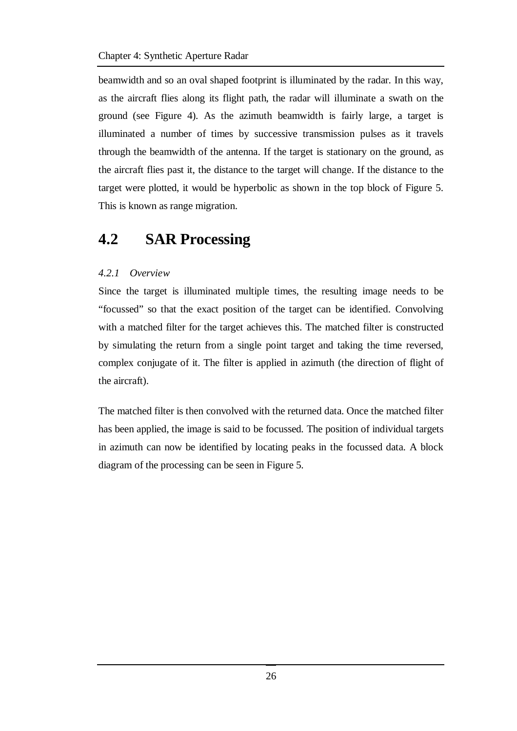beamwidth and so an oval shaped footprint is illuminated by the radar. In this way, as the aircraft flies along its flight path, the radar will illuminate a swath on the ground (see Figure 4). As the azimuth beamwidth is fairly large, a target is illuminated a number of times by successive transmission pulses as it travels through the beamwidth of the antenna. If the target is stationary on the ground, as the aircraft flies past it, the distance to the target will change. If the distance to the target were plotted, it would be hyperbolic as shown in the top block of Figure 5. This is known as range migration.

### **4.2 SAR Processing**

#### *4.2.1 Overview*

Since the target is illuminated multiple times, the resulting image needs to be "focussed" so that the exact position of the target can be identified. Convolving with a matched filter for the target achieves this. The matched filter is constructed by simulating the return from a single point target and taking the time reversed, complex conjugate of it. The filter is applied in azimuth (the direction of flight of the aircraft).

The matched filter is then convolved with the returned data. Once the matched filter has been applied, the image is said to be focussed. The position of individual targets in azimuth can now be identified by locating peaks in the focussed data. A block diagram of the processing can be seen in Figure 5.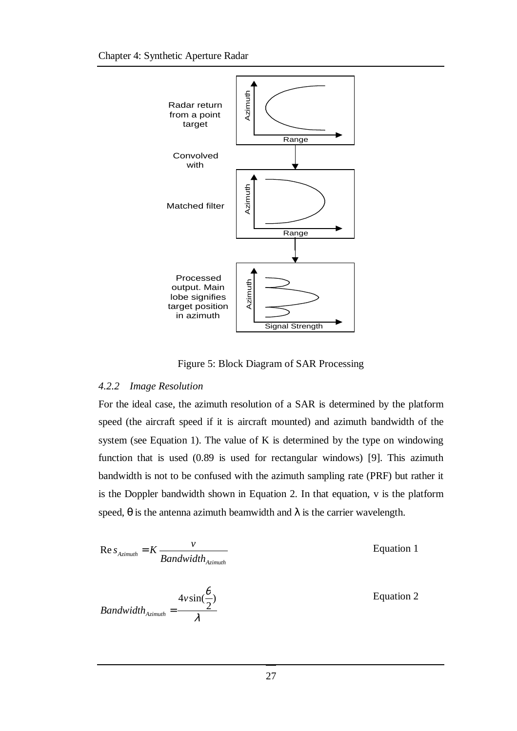

Figure 5: Block Diagram of SAR Processing

#### *4.2.2 Image Resolution*

For the ideal case, the azimuth resolution of a SAR is determined by the platform speed (the aircraft speed if it is aircraft mounted) and azimuth bandwidth of the system (see Equation 1). The value of K is determined by the type on windowing function that is used (0.89 is used for rectangular windows) [9]. This azimuth bandwidth is not to be confused with the azimuth sampling rate (PRF) but rather it is the Doppler bandwidth shown in Equation 2. In that equation, v is the platform speed,  $\theta$  is the antenna azimuth beamwidth and  $\lambda$  is the carrier wavelength.

$$
Re s_{Azimuth} = K \frac{v}{Bandwidth_{Azimuth}}
$$

Equation 1

$$
Bandwidth_{Azimuth} = \frac{4v\sin(\frac{\theta}{2})}{\lambda}
$$

Equation 2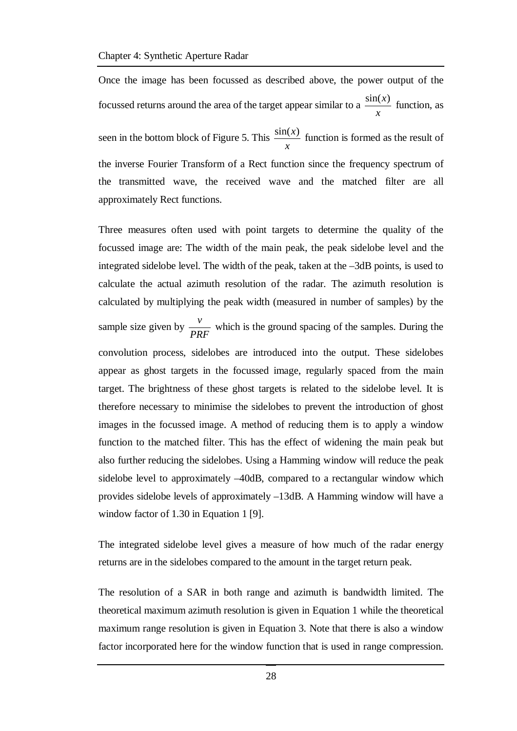Once the image has been focussed as described above, the power output of the focussed returns around the area of the target appear similar to a *x*  $\frac{\sin(x)}{x}$  function, as seen in the bottom block of Figure 5. This *x*  $\frac{\sin(x)}{x}$  function is formed as the result of the inverse Fourier Transform of a Rect function since the frequency spectrum of the transmitted wave, the received wave and the matched filter are all approximately Rect functions.

Three measures often used with point targets to determine the quality of the focussed image are: The width of the main peak, the peak sidelobe level and the integrated sidelobe level. The width of the peak, taken at the –3dB points, is used to calculate the actual azimuth resolution of the radar. The azimuth resolution is calculated by multiplying the peak width (measured in number of samples) by the sample size given by *PRF*  $\frac{v}{\sqrt{v}}$  which is the ground spacing of the samples. During the convolution process, sidelobes are introduced into the output. These sidelobes appear as ghost targets in the focussed image, regularly spaced from the main target. The brightness of these ghost targets is related to the sidelobe level. It is therefore necessary to minimise the sidelobes to prevent the introduction of ghost images in the focussed image. A method of reducing them is to apply a window function to the matched filter. This has the effect of widening the main peak but also further reducing the sidelobes. Using a Hamming window will reduce the peak sidelobe level to approximately –40dB, compared to a rectangular window which provides sidelobe levels of approximately –13dB. A Hamming window will have a window factor of 1.30 in Equation 1 [9].

The integrated sidelobe level gives a measure of how much of the radar energy returns are in the sidelobes compared to the amount in the target return peak.

The resolution of a SAR in both range and azimuth is bandwidth limited. The theoretical maximum azimuth resolution is given in Equation 1 while the theoretical maximum range resolution is given in Equation 3. Note that there is also a window factor incorporated here for the window function that is used in range compression.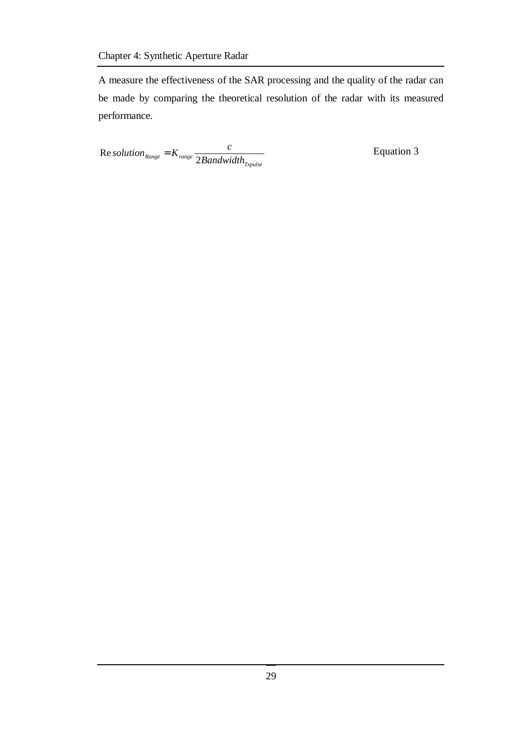A measure the effectiveness of the SAR processing and the quality of the radar can be made by comparing the theoretical resolution of the radar with its measured performance.

*Txpulse Range range Bandwidth solution*<sub>Range</sub> =  $K_{range}$   $\frac{c}{2R}$ 2 Re solution  $R_{Range} = K_{range}$   $\frac{c}{2R_{range} + 1.11}$  Equation 3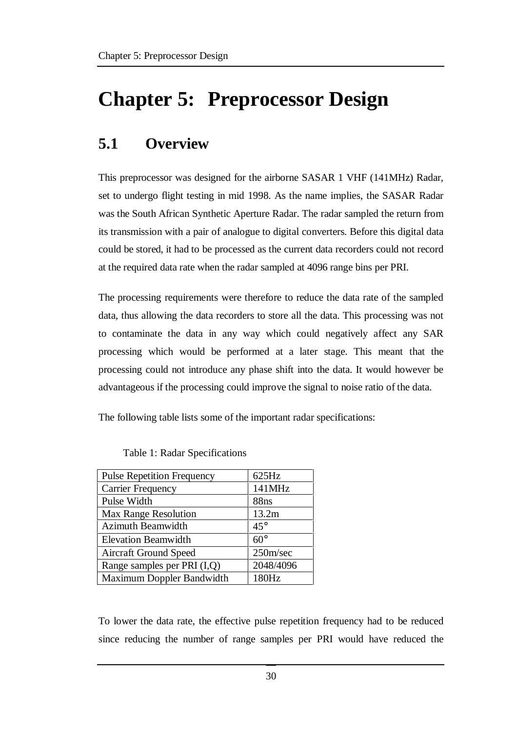# **Chapter 5: Preprocessor Design**

# **5.1 Overview**

This preprocessor was designed for the airborne SASAR 1 VHF (141MHz) Radar, set to undergo flight testing in mid 1998. As the name implies, the SASAR Radar was the South African Synthetic Aperture Radar. The radar sampled the return from its transmission with a pair of analogue to digital converters. Before this digital data could be stored, it had to be processed as the current data recorders could not record at the required data rate when the radar sampled at 4096 range bins per PRI.

The processing requirements were therefore to reduce the data rate of the sampled data, thus allowing the data recorders to store all the data. This processing was not to contaminate the data in any way which could negatively affect any SAR processing which would be performed at a later stage. This meant that the processing could not introduce any phase shift into the data. It would however be advantageous if the processing could improve the signal to noise ratio of the data.

The following table lists some of the important radar specifications:

| <b>Pulse Repetition Frequency</b> | $625$ Hz     |
|-----------------------------------|--------------|
| <b>Carrier Frequency</b>          | 141MHz       |
| Pulse Width                       | 88ns         |
| <b>Max Range Resolution</b>       | 13.2m        |
| <b>Azimuth Beamwidth</b>          | $45^{\circ}$ |
| <b>Elevation Beamwidth</b>        | $60^\circ$   |
| <b>Aircraft Ground Speed</b>      | 250m/sec     |
| Range samples per PRI (I,Q)       | 2048/4096    |
| Maximum Doppler Bandwidth         | 180Hz        |

| Table 1: Radar Specifications |  |  |  |  |  |  |
|-------------------------------|--|--|--|--|--|--|
|-------------------------------|--|--|--|--|--|--|

To lower the data rate, the effective pulse repetition frequency had to be reduced since reducing the number of range samples per PRI would have reduced the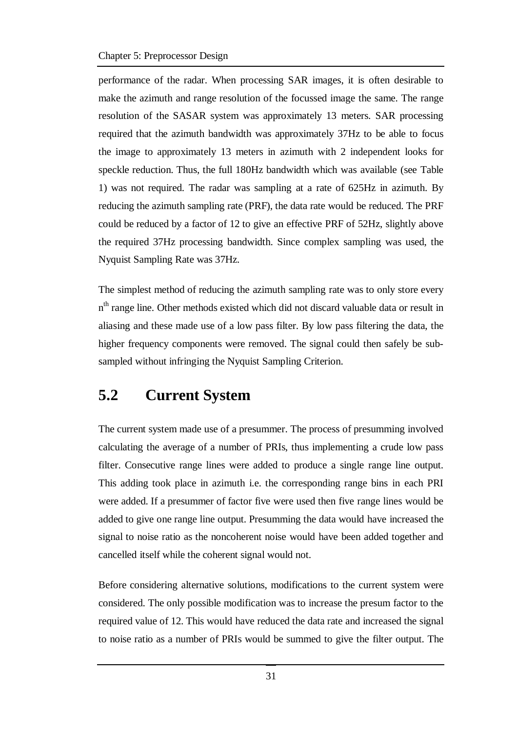performance of the radar. When processing SAR images, it is often desirable to make the azimuth and range resolution of the focussed image the same. The range resolution of the SASAR system was approximately 13 meters. SAR processing required that the azimuth bandwidth was approximately 37Hz to be able to focus the image to approximately 13 meters in azimuth with 2 independent looks for speckle reduction. Thus, the full 180Hz bandwidth which was available (see Table 1) was not required. The radar was sampling at a rate of 625Hz in azimuth. By reducing the azimuth sampling rate (PRF), the data rate would be reduced. The PRF could be reduced by a factor of 12 to give an effective PRF of 52Hz, slightly above the required 37Hz processing bandwidth. Since complex sampling was used, the Nyquist Sampling Rate was 37Hz.

The simplest method of reducing the azimuth sampling rate was to only store every n<sup>th</sup> range line. Other methods existed which did not discard valuable data or result in aliasing and these made use of a low pass filter. By low pass filtering the data, the higher frequency components were removed. The signal could then safely be subsampled without infringing the Nyquist Sampling Criterion.

# **5.2 Current System**

The current system made use of a presummer. The process of presumming involved calculating the average of a number of PRIs, thus implementing a crude low pass filter. Consecutive range lines were added to produce a single range line output. This adding took place in azimuth i.e. the corresponding range bins in each PRI were added. If a presummer of factor five were used then five range lines would be added to give one range line output. Presumming the data would have increased the signal to noise ratio as the noncoherent noise would have been added together and cancelled itself while the coherent signal would not.

Before considering alternative solutions, modifications to the current system were considered. The only possible modification was to increase the presum factor to the required value of 12. This would have reduced the data rate and increased the signal to noise ratio as a number of PRIs would be summed to give the filter output. The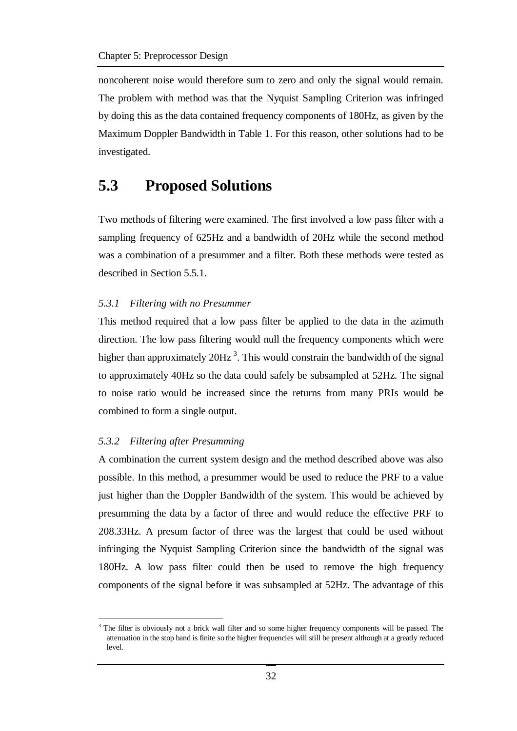noncoherent noise would therefore sum to zero and only the signal would remain. The problem with method was that the Nyquist Sampling Criterion was infringed by doing this as the data contained frequency components of 180Hz, as given by the Maximum Doppler Bandwidth in Table 1. For this reason, other solutions had to be investigated.

### **5.3 Proposed Solutions**

Two methods of filtering were examined. The first involved a low pass filter with a sampling frequency of 625Hz and a bandwidth of 20Hz while the second method was a combination of a presummer and a filter. Both these methods were tested as described in Section 5.5.1.

#### *5.3.1 Filtering with no Presummer*

This method required that a low pass filter be applied to the data in the azimuth direction. The low pass filtering would null the frequency components which were higher than approximately  $20Hz^3$ . This would constrain the bandwidth of the signal to approximately 40Hz so the data could safely be subsampled at 52Hz. The signal to noise ratio would be increased since the returns from many PRIs would be combined to form a single output.

#### *5.3.2 Filtering after Presumming*

 $\overline{a}$ 

A combination the current system design and the method described above was also possible. In this method, a presummer would be used to reduce the PRF to a value just higher than the Doppler Bandwidth of the system. This would be achieved by presumming the data by a factor of three and would reduce the effective PRF to 208.33Hz. A presum factor of three was the largest that could be used without infringing the Nyquist Sampling Criterion since the bandwidth of the signal was 180Hz. A low pass filter could then be used to remove the high frequency components of the signal before it was subsampled at 52Hz. The advantage of this

<sup>&</sup>lt;sup>3</sup> The filter is obviously not a brick wall filter and so some higher frequency components will be passed. The attenuation in the stop band is finite so the higher frequencies will still be present although at a greatly reduced level.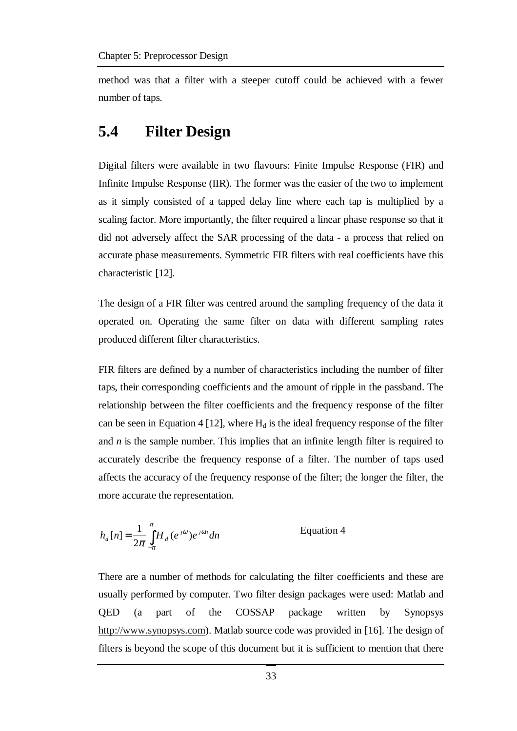method was that a filter with a steeper cutoff could be achieved with a fewer number of taps.

## **5.4 Filter Design**

Digital filters were available in two flavours: Finite Impulse Response (FIR) and Infinite Impulse Response (IIR). The former was the easier of the two to implement as it simply consisted of a tapped delay line where each tap is multiplied by a scaling factor. More importantly, the filter required a linear phase response so that it did not adversely affect the SAR processing of the data - a process that relied on accurate phase measurements. Symmetric FIR filters with real coefficients have this characteristic [12].

The design of a FIR filter was centred around the sampling frequency of the data it operated on. Operating the same filter on data with different sampling rates produced different filter characteristics.

FIR filters are defined by a number of characteristics including the number of filter taps, their corresponding coefficients and the amount of ripple in the passband. The relationship between the filter coefficients and the frequency response of the filter can be seen in Equation 4 [12], where  $H_d$  is the ideal frequency response of the filter and *n* is the sample number. This implies that an infinite length filter is required to accurately describe the frequency response of a filter. The number of taps used affects the accuracy of the frequency response of the filter; the longer the filter, the more accurate the representation.

$$
h_d[n] = \frac{1}{2\pi} \int_{-\pi}^{\pi} H_d(e^{j\omega}) e^{j\omega n} dn
$$
 Equation 4

There are a number of methods for calculating the filter coefficients and these are usually performed by computer. Two filter design packages were used: Matlab and QED (a part of the COSSAP package written by Synopsys http://www.synopsys.com). Matlab source code was provided in [16]. The design of filters is beyond the scope of this document but it is sufficient to mention that there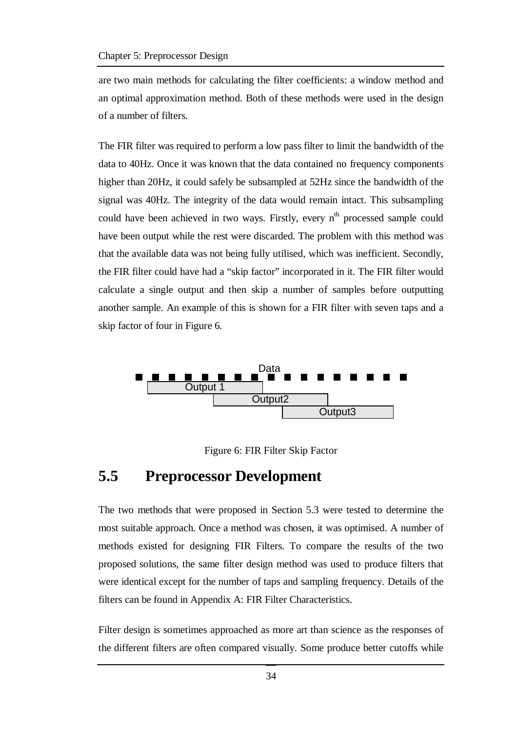are two main methods for calculating the filter coefficients: a window method and an optimal approximation method. Both of these methods were used in the design of a number of filters.

The FIR filter was required to perform a low pass filter to limit the bandwidth of the data to 40Hz. Once it was known that the data contained no frequency components higher than 20Hz, it could safely be subsampled at 52Hz since the bandwidth of the signal was 40Hz. The integrity of the data would remain intact. This subsampling could have been achieved in two ways. Firstly, every n<sup>th</sup> processed sample could have been output while the rest were discarded. The problem with this method was that the available data was not being fully utilised, which was inefficient. Secondly, the FIR filter could have had a "skip factor" incorporated in it. The FIR filter would calculate a single output and then skip a number of samples before outputting another sample. An example of this is shown for a FIR filter with seven taps and a skip factor of four in Figure 6.



Figure 6: FIR Filter Skip Factor

### **5.5 Preprocessor Development**

The two methods that were proposed in Section 5.3 were tested to determine the most suitable approach. Once a method was chosen, it was optimised. A number of methods existed for designing FIR Filters. To compare the results of the two proposed solutions, the same filter design method was used to produce filters that were identical except for the number of taps and sampling frequency. Details of the filters can be found in Appendix A: FIR Filter Characteristics.

Filter design is sometimes approached as more art than science as the responses of the different filters are often compared visually. Some produce better cutoffs while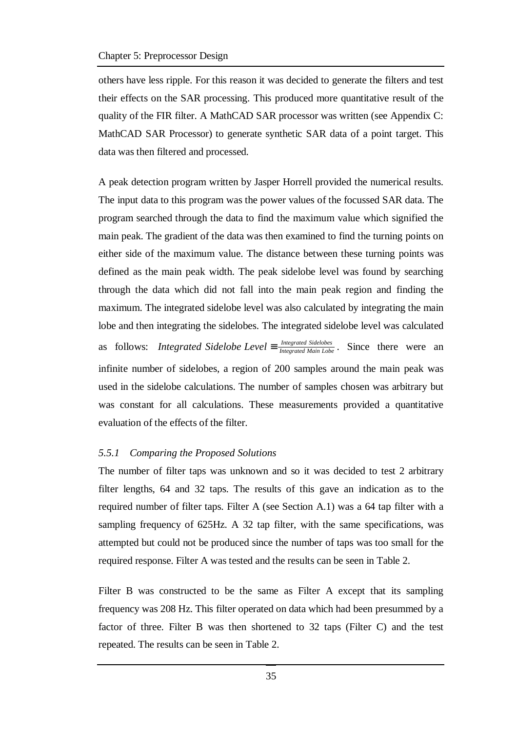others have less ripple. For this reason it was decided to generate the filters and test their effects on the SAR processing. This produced more quantitative result of the quality of the FIR filter. A MathCAD SAR processor was written (see Appendix C: MathCAD SAR Processor) to generate synthetic SAR data of a point target. This data was then filtered and processed.

A peak detection program written by Jasper Horrell provided the numerical results. The input data to this program was the power values of the focussed SAR data. The program searched through the data to find the maximum value which signified the main peak. The gradient of the data was then examined to find the turning points on either side of the maximum value. The distance between these turning points was defined as the main peak width. The peak sidelobe level was found by searching through the data which did not fall into the main peak region and finding the maximum. The integrated sidelobe level was also calculated by integrating the main lobe and then integrating the sidelobes. The integrated sidelobe level was calculated as follows: *Integrated Sidelobe Level*  $\equiv \frac{Integrated \; Sidelobes}{Integrated \; Main \; Lobes}$ . Since there were an infinite number of sidelobes, a region of 200 samples around the main peak was used in the sidelobe calculations. The number of samples chosen was arbitrary but was constant for all calculations. These measurements provided a quantitative evaluation of the effects of the filter.

#### *5.5.1 Comparing the Proposed Solutions*

The number of filter taps was unknown and so it was decided to test 2 arbitrary filter lengths, 64 and 32 taps. The results of this gave an indication as to the required number of filter taps. Filter A (see Section A.1) was a 64 tap filter with a sampling frequency of 625Hz. A 32 tap filter, with the same specifications, was attempted but could not be produced since the number of taps was too small for the required response. Filter A was tested and the results can be seen in Table 2.

Filter B was constructed to be the same as Filter A except that its sampling frequency was 208 Hz. This filter operated on data which had been presummed by a factor of three. Filter B was then shortened to 32 taps (Filter C) and the test repeated. The results can be seen in Table 2.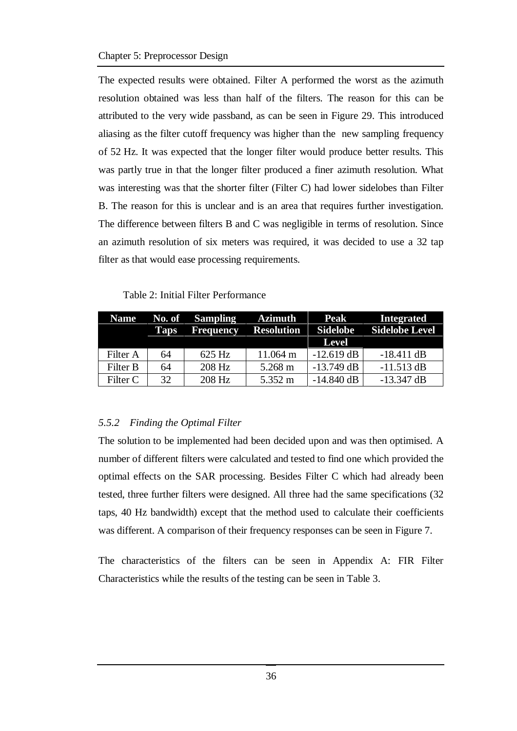The expected results were obtained. Filter A performed the worst as the azimuth resolution obtained was less than half of the filters. The reason for this can be attributed to the very wide passband, as can be seen in Figure 29. This introduced aliasing as the filter cutoff frequency was higher than the new sampling frequency of 52 Hz. It was expected that the longer filter would produce better results. This was partly true in that the longer filter produced a finer azimuth resolution. What was interesting was that the shorter filter (Filter C) had lower sidelobes than Filter B. The reason for this is unclear and is an area that requires further investigation. The difference between filters B and C was negligible in terms of resolution. Since an azimuth resolution of six meters was required, it was decided to use a 32 tap filter as that would ease processing requirements.

Table 2: Initial Filter Performance

| <b>Name</b> | <b>Taps</b> | No. of Sampling<br>Frequency | <b>Azimuth</b><br><b>Resolution</b> | <b>Peak</b><br><b>Sidelobe</b><br><b>Level</b> | <b>Integrated</b><br><b>Sidelobe Level</b> |
|-------------|-------------|------------------------------|-------------------------------------|------------------------------------------------|--------------------------------------------|
| Filter A    | 64          | 625 Hz                       | 11.064 m                            | $-12.619$ dB                                   | $-18.411$ dB                               |
| Filter B    | 64          | 208 Hz                       | 5.268 m                             | $-13.749$ dB                                   | $-11.513$ dB                               |
| Filter C    | 32          | 208 Hz                       | 5.352 m                             | $-14.840$ dB                                   | $-13.347$ dB                               |

#### *5.5.2 Finding the Optimal Filter*

The solution to be implemented had been decided upon and was then optimised. A number of different filters were calculated and tested to find one which provided the optimal effects on the SAR processing. Besides Filter C which had already been tested, three further filters were designed. All three had the same specifications (32 taps, 40 Hz bandwidth) except that the method used to calculate their coefficients was different. A comparison of their frequency responses can be seen in Figure 7.

The characteristics of the filters can be seen in Appendix A: FIR Filter Characteristics while the results of the testing can be seen in Table 3.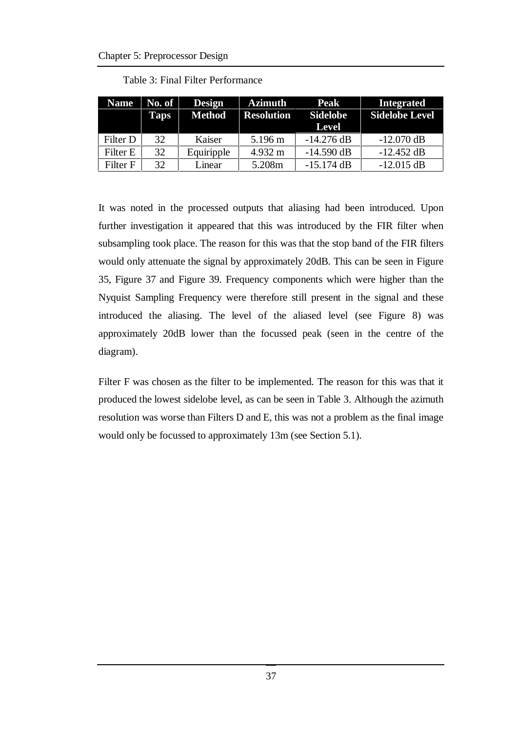| <b>Name</b> | No. of<br>Taps | <b>Design</b><br><b>Method</b> | <b>Azimuth</b><br><b>Resolution</b> | <b>Peak</b><br><b>Sidelobe</b> | <b>Integrated</b><br><b>Sidelobe Level</b> |
|-------------|----------------|--------------------------------|-------------------------------------|--------------------------------|--------------------------------------------|
|             |                |                                |                                     | <b>Level</b>                   |                                            |
| Filter D    | 32             | Kaiser                         | 5.196 m                             | $-14.276$ dB                   | $-12.070$ dB                               |
| Filter E    | 32             | Equiripple                     | 4.932 m                             | $-14.590$ dB                   | $-12.452$ dB                               |
| Filter F    | 32             | Linear                         | 5.208m                              | $-15.174$ dB                   | $-12.015$ dB                               |

Table 3: Final Filter Performance

It was noted in the processed outputs that aliasing had been introduced. Upon further investigation it appeared that this was introduced by the FIR filter when subsampling took place. The reason for this was that the stop band of the FIR filters would only attenuate the signal by approximately 20dB. This can be seen in Figure 35, Figure 37 and Figure 39. Frequency components which were higher than the Nyquist Sampling Frequency were therefore still present in the signal and these introduced the aliasing. The level of the aliased level (see Figure 8) was approximately 20dB lower than the focussed peak (seen in the centre of the diagram).

Filter F was chosen as the filter to be implemented. The reason for this was that it produced the lowest sidelobe level, as can be seen in Table 3. Although the azimuth resolution was worse than Filters D and E, this was not a problem as the final image would only be focussed to approximately 13m (see Section 5.1).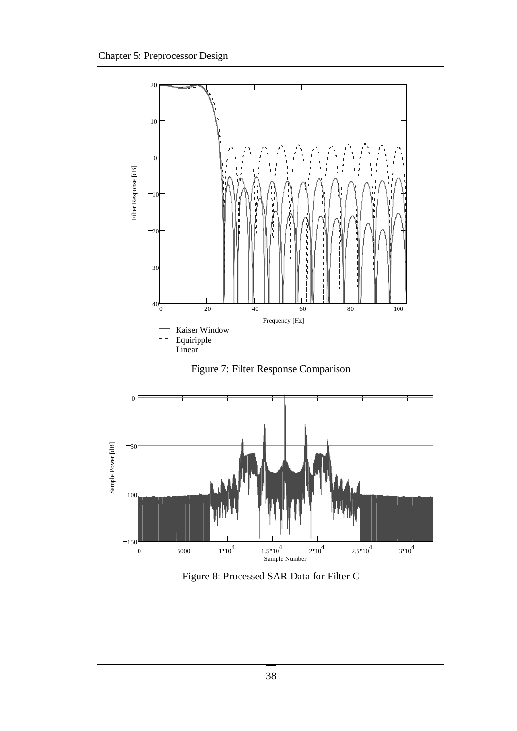





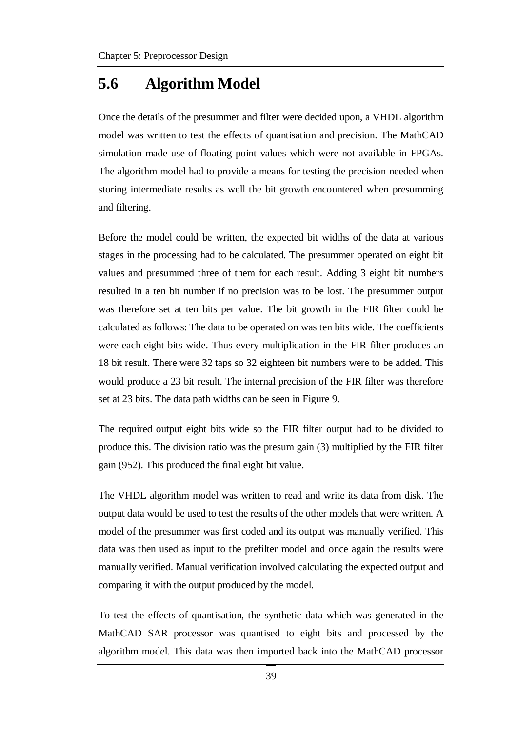### **5.6 Algorithm Model**

Once the details of the presummer and filter were decided upon, a VHDL algorithm model was written to test the effects of quantisation and precision. The MathCAD simulation made use of floating point values which were not available in FPGAs. The algorithm model had to provide a means for testing the precision needed when storing intermediate results as well the bit growth encountered when presumming and filtering.

Before the model could be written, the expected bit widths of the data at various stages in the processing had to be calculated. The presummer operated on eight bit values and presummed three of them for each result. Adding 3 eight bit numbers resulted in a ten bit number if no precision was to be lost. The presummer output was therefore set at ten bits per value. The bit growth in the FIR filter could be calculated as follows: The data to be operated on was ten bits wide. The coefficients were each eight bits wide. Thus every multiplication in the FIR filter produces an 18 bit result. There were 32 taps so 32 eighteen bit numbers were to be added. This would produce a 23 bit result. The internal precision of the FIR filter was therefore set at 23 bits. The data path widths can be seen in Figure 9.

The required output eight bits wide so the FIR filter output had to be divided to produce this. The division ratio was the presum gain (3) multiplied by the FIR filter gain (952). This produced the final eight bit value.

The VHDL algorithm model was written to read and write its data from disk. The output data would be used to test the results of the other models that were written. A model of the presummer was first coded and its output was manually verified. This data was then used as input to the prefilter model and once again the results were manually verified. Manual verification involved calculating the expected output and comparing it with the output produced by the model.

To test the effects of quantisation, the synthetic data which was generated in the MathCAD SAR processor was quantised to eight bits and processed by the algorithm model. This data was then imported back into the MathCAD processor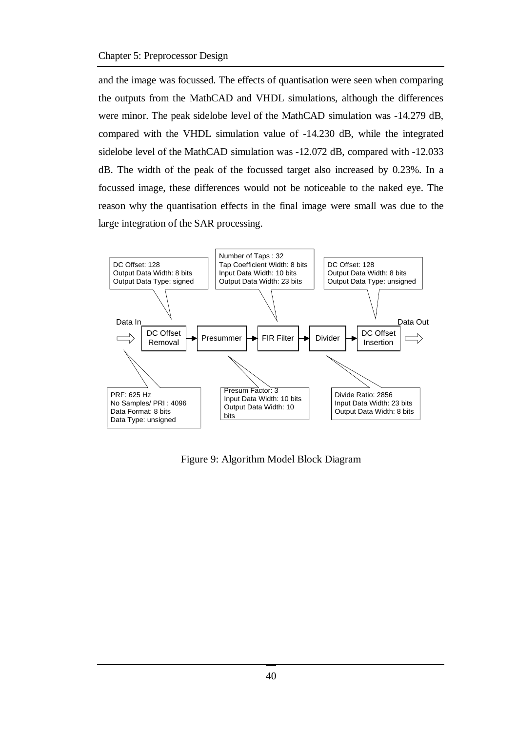and the image was focussed. The effects of quantisation were seen when comparing the outputs from the MathCAD and VHDL simulations, although the differences were minor. The peak sidelobe level of the MathCAD simulation was -14.279 dB, compared with the VHDL simulation value of -14.230 dB, while the integrated sidelobe level of the MathCAD simulation was -12.072 dB, compared with -12.033 dB. The width of the peak of the focussed target also increased by 0.23%. In a focussed image, these differences would not be noticeable to the naked eye. The reason why the quantisation effects in the final image were small was due to the large integration of the SAR processing.



Figure 9: Algorithm Model Block Diagram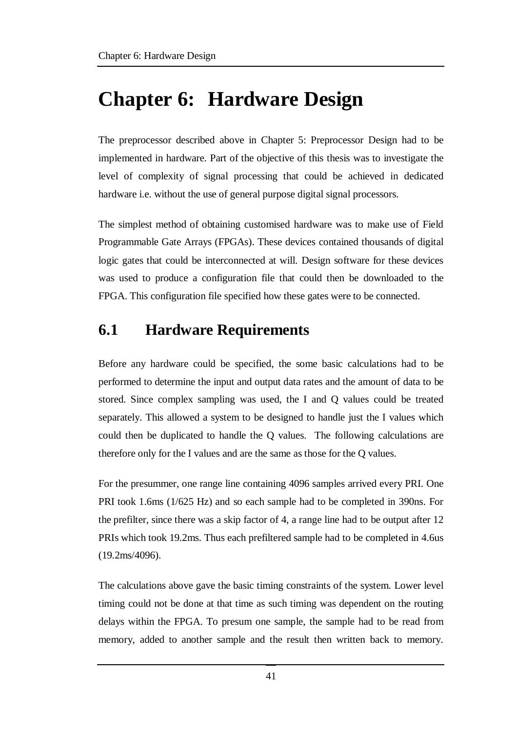# **Chapter 6: Hardware Design**

The preprocessor described above in Chapter 5: Preprocessor Design had to be implemented in hardware. Part of the objective of this thesis was to investigate the level of complexity of signal processing that could be achieved in dedicated hardware i.e. without the use of general purpose digital signal processors.

The simplest method of obtaining customised hardware was to make use of Field Programmable Gate Arrays (FPGAs). These devices contained thousands of digital logic gates that could be interconnected at will. Design software for these devices was used to produce a configuration file that could then be downloaded to the FPGA. This configuration file specified how these gates were to be connected.

# **6.1 Hardware Requirements**

Before any hardware could be specified, the some basic calculations had to be performed to determine the input and output data rates and the amount of data to be stored. Since complex sampling was used, the I and Q values could be treated separately. This allowed a system to be designed to handle just the I values which could then be duplicated to handle the Q values. The following calculations are therefore only for the I values and are the same as those for the Q values.

For the presummer, one range line containing 4096 samples arrived every PRI. One PRI took 1.6ms (1/625 Hz) and so each sample had to be completed in 390ns. For the prefilter, since there was a skip factor of 4, a range line had to be output after 12 PRIs which took 19.2ms. Thus each prefiltered sample had to be completed in 4.6us (19.2ms/4096).

The calculations above gave the basic timing constraints of the system. Lower level timing could not be done at that time as such timing was dependent on the routing delays within the FPGA. To presum one sample, the sample had to be read from memory, added to another sample and the result then written back to memory.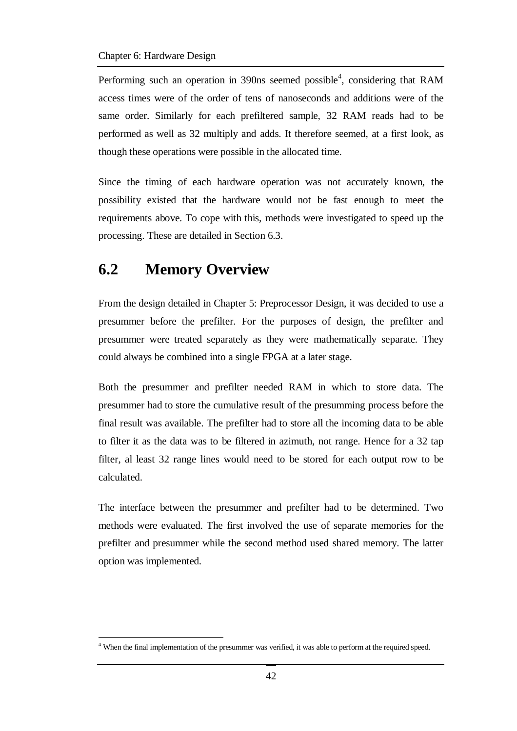Performing such an operation in 390ns seemed possible<sup>4</sup>, considering that RAM access times were of the order of tens of nanoseconds and additions were of the same order. Similarly for each prefiltered sample, 32 RAM reads had to be performed as well as 32 multiply and adds. It therefore seemed, at a first look, as though these operations were possible in the allocated time.

Since the timing of each hardware operation was not accurately known, the possibility existed that the hardware would not be fast enough to meet the requirements above. To cope with this, methods were investigated to speed up the processing. These are detailed in Section 6.3.

# **6.2 Memory Overview**

 $\overline{a}$ 

From the design detailed in Chapter 5: Preprocessor Design, it was decided to use a presummer before the prefilter. For the purposes of design, the prefilter and presummer were treated separately as they were mathematically separate. They could always be combined into a single FPGA at a later stage.

Both the presummer and prefilter needed RAM in which to store data. The presummer had to store the cumulative result of the presumming process before the final result was available. The prefilter had to store all the incoming data to be able to filter it as the data was to be filtered in azimuth, not range. Hence for a 32 tap filter, al least 32 range lines would need to be stored for each output row to be calculated.

The interface between the presummer and prefilter had to be determined. Two methods were evaluated. The first involved the use of separate memories for the prefilter and presummer while the second method used shared memory. The latter option was implemented.

<sup>&</sup>lt;sup>4</sup> When the final implementation of the presummer was verified, it was able to perform at the required speed.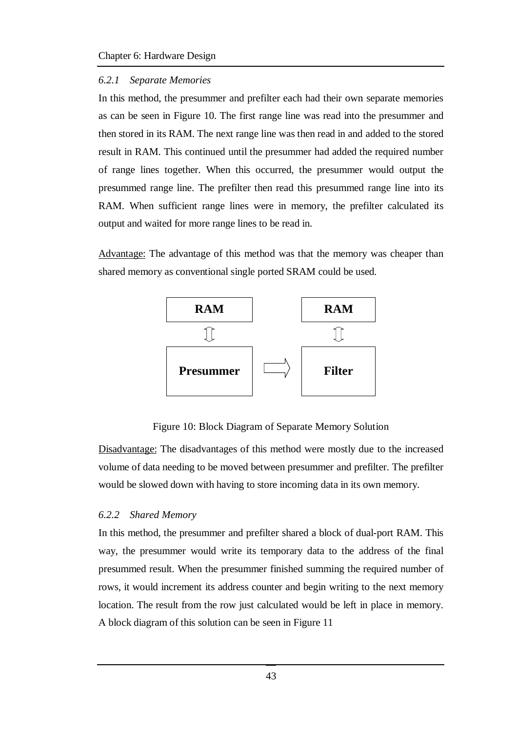#### *6.2.1 Separate Memories*

In this method, the presummer and prefilter each had their own separate memories as can be seen in Figure 10. The first range line was read into the presummer and then stored in its RAM. The next range line was then read in and added to the stored result in RAM. This continued until the presummer had added the required number of range lines together. When this occurred, the presummer would output the presummed range line. The prefilter then read this presummed range line into its RAM. When sufficient range lines were in memory, the prefilter calculated its output and waited for more range lines to be read in.

Advantage: The advantage of this method was that the memory was cheaper than shared memory as conventional single ported SRAM could be used.



Figure 10: Block Diagram of Separate Memory Solution

Disadvantage: The disadvantages of this method were mostly due to the increased volume of data needing to be moved between presummer and prefilter. The prefilter would be slowed down with having to store incoming data in its own memory.

#### *6.2.2 Shared Memory*

In this method, the presummer and prefilter shared a block of dual-port RAM. This way, the presummer would write its temporary data to the address of the final presummed result. When the presummer finished summing the required number of rows, it would increment its address counter and begin writing to the next memory location. The result from the row just calculated would be left in place in memory. A block diagram of this solution can be seen in Figure 11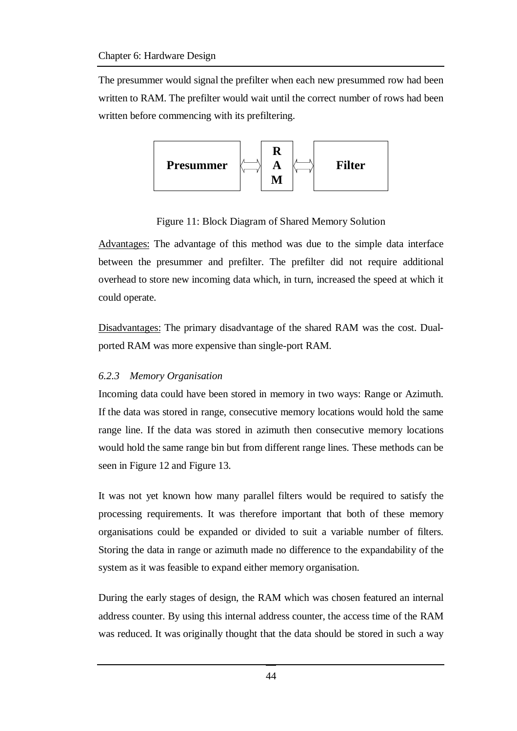The presummer would signal the prefilter when each new presummed row had been written to RAM. The prefilter would wait until the correct number of rows had been written before commencing with its prefiltering.



Figure 11: Block Diagram of Shared Memory Solution

Advantages: The advantage of this method was due to the simple data interface between the presummer and prefilter. The prefilter did not require additional overhead to store new incoming data which, in turn, increased the speed at which it could operate.

Disadvantages: The primary disadvantage of the shared RAM was the cost. Dualported RAM was more expensive than single-port RAM.

#### *6.2.3 Memory Organisation*

Incoming data could have been stored in memory in two ways: Range or Azimuth. If the data was stored in range, consecutive memory locations would hold the same range line. If the data was stored in azimuth then consecutive memory locations would hold the same range bin but from different range lines. These methods can be seen in Figure 12 and Figure 13.

It was not yet known how many parallel filters would be required to satisfy the processing requirements. It was therefore important that both of these memory organisations could be expanded or divided to suit a variable number of filters. Storing the data in range or azimuth made no difference to the expandability of the system as it was feasible to expand either memory organisation.

During the early stages of design, the RAM which was chosen featured an internal address counter. By using this internal address counter, the access time of the RAM was reduced. It was originally thought that the data should be stored in such a way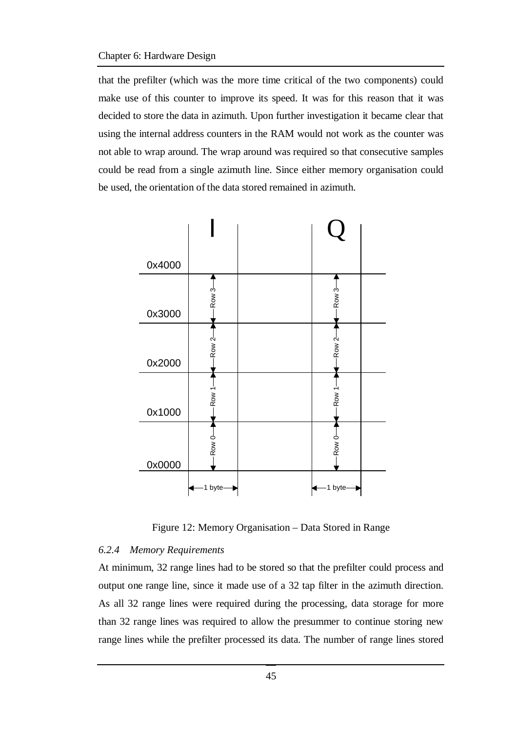that the prefilter (which was the more time critical of the two components) could make use of this counter to improve its speed. It was for this reason that it was decided to store the data in azimuth. Upon further investigation it became clear that using the internal address counters in the RAM would not work as the counter was not able to wrap around. The wrap around was required so that consecutive samples could be read from a single azimuth line. Since either memory organisation could be used, the orientation of the data stored remained in azimuth.



Figure 12: Memory Organisation – Data Stored in Range

#### *6.2.4 Memory Requirements*

At minimum, 32 range lines had to be stored so that the prefilter could process and output one range line, since it made use of a 32 tap filter in the azimuth direction. As all 32 range lines were required during the processing, data storage for more than 32 range lines was required to allow the presummer to continue storing new range lines while the prefilter processed its data. The number of range lines stored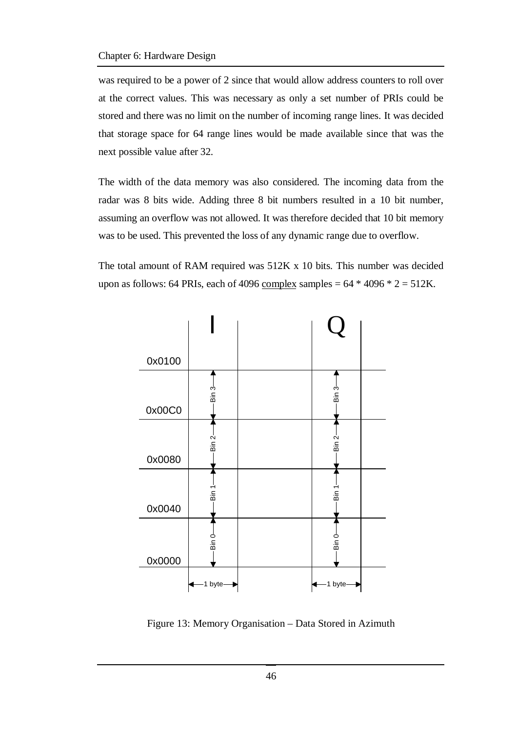was required to be a power of 2 since that would allow address counters to roll over at the correct values. This was necessary as only a set number of PRIs could be stored and there was no limit on the number of incoming range lines. It was decided that storage space for 64 range lines would be made available since that was the next possible value after 32.

The width of the data memory was also considered. The incoming data from the radar was 8 bits wide. Adding three 8 bit numbers resulted in a 10 bit number, assuming an overflow was not allowed. It was therefore decided that 10 bit memory was to be used. This prevented the loss of any dynamic range due to overflow.

The total amount of RAM required was 512K x 10 bits. This number was decided upon as follows: 64 PRIs, each of 4096 complex samples =  $64 * 4096 * 2 = 512K$ .



Figure 13: Memory Organisation – Data Stored in Azimuth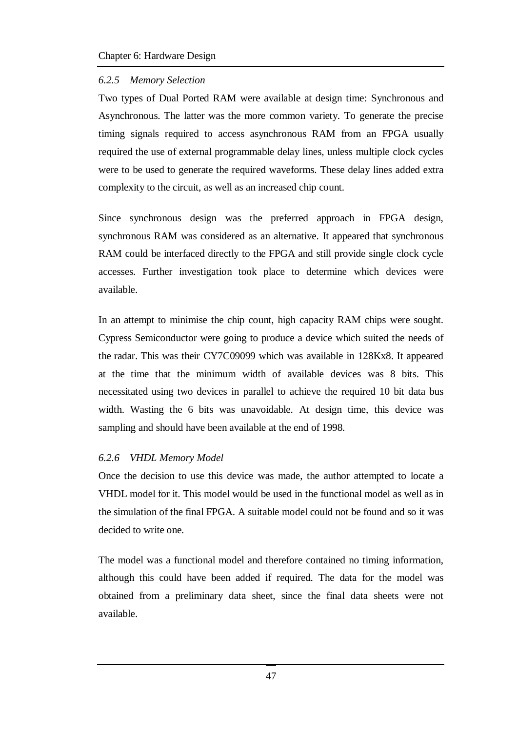#### *6.2.5 Memory Selection*

Two types of Dual Ported RAM were available at design time: Synchronous and Asynchronous. The latter was the more common variety. To generate the precise timing signals required to access asynchronous RAM from an FPGA usually required the use of external programmable delay lines, unless multiple clock cycles were to be used to generate the required waveforms. These delay lines added extra complexity to the circuit, as well as an increased chip count.

Since synchronous design was the preferred approach in FPGA design, synchronous RAM was considered as an alternative. It appeared that synchronous RAM could be interfaced directly to the FPGA and still provide single clock cycle accesses. Further investigation took place to determine which devices were available.

In an attempt to minimise the chip count, high capacity RAM chips were sought. Cypress Semiconductor were going to produce a device which suited the needs of the radar. This was their CY7C09099 which was available in 128Kx8. It appeared at the time that the minimum width of available devices was 8 bits. This necessitated using two devices in parallel to achieve the required 10 bit data bus width. Wasting the 6 bits was unavoidable. At design time, this device was sampling and should have been available at the end of 1998.

#### *6.2.6 VHDL Memory Model*

Once the decision to use this device was made, the author attempted to locate a VHDL model for it. This model would be used in the functional model as well as in the simulation of the final FPGA. A suitable model could not be found and so it was decided to write one.

The model was a functional model and therefore contained no timing information, although this could have been added if required. The data for the model was obtained from a preliminary data sheet, since the final data sheets were not available.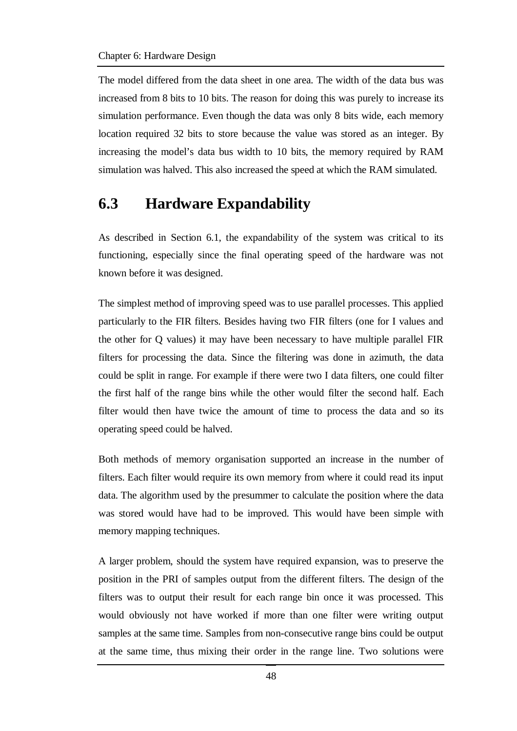The model differed from the data sheet in one area. The width of the data bus was increased from 8 bits to 10 bits. The reason for doing this was purely to increase its simulation performance. Even though the data was only 8 bits wide, each memory location required 32 bits to store because the value was stored as an integer. By increasing the model's data bus width to 10 bits, the memory required by RAM simulation was halved. This also increased the speed at which the RAM simulated.

### **6.3 Hardware Expandability**

As described in Section 6.1, the expandability of the system was critical to its functioning, especially since the final operating speed of the hardware was not known before it was designed.

The simplest method of improving speed was to use parallel processes. This applied particularly to the FIR filters. Besides having two FIR filters (one for I values and the other for Q values) it may have been necessary to have multiple parallel FIR filters for processing the data. Since the filtering was done in azimuth, the data could be split in range. For example if there were two I data filters, one could filter the first half of the range bins while the other would filter the second half. Each filter would then have twice the amount of time to process the data and so its operating speed could be halved.

Both methods of memory organisation supported an increase in the number of filters. Each filter would require its own memory from where it could read its input data. The algorithm used by the presummer to calculate the position where the data was stored would have had to be improved. This would have been simple with memory mapping techniques.

A larger problem, should the system have required expansion, was to preserve the position in the PRI of samples output from the different filters. The design of the filters was to output their result for each range bin once it was processed. This would obviously not have worked if more than one filter were writing output samples at the same time. Samples from non-consecutive range bins could be output at the same time, thus mixing their order in the range line. Two solutions were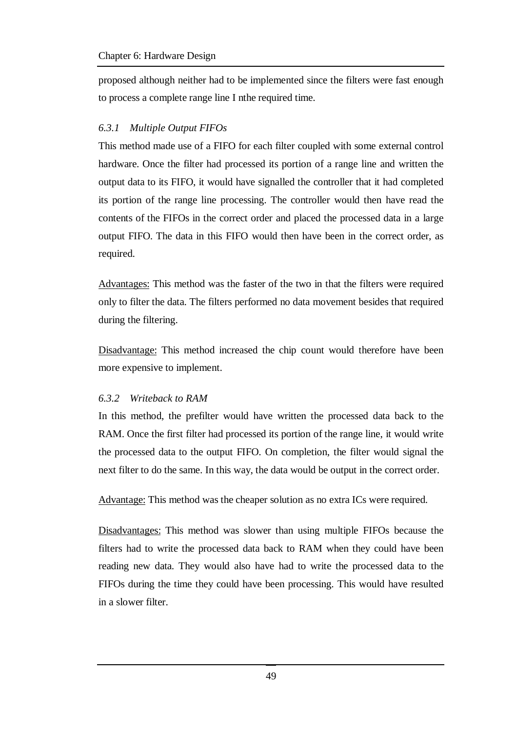proposed although neither had to be implemented since the filters were fast enough to process a complete range line I nthe required time.

#### *6.3.1 Multiple Output FIFOs*

This method made use of a FIFO for each filter coupled with some external control hardware. Once the filter had processed its portion of a range line and written the output data to its FIFO, it would have signalled the controller that it had completed its portion of the range line processing. The controller would then have read the contents of the FIFOs in the correct order and placed the processed data in a large output FIFO. The data in this FIFO would then have been in the correct order, as required.

Advantages: This method was the faster of the two in that the filters were required only to filter the data. The filters performed no data movement besides that required during the filtering.

Disadvantage: This method increased the chip count would therefore have been more expensive to implement.

#### *6.3.2 Writeback to RAM*

In this method, the prefilter would have written the processed data back to the RAM. Once the first filter had processed its portion of the range line, it would write the processed data to the output FIFO. On completion, the filter would signal the next filter to do the same. In this way, the data would be output in the correct order.

Advantage: This method was the cheaper solution as no extra ICs were required.

Disadvantages: This method was slower than using multiple FIFOs because the filters had to write the processed data back to RAM when they could have been reading new data. They would also have had to write the processed data to the FIFOs during the time they could have been processing. This would have resulted in a slower filter.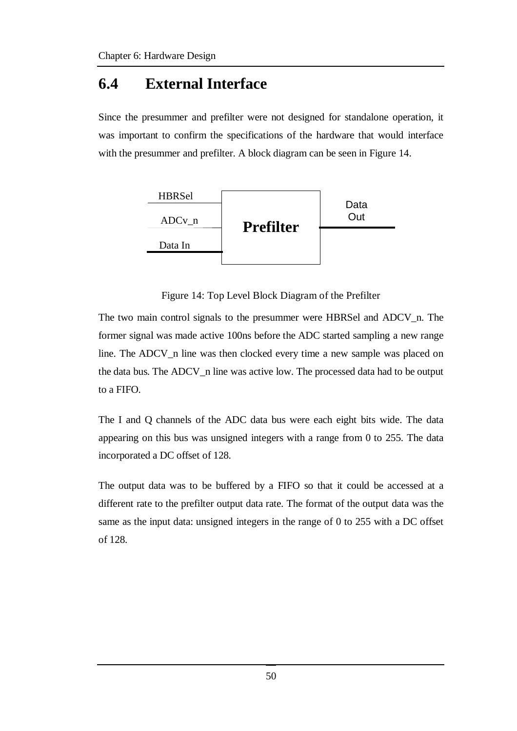# **6.4 External Interface**

Since the presummer and prefilter were not designed for standalone operation, it was important to confirm the specifications of the hardware that would interface with the presummer and prefilter. A block diagram can be seen in Figure 14.



Figure 14: Top Level Block Diagram of the Prefilter

The two main control signals to the presummer were HBRSel and ADCV\_n. The former signal was made active 100ns before the ADC started sampling a new range line. The ADCV\_n line was then clocked every time a new sample was placed on the data bus. The ADCV\_n line was active low. The processed data had to be output to a FIFO.

The I and Q channels of the ADC data bus were each eight bits wide. The data appearing on this bus was unsigned integers with a range from 0 to 255. The data incorporated a DC offset of 128.

The output data was to be buffered by a FIFO so that it could be accessed at a different rate to the prefilter output data rate. The format of the output data was the same as the input data: unsigned integers in the range of 0 to 255 with a DC offset of 128.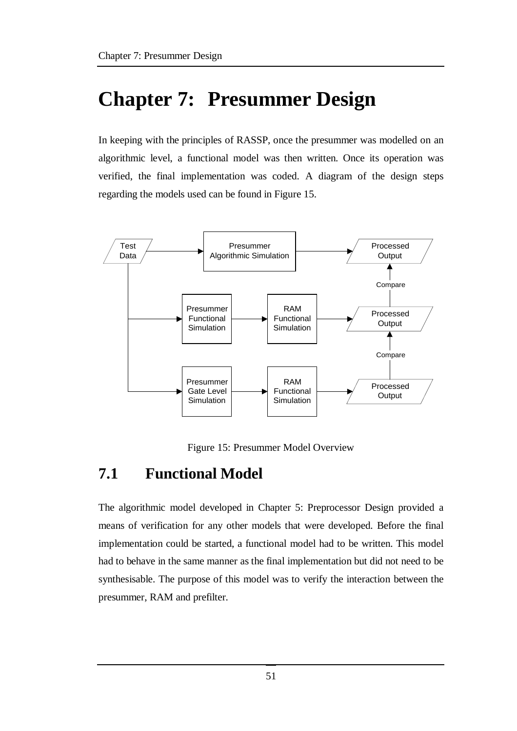# **Chapter 7: Presummer Design**

In keeping with the principles of RASSP, once the presummer was modelled on an algorithmic level, a functional model was then written. Once its operation was verified, the final implementation was coded. A diagram of the design steps regarding the models used can be found in Figure 15.



Figure 15: Presummer Model Overview

## **7.1 Functional Model**

The algorithmic model developed in Chapter 5: Preprocessor Design provided a means of verification for any other models that were developed. Before the final implementation could be started, a functional model had to be written. This model had to behave in the same manner as the final implementation but did not need to be synthesisable. The purpose of this model was to verify the interaction between the presummer, RAM and prefilter.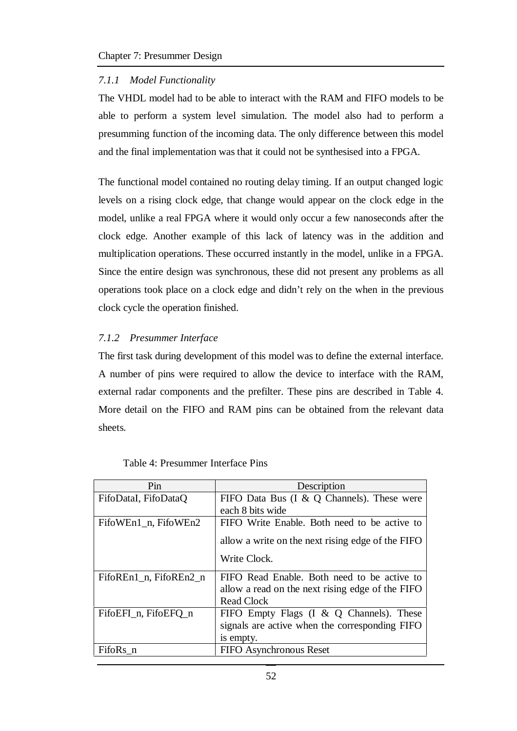#### *7.1.1 Model Functionality*

The VHDL model had to be able to interact with the RAM and FIFO models to be able to perform a system level simulation. The model also had to perform a presumming function of the incoming data. The only difference between this model and the final implementation was that it could not be synthesised into a FPGA.

The functional model contained no routing delay timing. If an output changed logic levels on a rising clock edge, that change would appear on the clock edge in the model, unlike a real FPGA where it would only occur a few nanoseconds after the clock edge. Another example of this lack of latency was in the addition and multiplication operations. These occurred instantly in the model, unlike in a FPGA. Since the entire design was synchronous, these did not present any problems as all operations took place on a clock edge and didn't rely on the when in the previous clock cycle the operation finished.

#### *7.1.2 Presummer Interface*

The first task during development of this model was to define the external interface. A number of pins were required to allow the device to interface with the RAM, external radar components and the prefilter. These pins are described in Table 4. More detail on the FIFO and RAM pins can be obtained from the relevant data sheets.

| Pin                    | Description                                       |
|------------------------|---------------------------------------------------|
| FifoDataI, FifoDataO   | FIFO Data Bus $(I \& Q$ Channels). These were     |
|                        | each 8 bits wide                                  |
| FifoWEn1_n, FifoWEn2   | FIFO Write Enable. Both need to be active to      |
|                        | allow a write on the next rising edge of the FIFO |
|                        | Write Clock.                                      |
| FifoREn1_n, FifoREn2_n | FIFO Read Enable. Both need to be active to       |
|                        | allow a read on the next rising edge of the FIFO  |
|                        | <b>Read Clock</b>                                 |
| FifoEFI_n, FifoEFQ_n   | FIFO Empty Flags (I & Q Channels). These          |
|                        | signals are active when the corresponding FIFO    |
|                        | is empty.                                         |
| FifoRs_n               | FIFO Asynchronous Reset                           |

| Table 4: Presummer Interface Pins |  |  |
|-----------------------------------|--|--|
|-----------------------------------|--|--|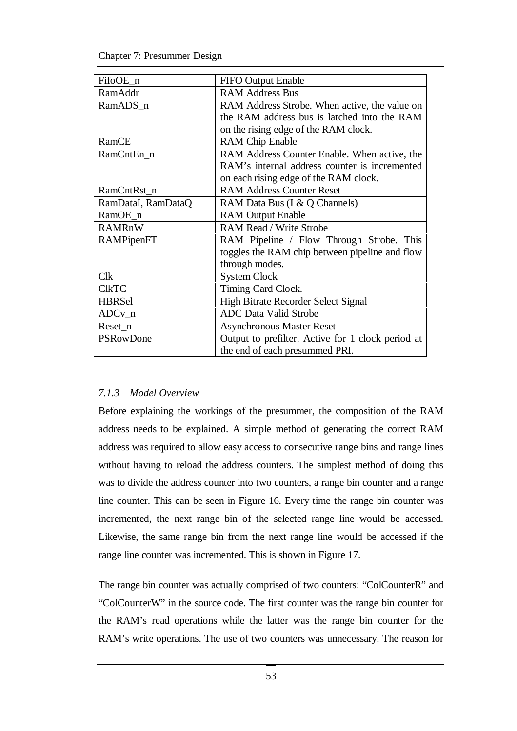| FifoOE_n           | FIFO Output Enable                                |  |  |
|--------------------|---------------------------------------------------|--|--|
| RamAddr            | <b>RAM Address Bus</b>                            |  |  |
| RamADS n           | RAM Address Strobe. When active, the value on     |  |  |
|                    | the RAM address bus is latched into the RAM       |  |  |
|                    | on the rising edge of the RAM clock.              |  |  |
| RamCE              | <b>RAM Chip Enable</b>                            |  |  |
| RamCntEn n         | RAM Address Counter Enable. When active, the      |  |  |
|                    | RAM's internal address counter is incremented     |  |  |
|                    | on each rising edge of the RAM clock.             |  |  |
| RamCntRst_n        | <b>RAM Address Counter Reset</b>                  |  |  |
| RamDataI, RamDataQ | RAM Data Bus (I & Q Channels)                     |  |  |
| RamOE_n            | <b>RAM Output Enable</b>                          |  |  |
| <b>RAMRnW</b>      | <b>RAM Read / Write Strobe</b>                    |  |  |
| RAMPipenFT         | RAM Pipeline / Flow Through Strobe. This          |  |  |
|                    | toggles the RAM chip between pipeline and flow    |  |  |
|                    | through modes.                                    |  |  |
| <b>Clk</b>         | <b>System Clock</b>                               |  |  |
| <b>CIKTC</b>       | Timing Card Clock.                                |  |  |
| <b>HBRSel</b>      | High Bitrate Recorder Select Signal               |  |  |
| $ADCv_n$           | <b>ADC Data Valid Strobe</b>                      |  |  |
| Reset_n            | <b>Asynchronous Master Reset</b>                  |  |  |
| <b>PSRowDone</b>   | Output to prefilter. Active for 1 clock period at |  |  |
|                    | the end of each presummed PRI.                    |  |  |

#### *7.1.3 Model Overview*

Before explaining the workings of the presummer, the composition of the RAM address needs to be explained. A simple method of generating the correct RAM address was required to allow easy access to consecutive range bins and range lines without having to reload the address counters. The simplest method of doing this was to divide the address counter into two counters, a range bin counter and a range line counter. This can be seen in Figure 16. Every time the range bin counter was incremented, the next range bin of the selected range line would be accessed. Likewise, the same range bin from the next range line would be accessed if the range line counter was incremented. This is shown in Figure 17.

The range bin counter was actually comprised of two counters: "ColCounterR" and "ColCounterW" in the source code. The first counter was the range bin counter for the RAM's read operations while the latter was the range bin counter for the RAM's write operations. The use of two counters was unnecessary. The reason for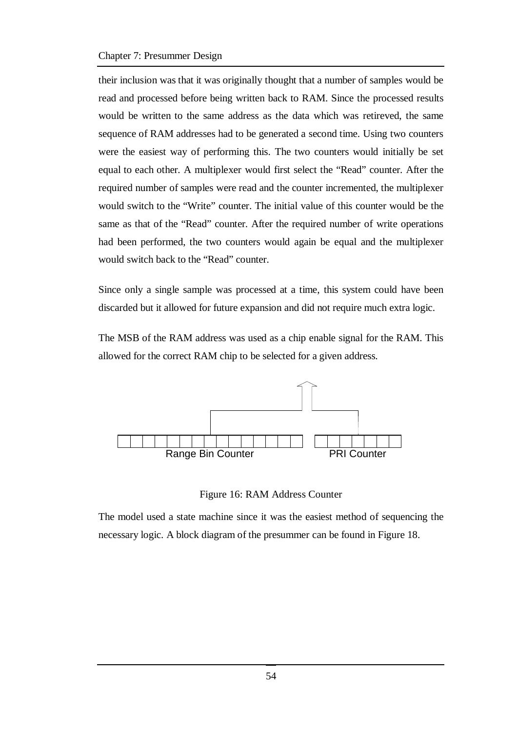#### Chapter 7: Presummer Design

their inclusion was that it was originally thought that a number of samples would be read and processed before being written back to RAM. Since the processed results would be written to the same address as the data which was retireved, the same sequence of RAM addresses had to be generated a second time. Using two counters were the easiest way of performing this. The two counters would initially be set equal to each other. A multiplexer would first select the "Read" counter. After the required number of samples were read and the counter incremented, the multiplexer would switch to the "Write" counter. The initial value of this counter would be the same as that of the "Read" counter. After the required number of write operations had been performed, the two counters would again be equal and the multiplexer would switch back to the "Read" counter.

Since only a single sample was processed at a time, this system could have been discarded but it allowed for future expansion and did not require much extra logic.

The MSB of the RAM address was used as a chip enable signal for the RAM. This allowed for the correct RAM chip to be selected for a given address.



Figure 16: RAM Address Counter

The model used a state machine since it was the easiest method of sequencing the necessary logic. A block diagram of the presummer can be found in Figure 18.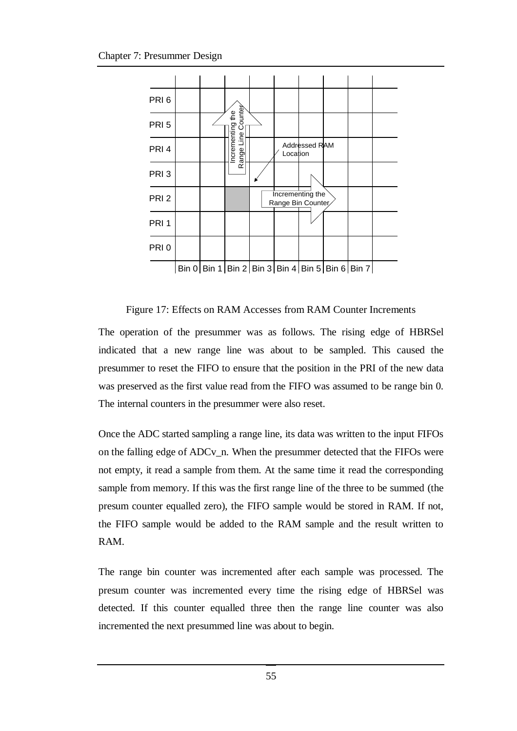

Figure 17: Effects on RAM Accesses from RAM Counter Increments

The operation of the presummer was as follows. The rising edge of HBRSel indicated that a new range line was about to be sampled. This caused the presummer to reset the FIFO to ensure that the position in the PRI of the new data was preserved as the first value read from the FIFO was assumed to be range bin 0. The internal counters in the presummer were also reset.

Once the ADC started sampling a range line, its data was written to the input FIFOs on the falling edge of ADCv\_n. When the presummer detected that the FIFOs were not empty, it read a sample from them. At the same time it read the corresponding sample from memory. If this was the first range line of the three to be summed (the presum counter equalled zero), the FIFO sample would be stored in RAM. If not, the FIFO sample would be added to the RAM sample and the result written to RAM.

The range bin counter was incremented after each sample was processed. The presum counter was incremented every time the rising edge of HBRSel was detected. If this counter equalled three then the range line counter was also incremented the next presummed line was about to begin.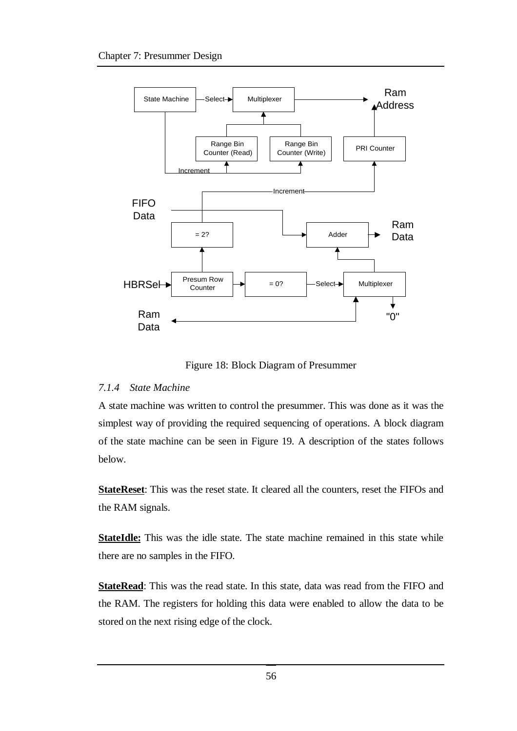

Figure 18: Block Diagram of Presummer

#### *7.1.4 State Machine*

A state machine was written to control the presummer. This was done as it was the simplest way of providing the required sequencing of operations. A block diagram of the state machine can be seen in Figure 19. A description of the states follows below.

**StateReset**: This was the reset state. It cleared all the counters, reset the FIFOs and the RAM signals.

**StateIdle:** This was the idle state. The state machine remained in this state while there are no samples in the FIFO.

**StateRead**: This was the read state. In this state, data was read from the FIFO and the RAM. The registers for holding this data were enabled to allow the data to be stored on the next rising edge of the clock.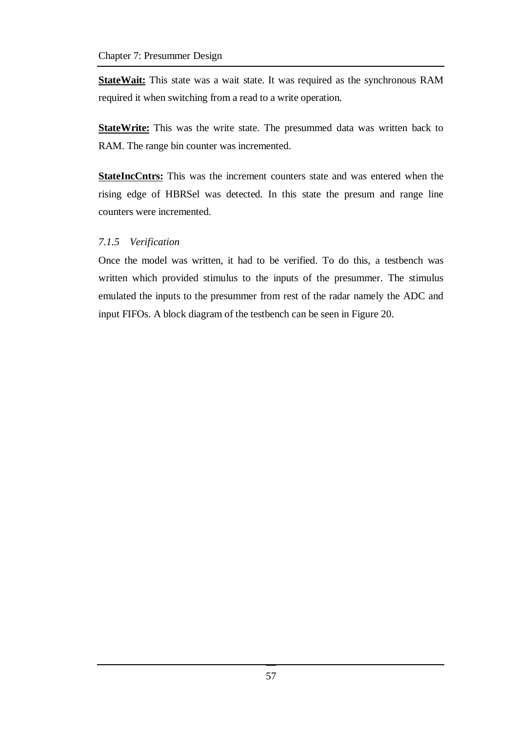**StateWait:** This state was a wait state. It was required as the synchronous RAM required it when switching from a read to a write operation.

**StateWrite:** This was the write state. The presummed data was written back to RAM. The range bin counter was incremented.

**StateIncCntrs:** This was the increment counters state and was entered when the rising edge of HBRSel was detected. In this state the presum and range line counters were incremented.

#### *7.1.5 Verification*

Once the model was written, it had to be verified. To do this, a testbench was written which provided stimulus to the inputs of the presummer. The stimulus emulated the inputs to the presummer from rest of the radar namely the ADC and input FIFOs. A block diagram of the testbench can be seen in Figure 20.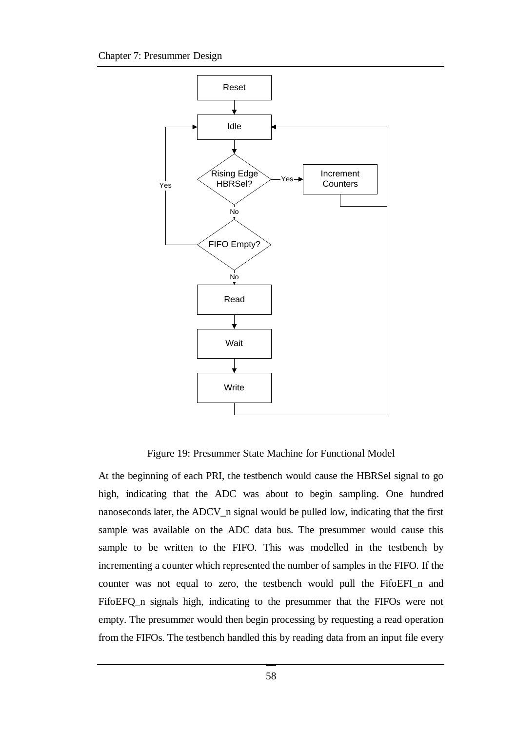

Figure 19: Presummer State Machine for Functional Model

At the beginning of each PRI, the testbench would cause the HBRSel signal to go high, indicating that the ADC was about to begin sampling. One hundred nanoseconds later, the ADCV\_n signal would be pulled low, indicating that the first sample was available on the ADC data bus. The presummer would cause this sample to be written to the FIFO. This was modelled in the testbench by incrementing a counter which represented the number of samples in the FIFO. If the counter was not equal to zero, the testbench would pull the FifoEFI\_n and FifoEFQ\_n signals high, indicating to the presummer that the FIFOs were not empty. The presummer would then begin processing by requesting a read operation from the FIFOs. The testbench handled this by reading data from an input file every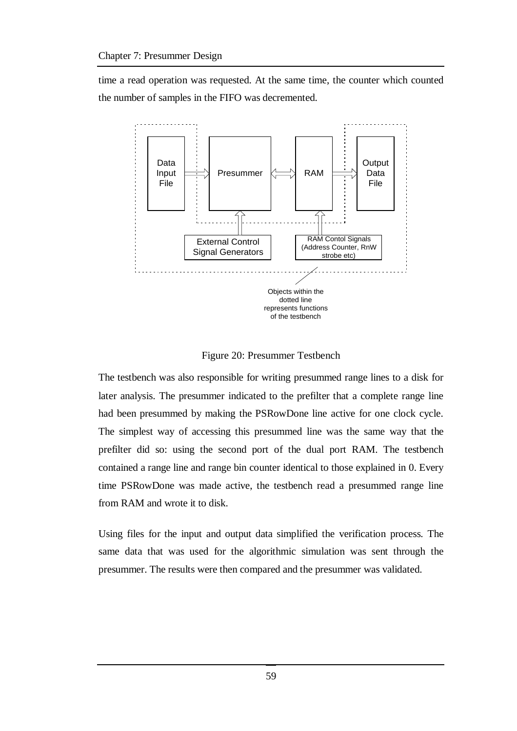time a read operation was requested. At the same time, the counter which counted the number of samples in the FIFO was decremented.



Figure 20: Presummer Testbench

The testbench was also responsible for writing presummed range lines to a disk for later analysis. The presummer indicated to the prefilter that a complete range line had been presummed by making the PSRowDone line active for one clock cycle. The simplest way of accessing this presummed line was the same way that the prefilter did so: using the second port of the dual port RAM. The testbench contained a range line and range bin counter identical to those explained in 0. Every time PSRowDone was made active, the testbench read a presummed range line from RAM and wrote it to disk.

Using files for the input and output data simplified the verification process. The same data that was used for the algorithmic simulation was sent through the presummer. The results were then compared and the presummer was validated.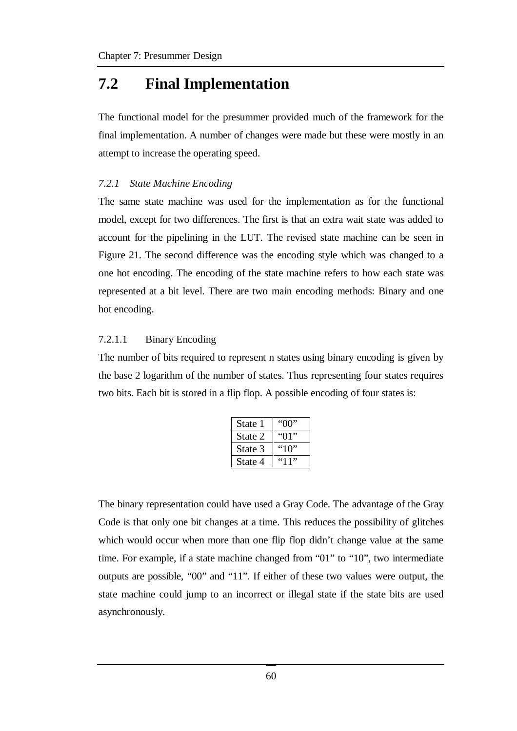## **7.2 Final Implementation**

The functional model for the presummer provided much of the framework for the final implementation. A number of changes were made but these were mostly in an attempt to increase the operating speed.

### *7.2.1 State Machine Encoding*

The same state machine was used for the implementation as for the functional model, except for two differences. The first is that an extra wait state was added to account for the pipelining in the LUT. The revised state machine can be seen in Figure 21. The second difference was the encoding style which was changed to a one hot encoding. The encoding of the state machine refers to how each state was represented at a bit level. There are two main encoding methods: Binary and one hot encoding.

### 7.2.1.1 Binary Encoding

The number of bits required to represent n states using binary encoding is given by the base 2 logarithm of the number of states. Thus representing four states requires two bits. Each bit is stored in a flip flop. A possible encoding of four states is:

| State 1 | "በበ"        |
|---------|-------------|
| State 2 | 91"         |
| State 3 | "10"        |
| State 4 | <u>"11"</u> |

The binary representation could have used a Gray Code. The advantage of the Gray Code is that only one bit changes at a time. This reduces the possibility of glitches which would occur when more than one flip flop didn't change value at the same time. For example, if a state machine changed from "01" to "10", two intermediate outputs are possible, "00" and "11". If either of these two values were output, the state machine could jump to an incorrect or illegal state if the state bits are used asynchronously.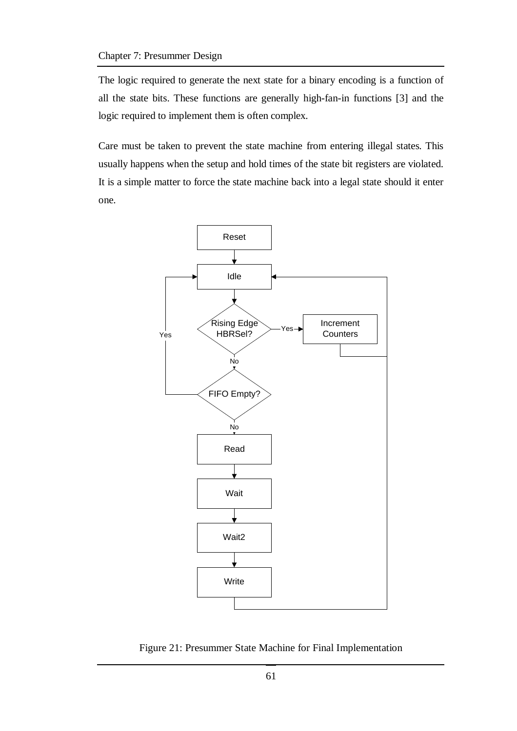The logic required to generate the next state for a binary encoding is a function of all the state bits. These functions are generally high-fan-in functions [3] and the logic required to implement them is often complex.

Care must be taken to prevent the state machine from entering illegal states. This usually happens when the setup and hold times of the state bit registers are violated. It is a simple matter to force the state machine back into a legal state should it enter one.



Figure 21: Presummer State Machine for Final Implementation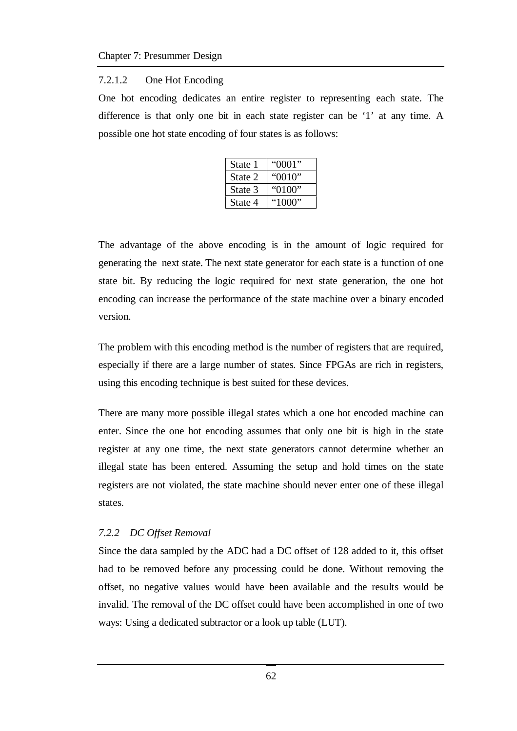#### 7.2.1.2 One Hot Encoding

One hot encoding dedicates an entire register to representing each state. The difference is that only one bit in each state register can be '1' at any time. A possible one hot state encoding of four states is as follows:

| State 1 | "0001" |
|---------|--------|
| State 2 | "0010" |
| State 3 | "0100" |
| State 4 | "1000" |

The advantage of the above encoding is in the amount of logic required for generating the next state. The next state generator for each state is a function of one state bit. By reducing the logic required for next state generation, the one hot encoding can increase the performance of the state machine over a binary encoded version.

The problem with this encoding method is the number of registers that are required, especially if there are a large number of states. Since FPGAs are rich in registers, using this encoding technique is best suited for these devices.

There are many more possible illegal states which a one hot encoded machine can enter. Since the one hot encoding assumes that only one bit is high in the state register at any one time, the next state generators cannot determine whether an illegal state has been entered. Assuming the setup and hold times on the state registers are not violated, the state machine should never enter one of these illegal states.

#### *7.2.2 DC Offset Removal*

Since the data sampled by the ADC had a DC offset of 128 added to it, this offset had to be removed before any processing could be done. Without removing the offset, no negative values would have been available and the results would be invalid. The removal of the DC offset could have been accomplished in one of two ways: Using a dedicated subtractor or a look up table (LUT).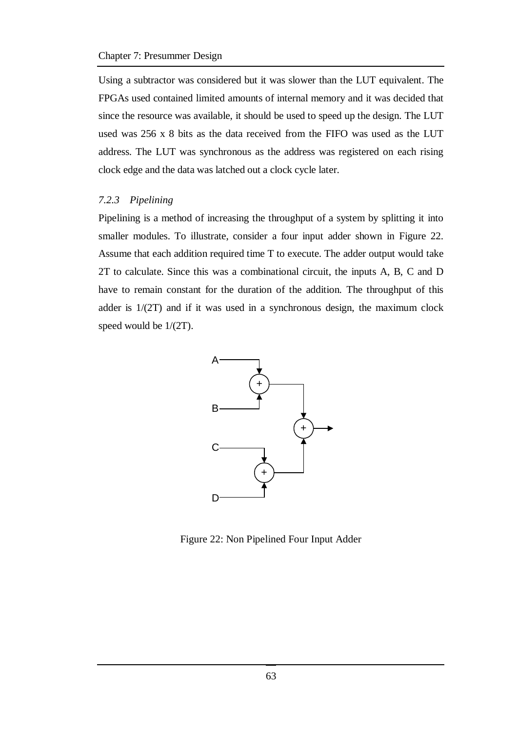Using a subtractor was considered but it was slower than the LUT equivalent. The FPGAs used contained limited amounts of internal memory and it was decided that since the resource was available, it should be used to speed up the design. The LUT used was 256 x 8 bits as the data received from the FIFO was used as the LUT address. The LUT was synchronous as the address was registered on each rising clock edge and the data was latched out a clock cycle later.

#### *7.2.3 Pipelining*

Pipelining is a method of increasing the throughput of a system by splitting it into smaller modules. To illustrate, consider a four input adder shown in Figure 22. Assume that each addition required time T to execute. The adder output would take 2T to calculate. Since this was a combinational circuit, the inputs A, B, C and D have to remain constant for the duration of the addition. The throughput of this adder is 1/(2T) and if it was used in a synchronous design, the maximum clock speed would be 1/(2T).



Figure 22: Non Pipelined Four Input Adder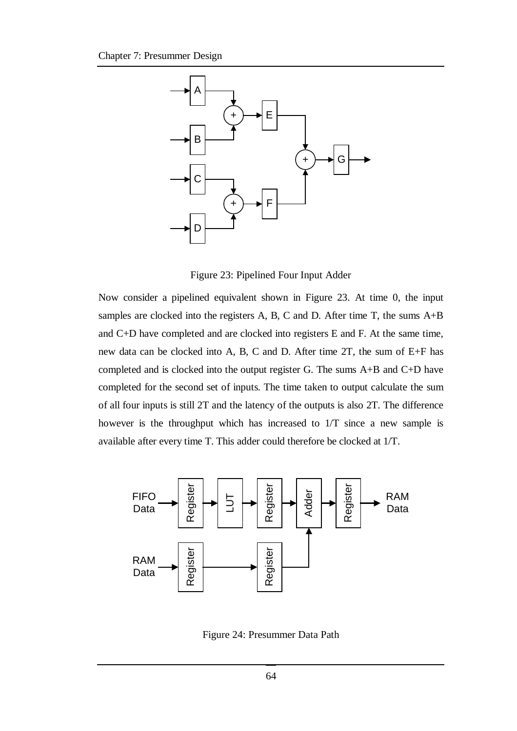

Figure 23: Pipelined Four Input Adder

Now consider a pipelined equivalent shown in Figure 23. At time 0, the input samples are clocked into the registers A, B, C and D. After time T, the sums  $A+B$ and C+D have completed and are clocked into registers E and F. At the same time, new data can be clocked into A, B, C and D. After time 2T, the sum of E+F has completed and is clocked into the output register G. The sums A+B and C+D have completed for the second set of inputs. The time taken to output calculate the sum of all four inputs is still 2T and the latency of the outputs is also 2T. The difference however is the throughput which has increased to 1/T since a new sample is available after every time T. This adder could therefore be clocked at 1/T.



Figure 24: Presummer Data Path

64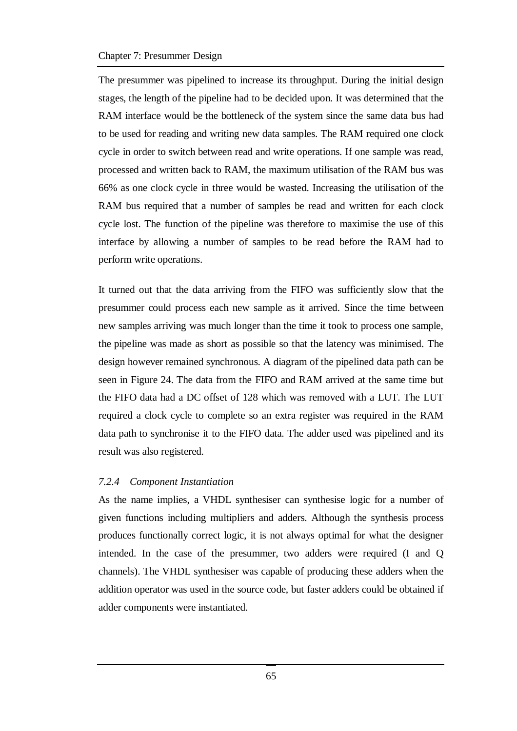#### Chapter 7: Presummer Design

The presummer was pipelined to increase its throughput. During the initial design stages, the length of the pipeline had to be decided upon. It was determined that the RAM interface would be the bottleneck of the system since the same data bus had to be used for reading and writing new data samples. The RAM required one clock cycle in order to switch between read and write operations. If one sample was read, processed and written back to RAM, the maximum utilisation of the RAM bus was 66% as one clock cycle in three would be wasted. Increasing the utilisation of the RAM bus required that a number of samples be read and written for each clock cycle lost. The function of the pipeline was therefore to maximise the use of this interface by allowing a number of samples to be read before the RAM had to perform write operations.

It turned out that the data arriving from the FIFO was sufficiently slow that the presummer could process each new sample as it arrived. Since the time between new samples arriving was much longer than the time it took to process one sample, the pipeline was made as short as possible so that the latency was minimised. The design however remained synchronous. A diagram of the pipelined data path can be seen in Figure 24. The data from the FIFO and RAM arrived at the same time but the FIFO data had a DC offset of 128 which was removed with a LUT. The LUT required a clock cycle to complete so an extra register was required in the RAM data path to synchronise it to the FIFO data. The adder used was pipelined and its result was also registered.

#### *7.2.4 Component Instantiation*

As the name implies, a VHDL synthesiser can synthesise logic for a number of given functions including multipliers and adders. Although the synthesis process produces functionally correct logic, it is not always optimal for what the designer intended. In the case of the presummer, two adders were required (I and Q channels). The VHDL synthesiser was capable of producing these adders when the addition operator was used in the source code, but faster adders could be obtained if adder components were instantiated.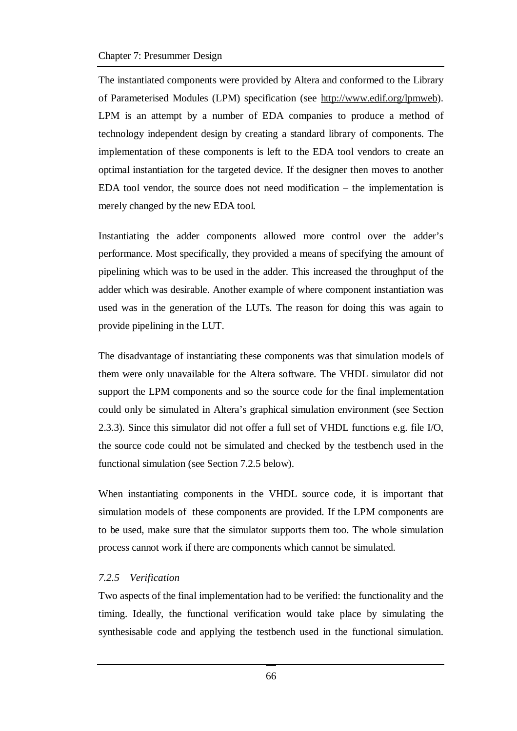The instantiated components were provided by Altera and conformed to the Library of Parameterised Modules (LPM) specification (see http://www.edif.org/lpmweb). LPM is an attempt by a number of EDA companies to produce a method of technology independent design by creating a standard library of components. The implementation of these components is left to the EDA tool vendors to create an optimal instantiation for the targeted device. If the designer then moves to another EDA tool vendor, the source does not need modification – the implementation is merely changed by the new EDA tool.

Instantiating the adder components allowed more control over the adder's performance. Most specifically, they provided a means of specifying the amount of pipelining which was to be used in the adder. This increased the throughput of the adder which was desirable. Another example of where component instantiation was used was in the generation of the LUTs. The reason for doing this was again to provide pipelining in the LUT.

The disadvantage of instantiating these components was that simulation models of them were only unavailable for the Altera software. The VHDL simulator did not support the LPM components and so the source code for the final implementation could only be simulated in Altera's graphical simulation environment (see Section 2.3.3). Since this simulator did not offer a full set of VHDL functions e.g. file I/O, the source code could not be simulated and checked by the testbench used in the functional simulation (see Section 7.2.5 below).

When instantiating components in the VHDL source code, it is important that simulation models of these components are provided. If the LPM components are to be used, make sure that the simulator supports them too. The whole simulation process cannot work if there are components which cannot be simulated.

### *7.2.5 Verification*

Two aspects of the final implementation had to be verified: the functionality and the timing. Ideally, the functional verification would take place by simulating the synthesisable code and applying the testbench used in the functional simulation.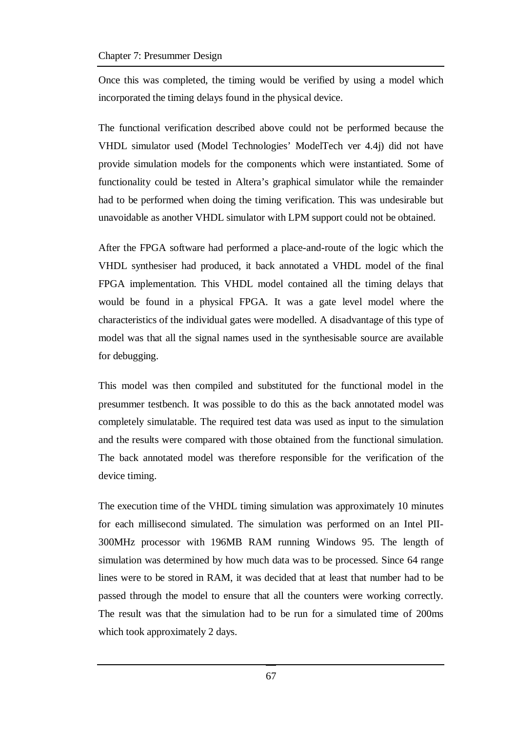Once this was completed, the timing would be verified by using a model which incorporated the timing delays found in the physical device.

The functional verification described above could not be performed because the VHDL simulator used (Model Technologies' ModelTech ver 4.4j) did not have provide simulation models for the components which were instantiated. Some of functionality could be tested in Altera's graphical simulator while the remainder had to be performed when doing the timing verification. This was undesirable but unavoidable as another VHDL simulator with LPM support could not be obtained.

After the FPGA software had performed a place-and-route of the logic which the VHDL synthesiser had produced, it back annotated a VHDL model of the final FPGA implementation. This VHDL model contained all the timing delays that would be found in a physical FPGA. It was a gate level model where the characteristics of the individual gates were modelled. A disadvantage of this type of model was that all the signal names used in the synthesisable source are available for debugging.

This model was then compiled and substituted for the functional model in the presummer testbench. It was possible to do this as the back annotated model was completely simulatable. The required test data was used as input to the simulation and the results were compared with those obtained from the functional simulation. The back annotated model was therefore responsible for the verification of the device timing.

The execution time of the VHDL timing simulation was approximately 10 minutes for each millisecond simulated. The simulation was performed on an Intel PII-300MHz processor with 196MB RAM running Windows 95. The length of simulation was determined by how much data was to be processed. Since 64 range lines were to be stored in RAM, it was decided that at least that number had to be passed through the model to ensure that all the counters were working correctly. The result was that the simulation had to be run for a simulated time of 200ms which took approximately 2 days.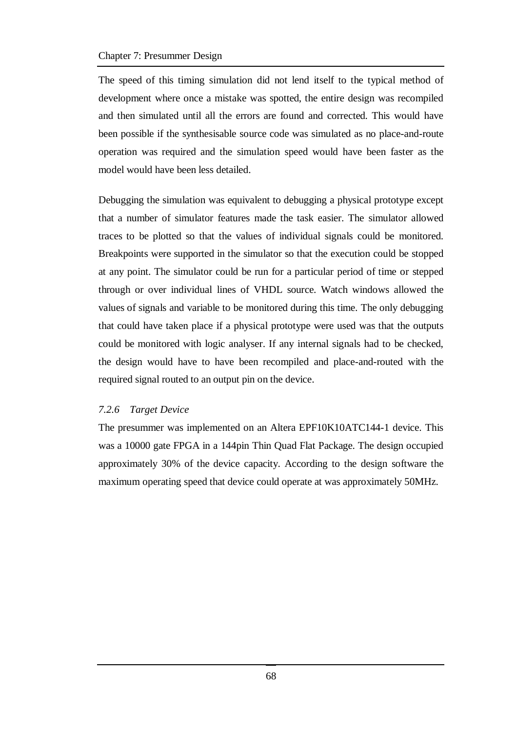The speed of this timing simulation did not lend itself to the typical method of development where once a mistake was spotted, the entire design was recompiled and then simulated until all the errors are found and corrected. This would have been possible if the synthesisable source code was simulated as no place-and-route operation was required and the simulation speed would have been faster as the model would have been less detailed.

Debugging the simulation was equivalent to debugging a physical prototype except that a number of simulator features made the task easier. The simulator allowed traces to be plotted so that the values of individual signals could be monitored. Breakpoints were supported in the simulator so that the execution could be stopped at any point. The simulator could be run for a particular period of time or stepped through or over individual lines of VHDL source. Watch windows allowed the values of signals and variable to be monitored during this time. The only debugging that could have taken place if a physical prototype were used was that the outputs could be monitored with logic analyser. If any internal signals had to be checked, the design would have to have been recompiled and place-and-routed with the required signal routed to an output pin on the device.

#### *7.2.6 Target Device*

The presummer was implemented on an Altera EPF10K10ATC144-1 device. This was a 10000 gate FPGA in a 144pin Thin Quad Flat Package. The design occupied approximately 30% of the device capacity. According to the design software the maximum operating speed that device could operate at was approximately 50MHz.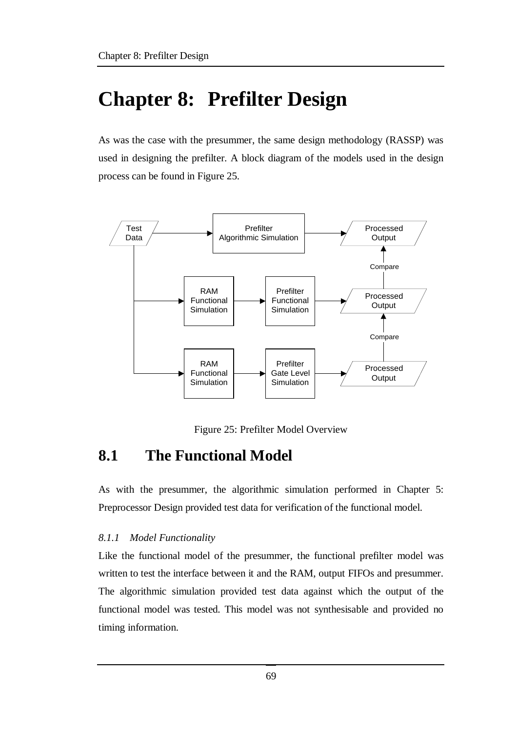# **Chapter 8: Prefilter Design**

As was the case with the presummer, the same design methodology (RASSP) was used in designing the prefilter. A block diagram of the models used in the design process can be found in Figure 25.



Figure 25: Prefilter Model Overview

## **8.1 The Functional Model**

As with the presummer, the algorithmic simulation performed in Chapter 5: Preprocessor Design provided test data for verification of the functional model.

### *8.1.1 Model Functionality*

Like the functional model of the presummer, the functional prefilter model was written to test the interface between it and the RAM, output FIFOs and presummer. The algorithmic simulation provided test data against which the output of the functional model was tested. This model was not synthesisable and provided no timing information.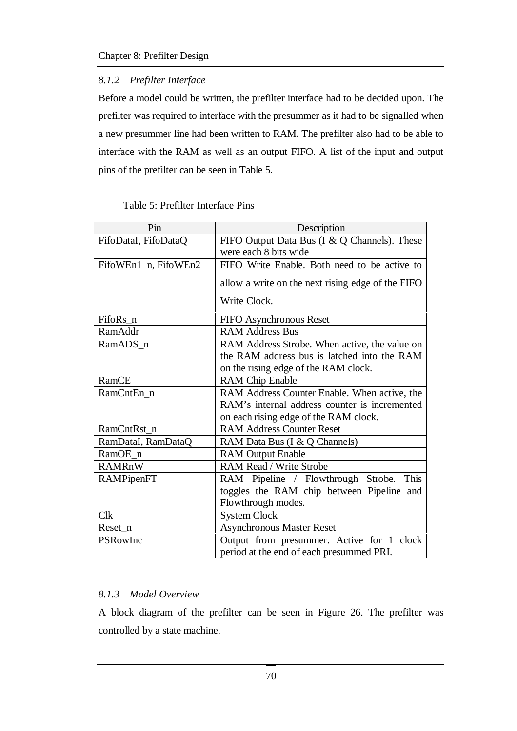## *8.1.2 Prefilter Interface*

Before a model could be written, the prefilter interface had to be decided upon. The prefilter was required to interface with the presummer as it had to be signalled when a new presummer line had been written to RAM. The prefilter also had to be able to interface with the RAM as well as an output FIFO. A list of the input and output pins of the prefilter can be seen in Table 5.

| Pin                  | Description                                       |  |  |  |
|----------------------|---------------------------------------------------|--|--|--|
| FifoDataI, FifoDataQ | FIFO Output Data Bus (I & Q Channels). These      |  |  |  |
|                      | were each 8 bits wide                             |  |  |  |
| FifoWEn1_n, FifoWEn2 | FIFO Write Enable. Both need to be active to      |  |  |  |
|                      | allow a write on the next rising edge of the FIFO |  |  |  |
|                      | Write Clock.                                      |  |  |  |
| FifoRs_n             | FIFO Asynchronous Reset                           |  |  |  |
| RamAddr              | <b>RAM Address Bus</b>                            |  |  |  |
| RamADS n             | RAM Address Strobe. When active, the value on     |  |  |  |
|                      | the RAM address bus is latched into the RAM       |  |  |  |
|                      | on the rising edge of the RAM clock.              |  |  |  |
| RamCE                | <b>RAM Chip Enable</b>                            |  |  |  |
| RamCntEn n           | RAM Address Counter Enable. When active, the      |  |  |  |
|                      | RAM's internal address counter is incremented     |  |  |  |
|                      | on each rising edge of the RAM clock.             |  |  |  |
| RamCntRst n          | <b>RAM Address Counter Reset</b>                  |  |  |  |
| RamDataI, RamDataQ   | RAM Data Bus (I & Q Channels)                     |  |  |  |
| RamOE_n              | <b>RAM Output Enable</b>                          |  |  |  |
| <b>RAMRnW</b>        | RAM Read / Write Strobe                           |  |  |  |
| RAMPipenFT           | RAM Pipeline / Flowthrough Strobe.<br>This        |  |  |  |
|                      | toggles the RAM chip between Pipeline and         |  |  |  |
|                      | Flowthrough modes.                                |  |  |  |
| Clk                  | <b>System Clock</b>                               |  |  |  |
| Reset n              | <b>Asynchronous Master Reset</b>                  |  |  |  |
| PSRowInc             | Output from presummer. Active for 1 clock         |  |  |  |
|                      | period at the end of each presummed PRI.          |  |  |  |

### Table 5: Prefilter Interface Pins

### *8.1.3 Model Overview*

A block diagram of the prefilter can be seen in Figure 26. The prefilter was controlled by a state machine.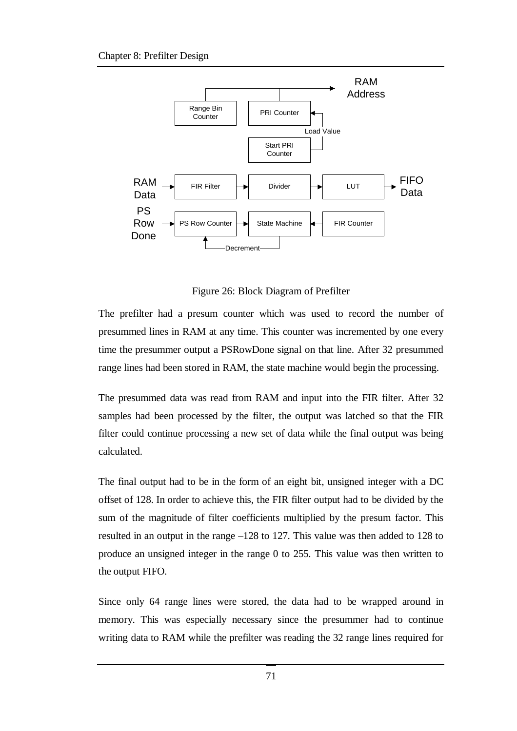

Figure 26: Block Diagram of Prefilter

The prefilter had a presum counter which was used to record the number of presummed lines in RAM at any time. This counter was incremented by one every time the presummer output a PSRowDone signal on that line. After 32 presummed range lines had been stored in RAM, the state machine would begin the processing.

The presummed data was read from RAM and input into the FIR filter. After 32 samples had been processed by the filter, the output was latched so that the FIR filter could continue processing a new set of data while the final output was being calculated.

The final output had to be in the form of an eight bit, unsigned integer with a DC offset of 128. In order to achieve this, the FIR filter output had to be divided by the sum of the magnitude of filter coefficients multiplied by the presum factor. This resulted in an output in the range –128 to 127. This value was then added to 128 to produce an unsigned integer in the range 0 to 255. This value was then written to the output FIFO.

Since only 64 range lines were stored, the data had to be wrapped around in memory. This was especially necessary since the presummer had to continue writing data to RAM while the prefilter was reading the 32 range lines required for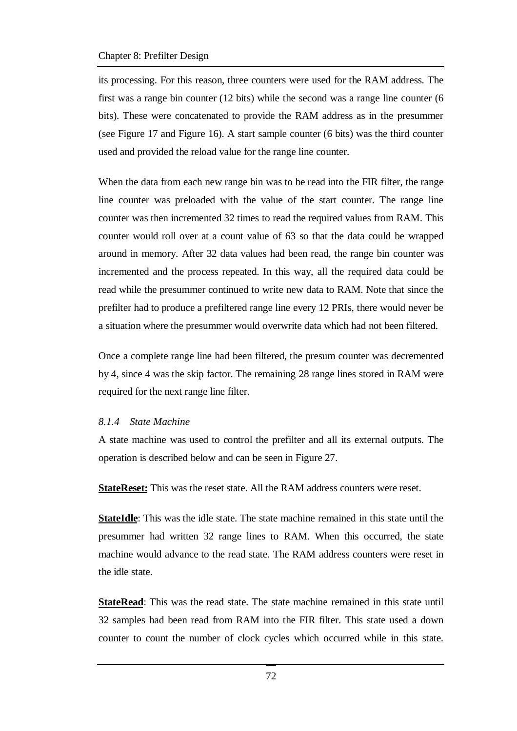its processing. For this reason, three counters were used for the RAM address. The first was a range bin counter (12 bits) while the second was a range line counter (6 bits). These were concatenated to provide the RAM address as in the presummer (see Figure 17 and Figure 16). A start sample counter (6 bits) was the third counter used and provided the reload value for the range line counter.

When the data from each new range bin was to be read into the FIR filter, the range line counter was preloaded with the value of the start counter. The range line counter was then incremented 32 times to read the required values from RAM. This counter would roll over at a count value of 63 so that the data could be wrapped around in memory. After 32 data values had been read, the range bin counter was incremented and the process repeated. In this way, all the required data could be read while the presummer continued to write new data to RAM. Note that since the prefilter had to produce a prefiltered range line every 12 PRIs, there would never be a situation where the presummer would overwrite data which had not been filtered.

Once a complete range line had been filtered, the presum counter was decremented by 4, since 4 was the skip factor. The remaining 28 range lines stored in RAM were required for the next range line filter.

#### *8.1.4 State Machine*

A state machine was used to control the prefilter and all its external outputs. The operation is described below and can be seen in Figure 27.

**StateReset:** This was the reset state. All the RAM address counters were reset.

**StateIdle**: This was the idle state. The state machine remained in this state until the presummer had written 32 range lines to RAM. When this occurred, the state machine would advance to the read state. The RAM address counters were reset in the idle state.

**StateRead**: This was the read state. The state machine remained in this state until 32 samples had been read from RAM into the FIR filter. This state used a down counter to count the number of clock cycles which occurred while in this state.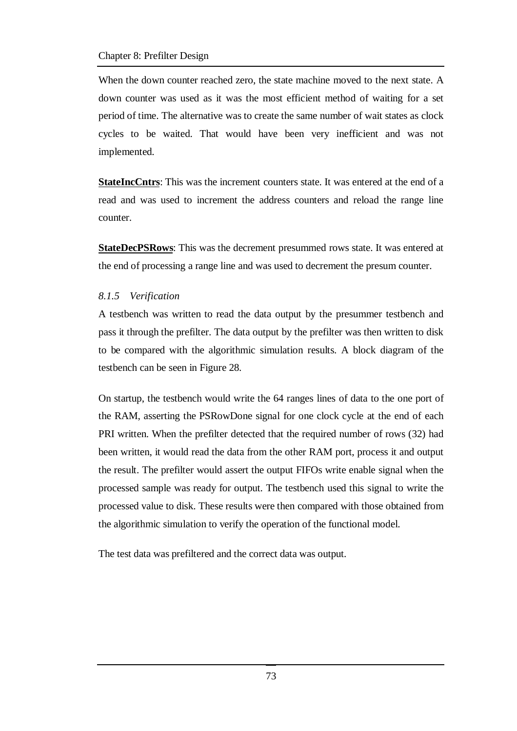When the down counter reached zero, the state machine moved to the next state. A down counter was used as it was the most efficient method of waiting for a set period of time. The alternative was to create the same number of wait states as clock cycles to be waited. That would have been very inefficient and was not implemented.

**StateIncCntrs**: This was the increment counters state. It was entered at the end of a read and was used to increment the address counters and reload the range line counter.

**StateDecPSRows**: This was the decrement presummed rows state. It was entered at the end of processing a range line and was used to decrement the presum counter.

#### *8.1.5 Verification*

A testbench was written to read the data output by the presummer testbench and pass it through the prefilter. The data output by the prefilter was then written to disk to be compared with the algorithmic simulation results. A block diagram of the testbench can be seen in Figure 28.

On startup, the testbench would write the 64 ranges lines of data to the one port of the RAM, asserting the PSRowDone signal for one clock cycle at the end of each PRI written. When the prefilter detected that the required number of rows (32) had been written, it would read the data from the other RAM port, process it and output the result. The prefilter would assert the output FIFOs write enable signal when the processed sample was ready for output. The testbench used this signal to write the processed value to disk. These results were then compared with those obtained from the algorithmic simulation to verify the operation of the functional model.

The test data was prefiltered and the correct data was output.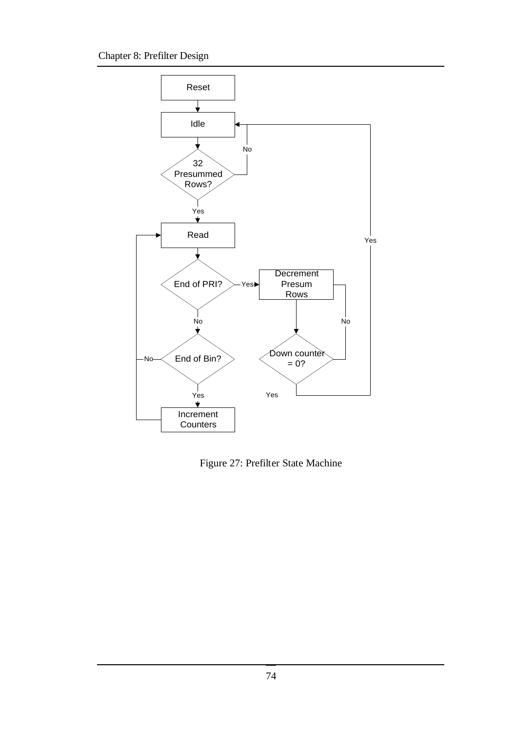

Figure 27: Prefilter State Machine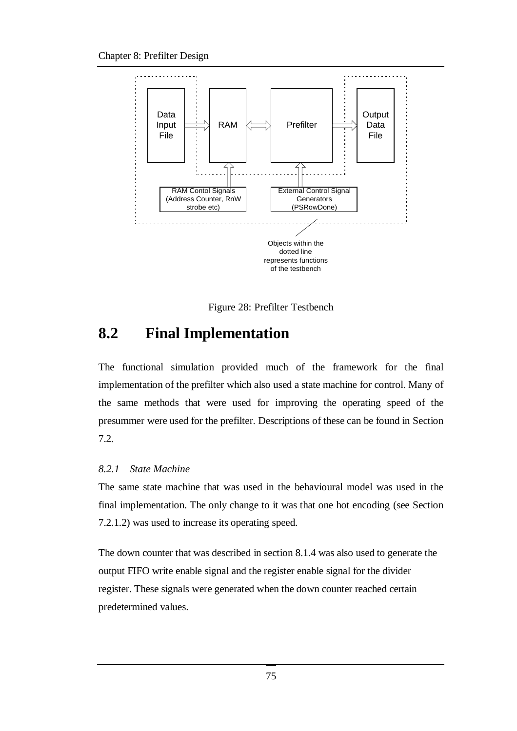

Figure 28: Prefilter Testbench

## **8.2 Final Implementation**

The functional simulation provided much of the framework for the final implementation of the prefilter which also used a state machine for control. Many of the same methods that were used for improving the operating speed of the presummer were used for the prefilter. Descriptions of these can be found in Section 7.2.

### *8.2.1 State Machine*

The same state machine that was used in the behavioural model was used in the final implementation. The only change to it was that one hot encoding (see Section 7.2.1.2) was used to increase its operating speed.

The down counter that was described in section 8.1.4 was also used to generate the output FIFO write enable signal and the register enable signal for the divider register. These signals were generated when the down counter reached certain predetermined values.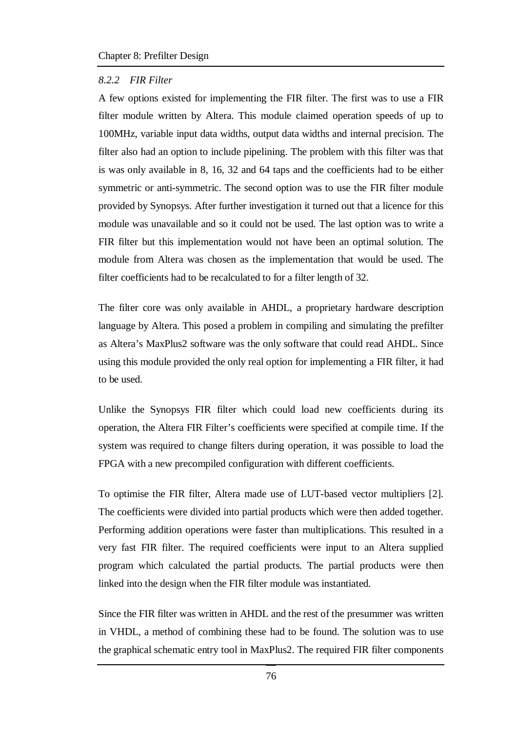#### *8.2.2 FIR Filter*

A few options existed for implementing the FIR filter. The first was to use a FIR filter module written by Altera. This module claimed operation speeds of up to 100MHz, variable input data widths, output data widths and internal precision. The filter also had an option to include pipelining. The problem with this filter was that is was only available in 8, 16, 32 and 64 taps and the coefficients had to be either symmetric or anti-symmetric. The second option was to use the FIR filter module provided by Synopsys. After further investigation it turned out that a licence for this module was unavailable and so it could not be used. The last option was to write a FIR filter but this implementation would not have been an optimal solution. The module from Altera was chosen as the implementation that would be used. The filter coefficients had to be recalculated to for a filter length of 32.

The filter core was only available in AHDL, a proprietary hardware description language by Altera. This posed a problem in compiling and simulating the prefilter as Altera's MaxPlus2 software was the only software that could read AHDL. Since using this module provided the only real option for implementing a FIR filter, it had to be used.

Unlike the Synopsys FIR filter which could load new coefficients during its operation, the Altera FIR Filter's coefficients were specified at compile time. If the system was required to change filters during operation, it was possible to load the FPGA with a new precompiled configuration with different coefficients.

To optimise the FIR filter, Altera made use of LUT-based vector multipliers [2]. The coefficients were divided into partial products which were then added together. Performing addition operations were faster than multiplications. This resulted in a very fast FIR filter. The required coefficients were input to an Altera supplied program which calculated the partial products. The partial products were then linked into the design when the FIR filter module was instantiated.

Since the FIR filter was written in AHDL and the rest of the presummer was written in VHDL, a method of combining these had to be found. The solution was to use the graphical schematic entry tool in MaxPlus2. The required FIR filter components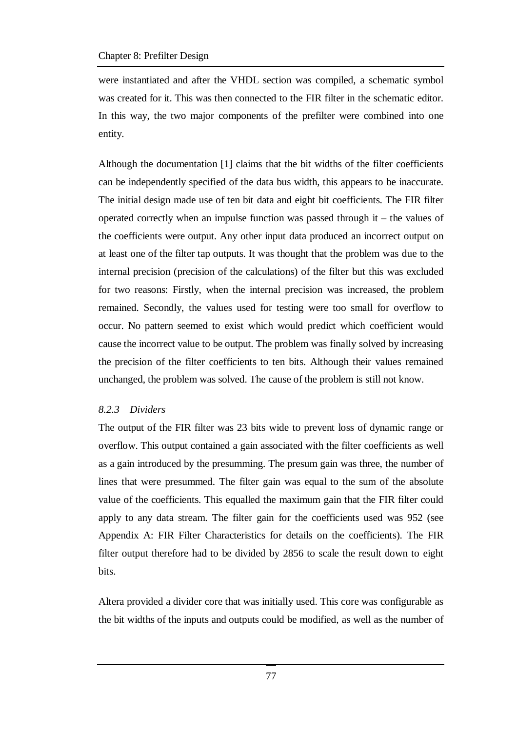were instantiated and after the VHDL section was compiled, a schematic symbol was created for it. This was then connected to the FIR filter in the schematic editor. In this way, the two major components of the prefilter were combined into one entity.

Although the documentation [1] claims that the bit widths of the filter coefficients can be independently specified of the data bus width, this appears to be inaccurate. The initial design made use of ten bit data and eight bit coefficients. The FIR filter operated correctly when an impulse function was passed through it – the values of the coefficients were output. Any other input data produced an incorrect output on at least one of the filter tap outputs. It was thought that the problem was due to the internal precision (precision of the calculations) of the filter but this was excluded for two reasons: Firstly, when the internal precision was increased, the problem remained. Secondly, the values used for testing were too small for overflow to occur. No pattern seemed to exist which would predict which coefficient would cause the incorrect value to be output. The problem was finally solved by increasing the precision of the filter coefficients to ten bits. Although their values remained unchanged, the problem was solved. The cause of the problem is still not know.

### *8.2.3 Dividers*

The output of the FIR filter was 23 bits wide to prevent loss of dynamic range or overflow. This output contained a gain associated with the filter coefficients as well as a gain introduced by the presumming. The presum gain was three, the number of lines that were presummed. The filter gain was equal to the sum of the absolute value of the coefficients. This equalled the maximum gain that the FIR filter could apply to any data stream. The filter gain for the coefficients used was 952 (see Appendix A: FIR Filter Characteristics for details on the coefficients). The FIR filter output therefore had to be divided by 2856 to scale the result down to eight bits.

Altera provided a divider core that was initially used. This core was configurable as the bit widths of the inputs and outputs could be modified, as well as the number of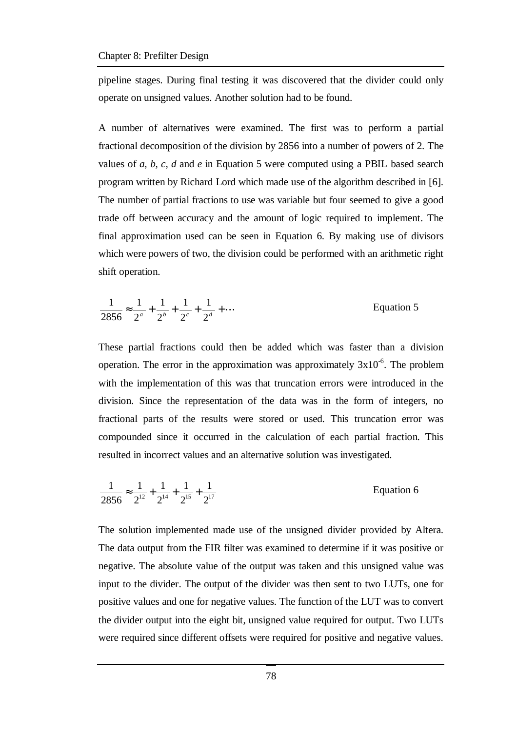pipeline stages. During final testing it was discovered that the divider could only operate on unsigned values. Another solution had to be found.

A number of alternatives were examined. The first was to perform a partial fractional decomposition of the division by 2856 into a number of powers of 2. The values of *a, b, c, d* and *e* in Equation 5 were computed using a PBIL based search program written by Richard Lord which made use of the algorithm described in [6]. The number of partial fractions to use was variable but four seemed to give a good trade off between accuracy and the amount of logic required to implement. The final approximation used can be seen in Equation 6. By making use of divisors which were powers of two, the division could be performed with an arithmetic right shift operation.

$$
\frac{1}{2856} \approx \frac{1}{2^a} + \frac{1}{2^b} + \frac{1}{2^c} + \frac{1}{2^d} + \dots
$$
 Equation 5

These partial fractions could then be added which was faster than a division operation. The error in the approximation was approximately  $3x10^{-6}$ . The problem with the implementation of this was that truncation errors were introduced in the division. Since the representation of the data was in the form of integers, no fractional parts of the results were stored or used. This truncation error was compounded since it occurred in the calculation of each partial fraction. This resulted in incorrect values and an alternative solution was investigated.

$$
\frac{1}{2856} \approx \frac{1}{2^{12}} + \frac{1}{2^{14}} + \frac{1}{2^{15}} + \frac{1}{2^{17}}
$$
 Equation 6

The solution implemented made use of the unsigned divider provided by Altera. The data output from the FIR filter was examined to determine if it was positive or negative. The absolute value of the output was taken and this unsigned value was input to the divider. The output of the divider was then sent to two LUTs, one for positive values and one for negative values. The function of the LUT was to convert the divider output into the eight bit, unsigned value required for output. Two LUTs were required since different offsets were required for positive and negative values.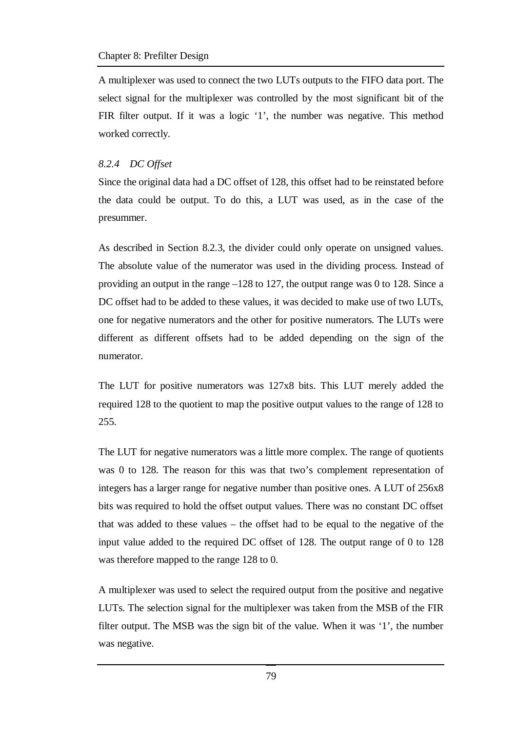A multiplexer was used to connect the two LUTs outputs to the FIFO data port. The select signal for the multiplexer was controlled by the most significant bit of the FIR filter output. If it was a logic '1', the number was negative. This method worked correctly.

## *8.2.4 DC Offset*

Since the original data had a DC offset of 128, this offset had to be reinstated before the data could be output. To do this, a LUT was used, as in the case of the presummer.

As described in Section 8.2.3, the divider could only operate on unsigned values. The absolute value of the numerator was used in the dividing process. Instead of providing an output in the range –128 to 127, the output range was 0 to 128. Since a DC offset had to be added to these values, it was decided to make use of two LUTs, one for negative numerators and the other for positive numerators. The LUTs were different as different offsets had to be added depending on the sign of the numerator.

The LUT for positive numerators was 127x8 bits. This LUT merely added the required 128 to the quotient to map the positive output values to the range of 128 to 255.

The LUT for negative numerators was a little more complex. The range of quotients was 0 to 128. The reason for this was that two's complement representation of integers has a larger range for negative number than positive ones. A LUT of 256x8 bits was required to hold the offset output values. There was no constant DC offset that was added to these values – the offset had to be equal to the negative of the input value added to the required DC offset of 128. The output range of 0 to 128 was therefore mapped to the range 128 to 0.

A multiplexer was used to select the required output from the positive and negative LUTs. The selection signal for the multiplexer was taken from the MSB of the FIR filter output. The MSB was the sign bit of the value. When it was '1', the number was negative.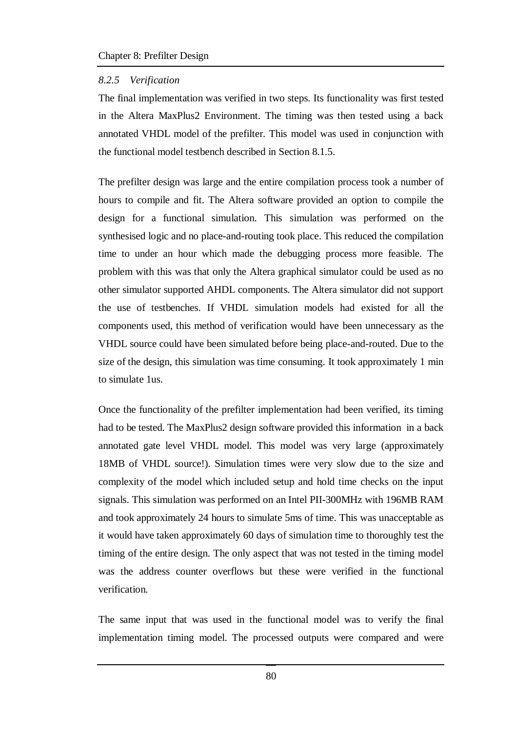#### *8.2.5 Verification*

The final implementation was verified in two steps. Its functionality was first tested in the Altera MaxPlus2 Environment. The timing was then tested using a back annotated VHDL model of the prefilter. This model was used in conjunction with the functional model testbench described in Section 8.1.5.

The prefilter design was large and the entire compilation process took a number of hours to compile and fit. The Altera software provided an option to compile the design for a functional simulation. This simulation was performed on the synthesised logic and no place-and-routing took place. This reduced the compilation time to under an hour which made the debugging process more feasible. The problem with this was that only the Altera graphical simulator could be used as no other simulator supported AHDL components. The Altera simulator did not support the use of testbenches. If VHDL simulation models had existed for all the components used, this method of verification would have been unnecessary as the VHDL source could have been simulated before being place-and-routed. Due to the size of the design, this simulation was time consuming. It took approximately 1 min to simulate 1us.

Once the functionality of the prefilter implementation had been verified, its timing had to be tested. The MaxPlus2 design software provided this information in a back annotated gate level VHDL model. This model was very large (approximately 18MB of VHDL source!). Simulation times were very slow due to the size and complexity of the model which included setup and hold time checks on the input signals. This simulation was performed on an Intel PII-300MHz with 196MB RAM and took approximately 24 hours to simulate 5ms of time. This was unacceptable as it would have taken approximately 60 days of simulation time to thoroughly test the timing of the entire design. The only aspect that was not tested in the timing model was the address counter overflows but these were verified in the functional verification.

The same input that was used in the functional model was to verify the final implementation timing model. The processed outputs were compared and were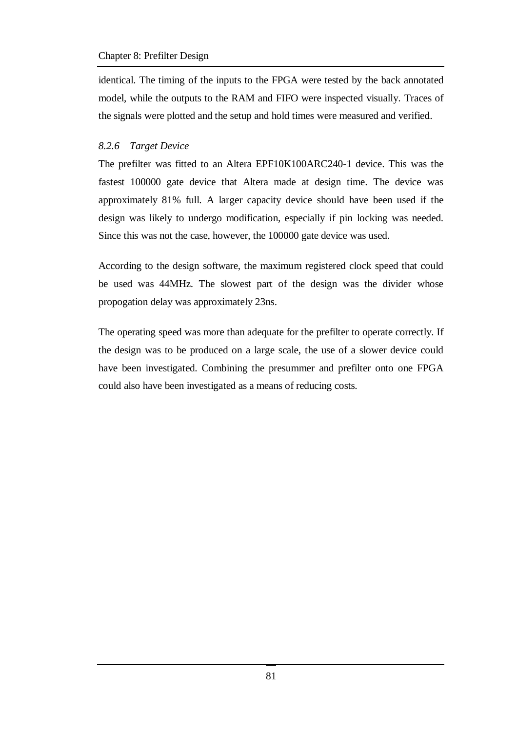#### Chapter 8: Prefilter Design

identical. The timing of the inputs to the FPGA were tested by the back annotated model, while the outputs to the RAM and FIFO were inspected visually. Traces of the signals were plotted and the setup and hold times were measured and verified.

### *8.2.6 Target Device*

The prefilter was fitted to an Altera EPF10K100ARC240-1 device. This was the fastest 100000 gate device that Altera made at design time. The device was approximately 81% full. A larger capacity device should have been used if the design was likely to undergo modification, especially if pin locking was needed. Since this was not the case, however, the 100000 gate device was used.

According to the design software, the maximum registered clock speed that could be used was 44MHz. The slowest part of the design was the divider whose propogation delay was approximately 23ns.

The operating speed was more than adequate for the prefilter to operate correctly. If the design was to be produced on a large scale, the use of a slower device could have been investigated. Combining the presummer and prefilter onto one FPGA could also have been investigated as a means of reducing costs.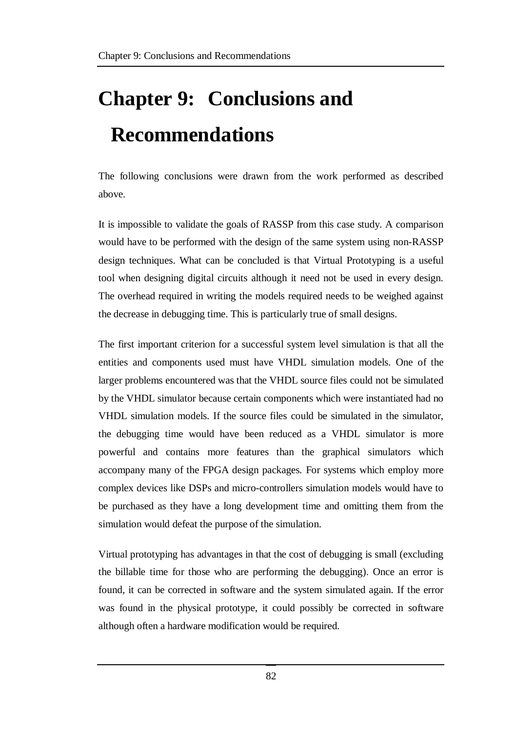# **Chapter 9: Conclusions and Recommendations**

The following conclusions were drawn from the work performed as described above.

It is impossible to validate the goals of RASSP from this case study. A comparison would have to be performed with the design of the same system using non-RASSP design techniques. What can be concluded is that Virtual Prototyping is a useful tool when designing digital circuits although it need not be used in every design. The overhead required in writing the models required needs to be weighed against the decrease in debugging time. This is particularly true of small designs.

The first important criterion for a successful system level simulation is that all the entities and components used must have VHDL simulation models. One of the larger problems encountered was that the VHDL source files could not be simulated by the VHDL simulator because certain components which were instantiated had no VHDL simulation models. If the source files could be simulated in the simulator, the debugging time would have been reduced as a VHDL simulator is more powerful and contains more features than the graphical simulators which accompany many of the FPGA design packages. For systems which employ more complex devices like DSPs and micro-controllers simulation models would have to be purchased as they have a long development time and omitting them from the simulation would defeat the purpose of the simulation.

Virtual prototyping has advantages in that the cost of debugging is small (excluding the billable time for those who are performing the debugging). Once an error is found, it can be corrected in software and the system simulated again. If the error was found in the physical prototype, it could possibly be corrected in software although often a hardware modification would be required.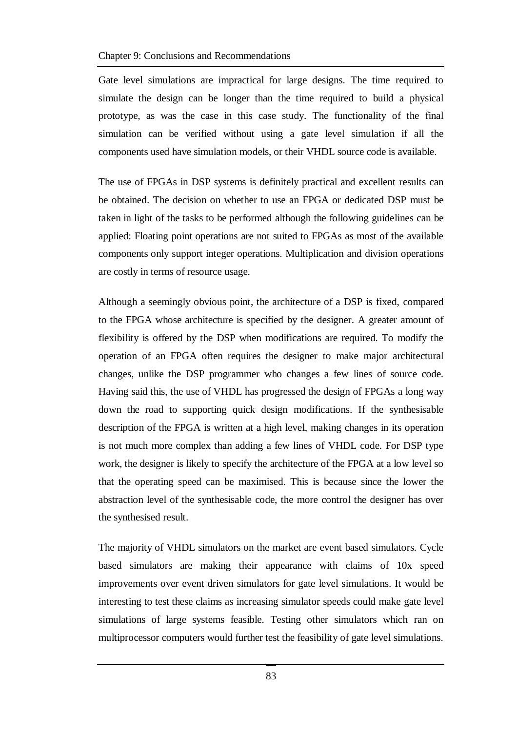Gate level simulations are impractical for large designs. The time required to simulate the design can be longer than the time required to build a physical prototype, as was the case in this case study. The functionality of the final simulation can be verified without using a gate level simulation if all the components used have simulation models, or their VHDL source code is available.

The use of FPGAs in DSP systems is definitely practical and excellent results can be obtained. The decision on whether to use an FPGA or dedicated DSP must be taken in light of the tasks to be performed although the following guidelines can be applied: Floating point operations are not suited to FPGAs as most of the available components only support integer operations. Multiplication and division operations are costly in terms of resource usage.

Although a seemingly obvious point, the architecture of a DSP is fixed, compared to the FPGA whose architecture is specified by the designer. A greater amount of flexibility is offered by the DSP when modifications are required. To modify the operation of an FPGA often requires the designer to make major architectural changes, unlike the DSP programmer who changes a few lines of source code. Having said this, the use of VHDL has progressed the design of FPGAs a long way down the road to supporting quick design modifications. If the synthesisable description of the FPGA is written at a high level, making changes in its operation is not much more complex than adding a few lines of VHDL code. For DSP type work, the designer is likely to specify the architecture of the FPGA at a low level so that the operating speed can be maximised. This is because since the lower the abstraction level of the synthesisable code, the more control the designer has over the synthesised result.

The majority of VHDL simulators on the market are event based simulators. Cycle based simulators are making their appearance with claims of 10x speed improvements over event driven simulators for gate level simulations. It would be interesting to test these claims as increasing simulator speeds could make gate level simulations of large systems feasible. Testing other simulators which ran on multiprocessor computers would further test the feasibility of gate level simulations.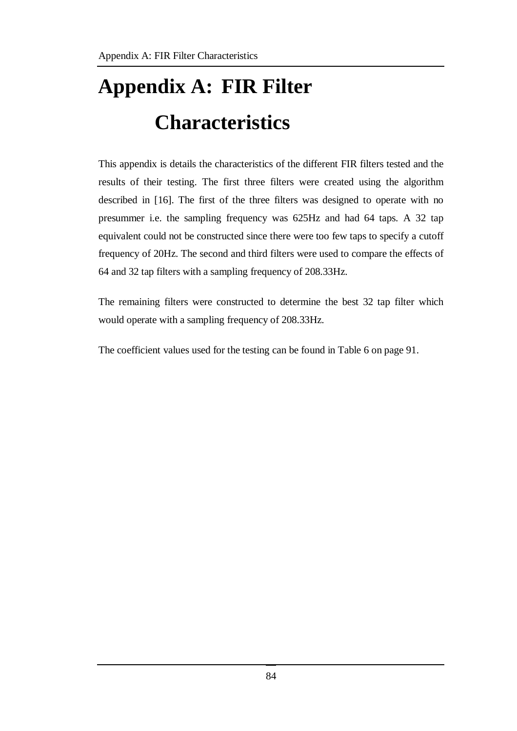# **Appendix A: FIR Filter Characteristics**

This appendix is details the characteristics of the different FIR filters tested and the results of their testing. The first three filters were created using the algorithm described in [16]. The first of the three filters was designed to operate with no presummer i.e. the sampling frequency was 625Hz and had 64 taps. A 32 tap equivalent could not be constructed since there were too few taps to specify a cutoff frequency of 20Hz. The second and third filters were used to compare the effects of 64 and 32 tap filters with a sampling frequency of 208.33Hz.

The remaining filters were constructed to determine the best 32 tap filter which would operate with a sampling frequency of 208.33Hz.

The coefficient values used for the testing can be found in Table 6 on page 91.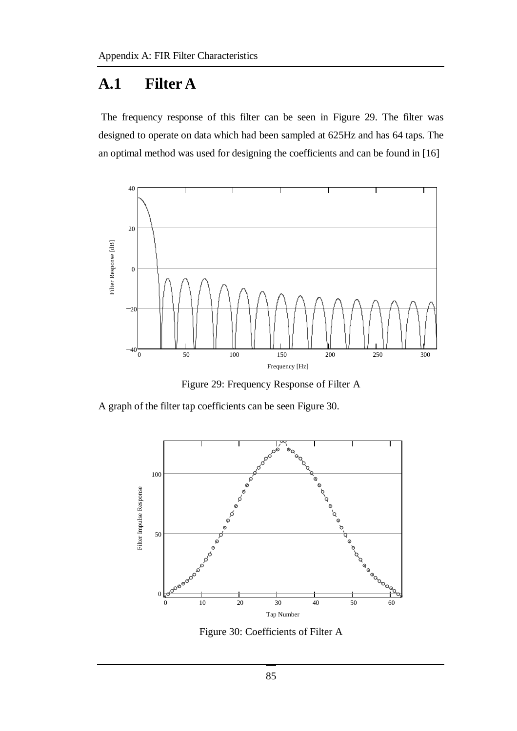# **A.1 Filter A**

The frequency response of this filter can be seen in Figure 29. The filter was designed to operate on data which had been sampled at 625Hz and has 64 taps. The an optimal method was used for designing the coefficients and can be found in [16]



Figure 29: Frequency Response of Filter A

A graph of the filter tap coefficients can be seen Figure 30.



Figure 30: Coefficients of Filter A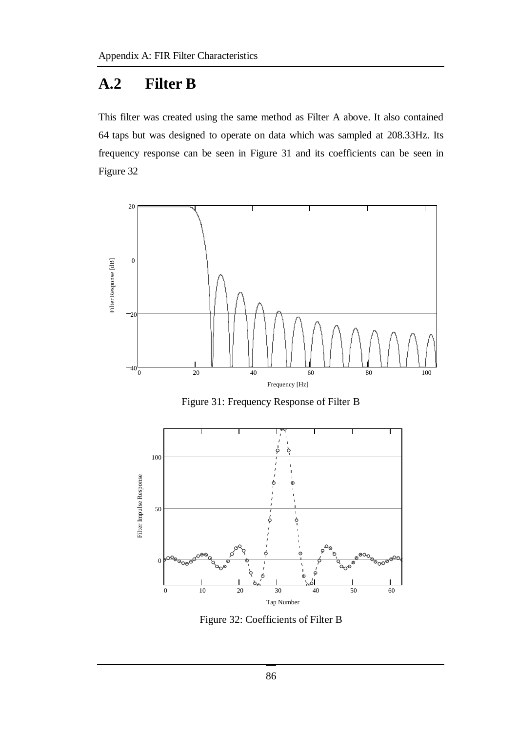# **A.2 Filter B**

This filter was created using the same method as Filter A above. It also contained 64 taps but was designed to operate on data which was sampled at 208.33Hz. Its frequency response can be seen in Figure 31 and its coefficients can be seen in Figure 32



Figure 31: Frequency Response of Filter B



Figure 32: Coefficients of Filter B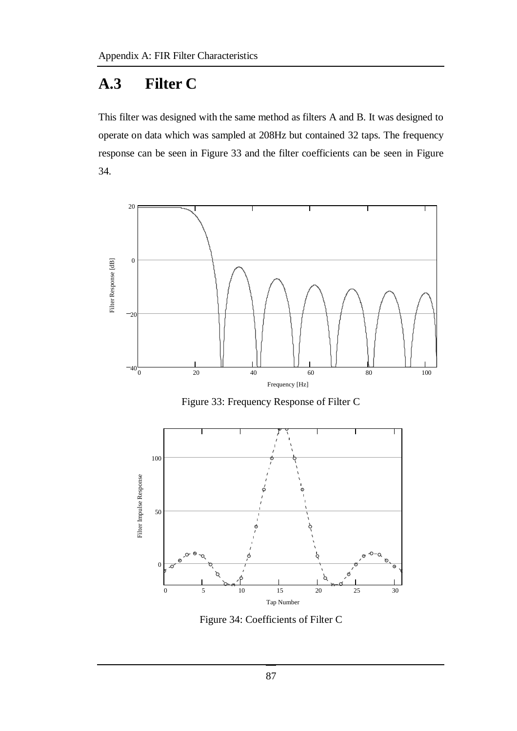# **A.3 Filter C**

This filter was designed with the same method as filters A and B. It was designed to operate on data which was sampled at 208Hz but contained 32 taps. The frequency response can be seen in Figure 33 and the filter coefficients can be seen in Figure 34.



Figure 33: Frequency Response of Filter C



Figure 34: Coefficients of Filter C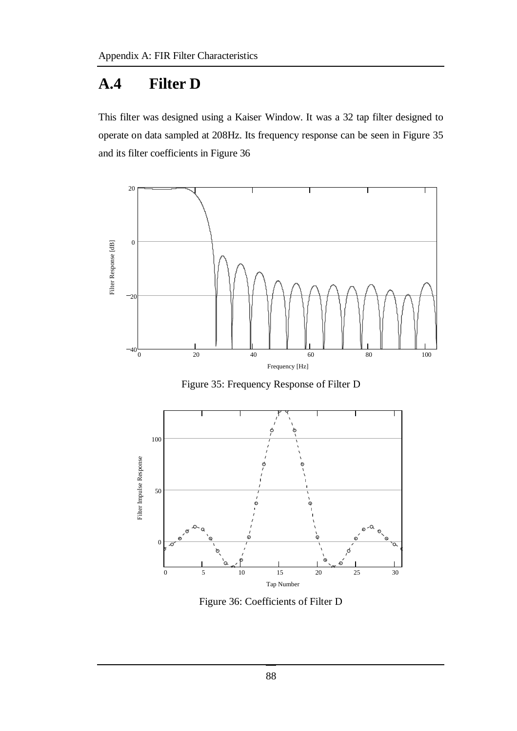# **A.4 Filter D**

This filter was designed using a Kaiser Window. It was a 32 tap filter designed to operate on data sampled at 208Hz. Its frequency response can be seen in Figure 35 and its filter coefficients in Figure 36



Figure 35: Frequency Response of Filter D



Figure 36: Coefficients of Filter D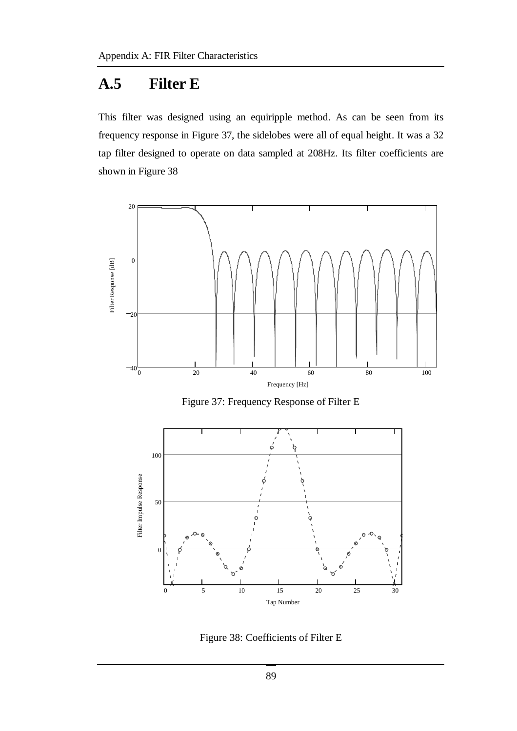# **A.5 Filter E**

This filter was designed using an equiripple method. As can be seen from its frequency response in Figure 37, the sidelobes were all of equal height. It was a 32 tap filter designed to operate on data sampled at 208Hz. Its filter coefficients are shown in Figure 38



Figure 37: Frequency Response of Filter E



Figure 38: Coefficients of Filter E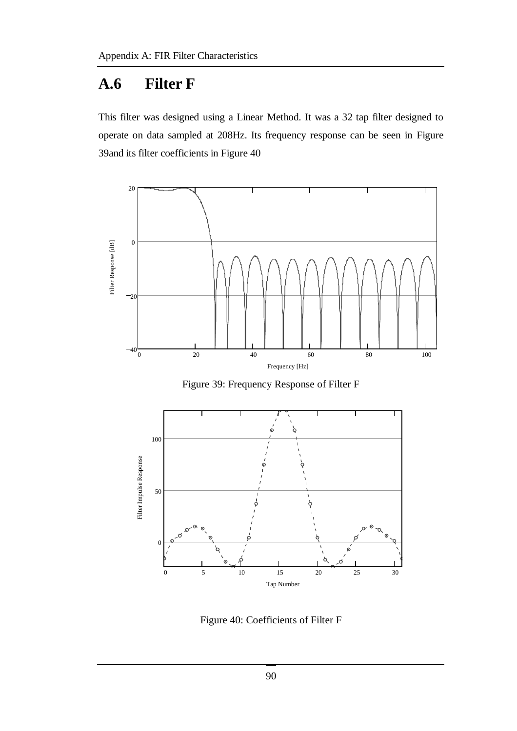# **A.6 Filter F**

This filter was designed using a Linear Method. It was a 32 tap filter designed to operate on data sampled at 208Hz. Its frequency response can be seen in Figure 39and its filter coefficients in Figure 40



Figure 39: Frequency Response of Filter F



Figure 40: Coefficients of Filter F

90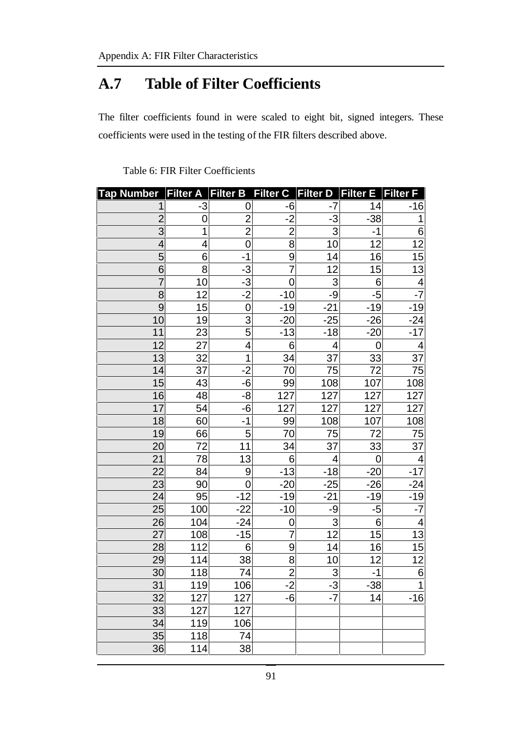# **A.7 Table of Filter Coefficients**

The filter coefficients found in were scaled to eight bit, signed integers. These coefficients were used in the testing of the FIR filters described above.

| <b>Tap Number</b> | <b>Filter A</b> | <b>Filter B</b>  | <b>Filter C</b> | <b>Filter D</b>           | <b>Filter E</b> | <b>Filter F</b>  |
|-------------------|-----------------|------------------|-----------------|---------------------------|-----------------|------------------|
|                   | $-3$            | 0                | -6              | $-7$                      | 14              | $-16$            |
| $\overline{2}$    | 0               | $\overline{c}$   | $-2$            | $-3$                      | $-38$           | $\overline{1}$   |
| 3                 | 1               | $\overline{2}$   | $\overline{2}$  | $\ensuremath{\mathsf{3}}$ | $-1$            | $\,$ 6 $\,$      |
| 4                 | 4               | $\overline{0}$   | 8               | 10                        | 12              | $\overline{12}$  |
| 5                 | 6               | $-1$             | $\overline{9}$  | 14                        | 16              | $\frac{15}{13}$  |
| 6                 | 8               | $-3$             | $\overline{7}$  | 12                        | 15              |                  |
| $\overline{7}$    | 10              | $-\overline{3}$  | $\overline{0}$  | 3                         | 6               | $\overline{4}$   |
| 8                 | 12              | $-2$             | $-10$           | -9                        | $-5$            | $-7$             |
| 9                 | 15              | $\mathbf 0$      | $-19$           | $-21$                     | $-19$           | $-19$            |
| 10                | 19              | $\overline{3}$   | $-20$           | $-25$                     | $-26$           | $-24$            |
| 11                | <u>23</u>       | 5                | $-13$           | $-18$                     | $-20$           | $-17$            |
| 12                | 27              | $\overline{4}$   | $\,6$           | $\overline{4}$            | $\overline{0}$  | $\overline{4}$   |
| 13                | 32              | $\overline{1}$   | 34              | 37                        | 33              | 37               |
| 14                | 37              | $-2$             | 70              | 75                        | 72              | 75               |
| 15                | 43              | $-6$             | 99              | <u>108</u>                | 107             | 108              |
| 16                | 48              | $-8$             | 127             | 127                       | 127             | <u>127</u>       |
| 17                | 54              | $-6$             | 127             | 127                       | 127             | $\overline{127}$ |
| 18                | 60              | $-1$             | 99              | 108                       | 107             | 108              |
| 19                | 66              | $\overline{5}$   | 70              | 75                        | 72              | 75               |
| 20                | 72              | 11               | 34              | 37                        | 33              | 37               |
| 21                | 78              | 13               | 6               | 4                         | 0               | 4                |
| 22                | 84              | $\boldsymbol{9}$ | $-13$           | $-18$                     | $-20$           | $-17$            |
| 23                | 90              | $\mathbf 0$      | $-20$           | $-25$                     | $-26$           | $-24$            |
| 24                | 95              | $-12$            | $-19$           | $-21$                     | $-19$           | $-19$            |
| 25                | 100             | $-22$            | $-10$           | -9                        | $-5$            | $-7$             |
| 26                | 104             | $-24$            | 0               | $\frac{1}{12}$            | 6               | $\frac{4}{13}$   |
| 27                | 108             | $-15$            | $\overline{7}$  |                           | 15              |                  |
| 28                | 112             | 6                | 9               | 14                        | 16              | 15               |
| 29                | 114             | 38               | $\overline{8}$  | 10                        | 12              | $\overline{12}$  |
| 30                | 118             | 74               | $\overline{2}$  | 3                         | $-1$            | 6                |
| 31                | 119             | 106              | $-2$            | $-3$                      | $-38$           | 1                |
| 32                | 127             | 127              | $-6$            | $\overline{\overline{z}}$ | 14              | $-16$            |
| 33                | 127             | 127              |                 |                           |                 |                  |
| 34                | 119             | 106              |                 |                           |                 |                  |
| 35                | 118             | 74               |                 |                           |                 |                  |
| 36                | 114             | 38               |                 |                           |                 |                  |

Table 6: FIR Filter Coefficients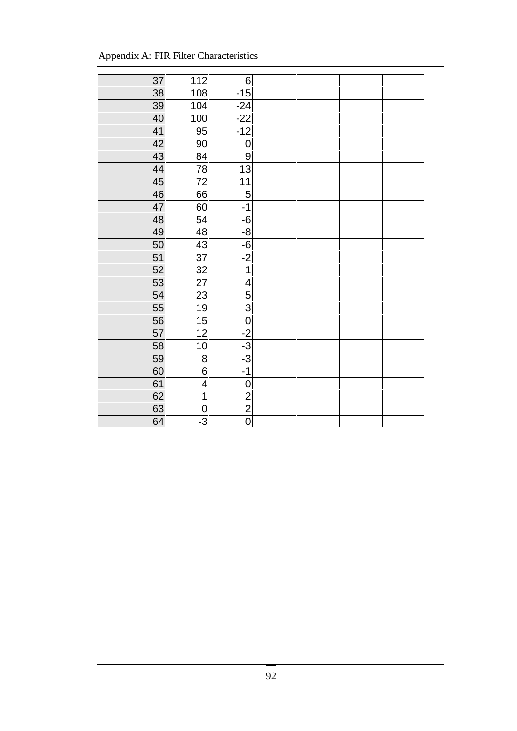| Appendix A: FIR Filter Characteristics |  |  |
|----------------------------------------|--|--|
|----------------------------------------|--|--|

| 37 | 112             | $\,6$            |  |  |
|----|-----------------|------------------|--|--|
| 38 | 108             | $-15$            |  |  |
| 39 | 104             | $-24$            |  |  |
| 40 | 100             | $-22$            |  |  |
| 41 | 95              | $-12$            |  |  |
| 42 | 90              | $\mathbf 0$      |  |  |
| 43 | 84              | $\boldsymbol{9}$ |  |  |
| 44 | 78              | $\overline{13}$  |  |  |
| 45 | 72              | 11               |  |  |
| 46 | 66              | $\overline{5}$   |  |  |
| 47 | 60              | $-1$             |  |  |
| 48 | $\overline{54}$ | $-6$             |  |  |
| 49 | 48              | $-8$             |  |  |
| 50 | 43              | $-6$             |  |  |
| 51 | 37              | $\frac{-2}{1}$   |  |  |
| 52 | 32              |                  |  |  |
| 53 | $\overline{27}$ | $\overline{4}$   |  |  |
| 54 | 23              | $\overline{5}$   |  |  |
| 55 | 19              | $\overline{3}$   |  |  |
| 56 | 15              | $\overline{0}$   |  |  |
| 57 | 12              | $-2$             |  |  |
| 58 | 10              | $-3$             |  |  |
| 59 | 8               | $-3$             |  |  |
| 60 | $\overline{6}$  | $-1$             |  |  |
| 61 | 4               | $\mathbf 0$      |  |  |
| 62 | $\overline{1}$  | $\frac{2}{2}$    |  |  |
| 63 | $\mathbf 0$     |                  |  |  |
| 64 | نا              | $\overline{0}$   |  |  |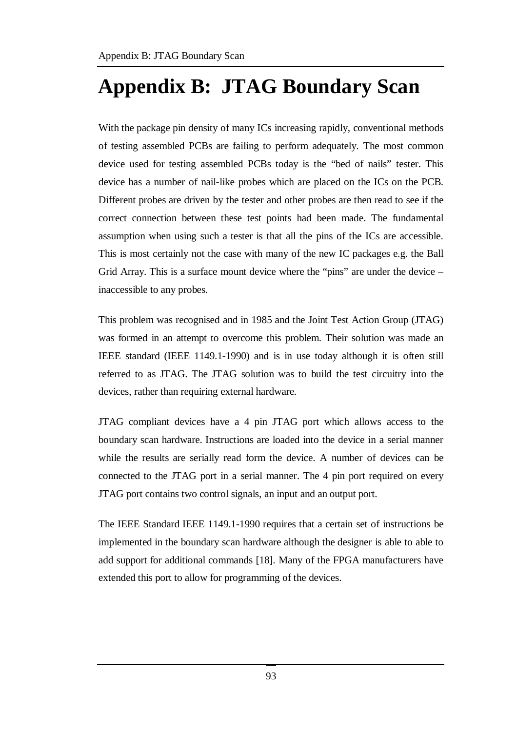# **Appendix B: JTAG Boundary Scan**

With the package pin density of many ICs increasing rapidly, conventional methods of testing assembled PCBs are failing to perform adequately. The most common device used for testing assembled PCBs today is the "bed of nails" tester. This device has a number of nail-like probes which are placed on the ICs on the PCB. Different probes are driven by the tester and other probes are then read to see if the correct connection between these test points had been made. The fundamental assumption when using such a tester is that all the pins of the ICs are accessible. This is most certainly not the case with many of the new IC packages e.g. the Ball Grid Array. This is a surface mount device where the "pins" are under the device – inaccessible to any probes.

This problem was recognised and in 1985 and the Joint Test Action Group (JTAG) was formed in an attempt to overcome this problem. Their solution was made an IEEE standard (IEEE 1149.1-1990) and is in use today although it is often still referred to as JTAG. The JTAG solution was to build the test circuitry into the devices, rather than requiring external hardware.

JTAG compliant devices have a 4 pin JTAG port which allows access to the boundary scan hardware. Instructions are loaded into the device in a serial manner while the results are serially read form the device. A number of devices can be connected to the JTAG port in a serial manner. The 4 pin port required on every JTAG port contains two control signals, an input and an output port.

The IEEE Standard IEEE 1149.1-1990 requires that a certain set of instructions be implemented in the boundary scan hardware although the designer is able to able to add support for additional commands [18]. Many of the FPGA manufacturers have extended this port to allow for programming of the devices.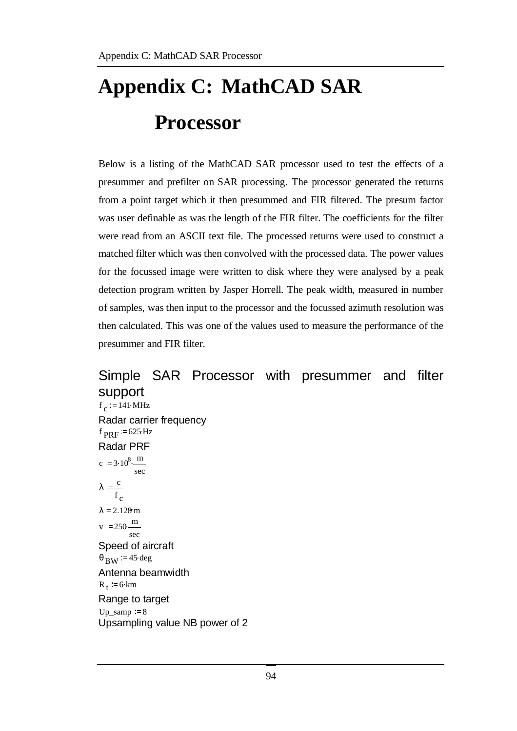# **Appendix C: MathCAD SAR Processor**

Below is a listing of the MathCAD SAR processor used to test the effects of a presummer and prefilter on SAR processing. The processor generated the returns from a point target which it then presummed and FIR filtered. The presum factor was user definable as was the length of the FIR filter. The coefficients for the filter were read from an ASCII text file. The processed returns were used to construct a matched filter which was then convolved with the processed data. The power values for the focussed image were written to disk where they were analysed by a peak detection program written by Jasper Horrell. The peak width, measured in number of samples, was then input to the processor and the focussed azimuth resolution was then calculated. This was one of the values used to measure the performance of the presummer and FIR filter.

## Simple SAR Processor with presummer and filter support  $f_c$  = 141 MHz Radar carrier frequency  $f_{\text{PRF}} = 625 \text{ Hz}$ Radar PRF c =  $3.10^8 \cdot \frac{m}{m}$ sec  $λ := \frac{c}{c}$ f c  $\lambda = 2.128 \text{ m}$  $v := 250 \frac{m}{m}$

sec Speed of aircraft  $\theta_{\rm RW}$  = 45. deg Antenna beamwidth  $R_t := 6 \cdot \text{km}$ Range to target  $Up\_samp := 8$ Upsampling value NB power of 2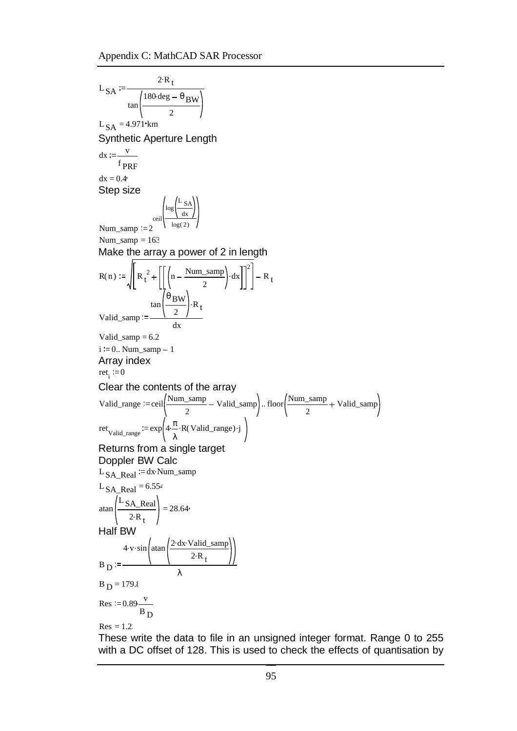$^{\rm L}$  SA  $2 \cdot R_t$  $\tan \left( \frac{180 \text{ deg} - \theta}{2 \text{ BW}} \right)$ 2  $L_{SA} = 4.971$  km Synthetic Aperture Length  $dx = \frac{v}{v}$  $f_{\rm PRF}$  $dx = 0.4$ Step size Num\_samp  $:= 2$ ceil  $\log \left( \frac{\text{L}_{SA}}{1} \right)$ dx log( 2) Num\_samp =  $163$ Make the array a power of 2 in length  $R(n) := \left\| R_t^2 + \right\| \left( n - \frac{Num\_samp}{2} \right).$ 2 dx 2  $R_{t}$ Valid\_samp  $tan(\frac{\theta_{BW}}{2}).$  $\left(\frac{2}{2}\right)^{R}$ t dx Valid\_samp  $= 6.2$  $i := 0$ .. Num\_samp - 1 Array index  $ret_i := 0$ Clear the contents of the array Valid\_range := ceil $\left(\frac{\text{Num\_samp}}{\text{Num\_samp}} - \text{Valid\_samp}\right)$ .. 2 Valid\_samp  $\ldots$  floor  $\boxed{\text{Num\_samp}}$ 2 Valid\_samp ret<sub>Valid\_range</sub> := exp  $4 \cdot \frac{\pi}{2} \cdot R$  (Valid\_range). λ  $R(Valid\_range) \cdot j$ Returns from a single target Doppler BW Calc  $L_{SA}$  Real  $=$  dx.Num\_samp L SA\_Real =  $6.554$  $atan \left(\frac{L_{SA\_Real}}{L_{SA\_Real}}\right)$  $\left(\frac{R_{\text{1}}}{2 \cdot R_{\text{t}}}\right) = 28.64$ Half BW  $B_{\rm D}$  $4 \cdot v \cdot \sin \left( \frac{2 \cdot dx \cdot \text{Valid\_samp}}{2} \right)$  $2 \cdot R_t$ λ  $B_{\rm D} = 179.8$ Res :=  $0.89 - \frac{v}{x}$  $B_{\rm D}$  $Res = 1.2$ 

These write the data to file in an unsigned integer format. Range 0 to 255 with a DC offset of 128. This is used to check the effects of quantisation by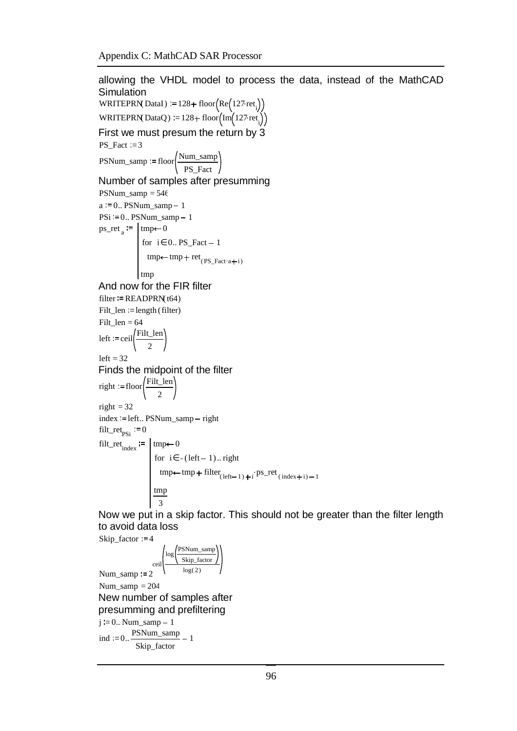allowing the VHDL model to process the data, instead of the MathCAD Simulation WRITEPRN(DataI)  $:= 128 + \text{floor}(\text{Re}(127 \cdot \text{ret}_{i}))$ WRITEPRN(DataQ)  $:= 128 + \text{floor} \left( \text{Im} \left( 127 \text{ret}_{i} \right) \right)$ First we must presum the return by 3  $PS_Fact = 3$  $PSNum\_samp := floor \frac{Num\_samp}{\sqrt{Sum\_samp}}$ PS\_Fact Number of samples after presumming  $PSNum\_samp = 546$  $a = 0$ .. PSNum\_samp - 1  $PSi := 0..$  PSNum\_samp  $-1$  $ps\_ret_a := \text{tmp} \leftarrow 0$ for  $i \in 0$ . PS\_Fact - 1  $\text{tmp}\leftarrow \text{tmp} + \text{ret}_{(PS\_Fact \cdot a + i)}$ tmp And now for the FIR filter  $filter = READPRN(t64)$ Filt  $len := length (filter)$ Filt\_len  $= 64$ left  $:=$  ceil $\left(\frac{\text{Filt\_len}}{\text{Eilt\_len}}\right)$ 2  $left = 32$ Finds the midpoint of the filter right  $:=$  floor  $Filt_length$ 2 right  $= 32$ index := left.. PSNum\_samp - right filt\_ret<sub>pSi</sub>  $= 0$ filt\_ret<sub>index</sub>  $:=$  | tmp  $\leftarrow 0$ for  $\text{tmp} \leftarrow \text{tmp} + \text{filter}_{\text{(left-1)} + i} \cdot \text{ps\_ret}_{\text{(index + i)} - 1}$ i∈  $-(left - 1)$ .. right tmp 3 Now we put in a skip factor. This should not be greater than the filter length

to avoid data loss

\nskip\_factor := 4

\n
$$
\text{Num\_sampling} := 2
$$

\n
$$
\text{Num\_sampling} := 204
$$

\nNew number of samples after  
presumming and prefiltering

\n
$$
j := 0.. \text{ Num\_sampling} - 1
$$

\nind := 0.. 
$$
\frac{\text{PSNum\_sampling}}{\text{skip\_factor}} - 1
$$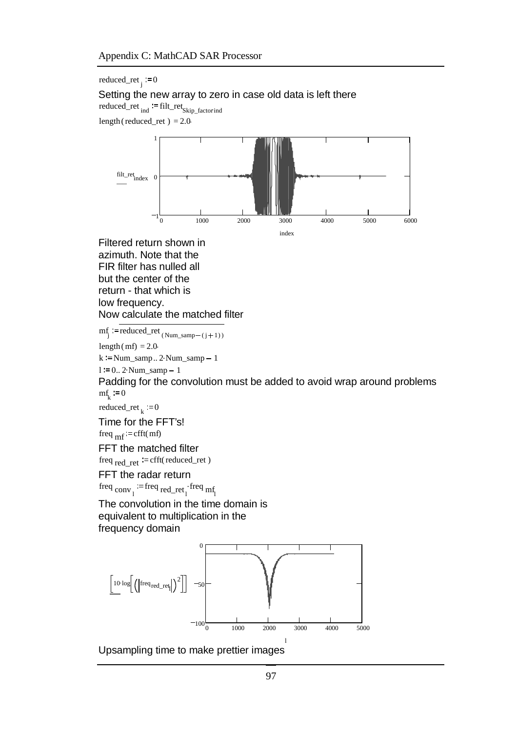reduced\_ret<sub>j</sub>:=0 Setting the new array to zero in case old data is left there reduced\_ret<sub>ind</sub>:=filt\_ret<sub>Skip\_factorind</sub> length (reduced ret) =  $2.0$ 1



Filtered return shown in azimuth. Note that the FIR filter has nulled all but the center of the return - that which is low frequency. Now calculate the matched filter

 $m_j^f := \text{reduced\_ret}(\text{Num\_ samp} - (j+1))$ 

length (mf) =  $2.0$ 

 $k := Num\_samp.. 2Num\_samp - 1$ 

 $l := 0$ .. 2. Num\_samp - 1

Padding for the convolution must be added to avoid wrap around problems  $mf_k := 0$ 

reduced\_ret  $_k := 0$ 

Time for the FFT's!

freq  $_{\rm mf}$  = cfft(mf)

FFT the matched filter

freq  $_{\text{red}}$   $_{\text{ret}}$  := cfft(reduced\_ret )

FFT the radar return freq  $_{\text{conv}_1}$  := freq  $_{\text{red}_{\text{ref}}}$  freq  $_{\text{mf}_1}$ 

The convolution in the time domain is equivalent to multiplication in the

frequency domain



Upsampling time to make prettier images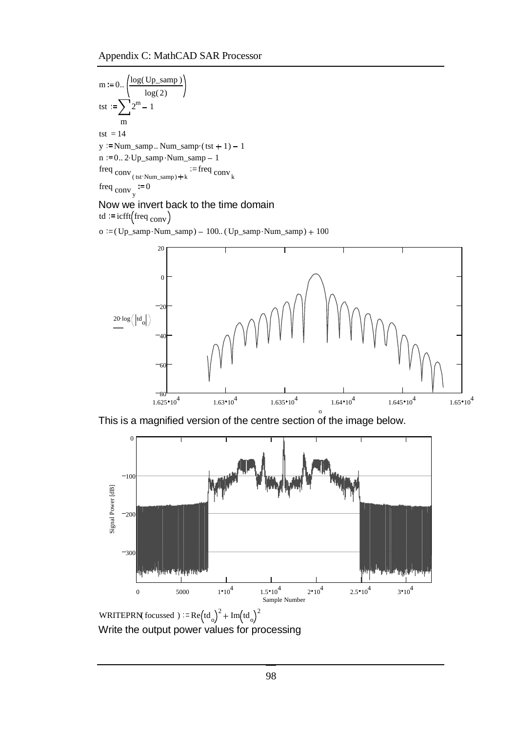Appendix C: MathCAD SAR Processor

m := 0.. 
$$
\left(\frac{\log(Up\_samp)}{\log(2)}\right)
$$
  
\ntst :=  $\sum_{m} 2^m - 1$   
\ntst = 14  
\ny := Num\_samp.. Num\_samp.(tst + 1) - 1  
\nn := 0.. 2·Up\_samp·Num\_samp - 1  
\nfreq conv  
\n(tst·Num\_samp) + k  
\nfreq conv  
\n $= 0$ 

#### Now we invert back to the time domain

td  $:=$  icfft  $(\text{freq}_{\text{conv}})$ 

o  $:=$  (Up\_samp $\cdot$ Num\_samp $)$  - 100.. (Up\_samp $\cdot$ Num\_samp $)$  + 100



This is a magnified version of the centre section of the image below.



WRITEPRN(focussed)  $R = \text{Re} \left( \text{td} \right)$  $2 + \text{Im}(\text{td}_{\text{o}})$ 2 Write the output power values for processing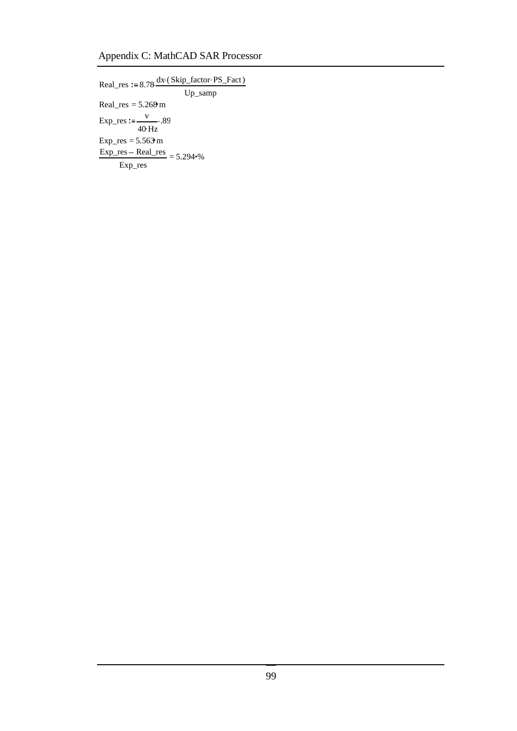## Appendix C: MathCAD SAR Processor

 $Real\_res := 8.78 \frac{dx (skip_factor \cdot PS_Fact)}{dx}$ Up\_samp Real\_res =  $5.268 \text{ m}$ Exp\_res  $:=\frac{v}{v}$ .  $\frac{V}{40 \text{ Hz}}$ .89  $Exp_{res} = 5.563 \text{ m}$  $Exp\_res - Real\_res$  = Exp\_res  $5.294~%$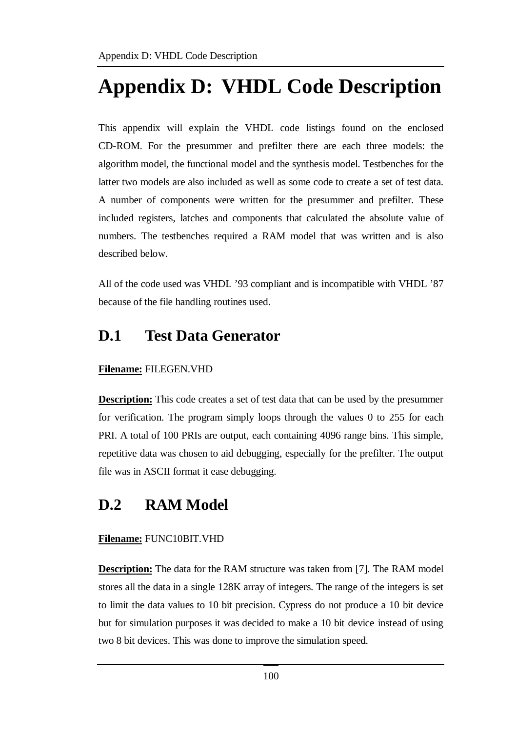# **Appendix D: VHDL Code Description**

This appendix will explain the VHDL code listings found on the enclosed CD-ROM. For the presummer and prefilter there are each three models: the algorithm model, the functional model and the synthesis model. Testbenches for the latter two models are also included as well as some code to create a set of test data. A number of components were written for the presummer and prefilter. These included registers, latches and components that calculated the absolute value of numbers. The testbenches required a RAM model that was written and is also described below.

All of the code used was VHDL '93 compliant and is incompatible with VHDL '87 because of the file handling routines used.

# **D.1 Test Data Generator**

#### **Filename:** FILEGEN.VHD

**Description:** This code creates a set of test data that can be used by the presummer for verification. The program simply loops through the values 0 to 255 for each PRI. A total of 100 PRIs are output, each containing 4096 range bins. This simple, repetitive data was chosen to aid debugging, especially for the prefilter. The output file was in ASCII format it ease debugging.

# **D.2 RAM Model**

#### **Filename:** FUNC10BIT.VHD

**Description:** The data for the RAM structure was taken from [7]. The RAM model stores all the data in a single 128K array of integers. The range of the integers is set to limit the data values to 10 bit precision. Cypress do not produce a 10 bit device but for simulation purposes it was decided to make a 10 bit device instead of using two 8 bit devices. This was done to improve the simulation speed.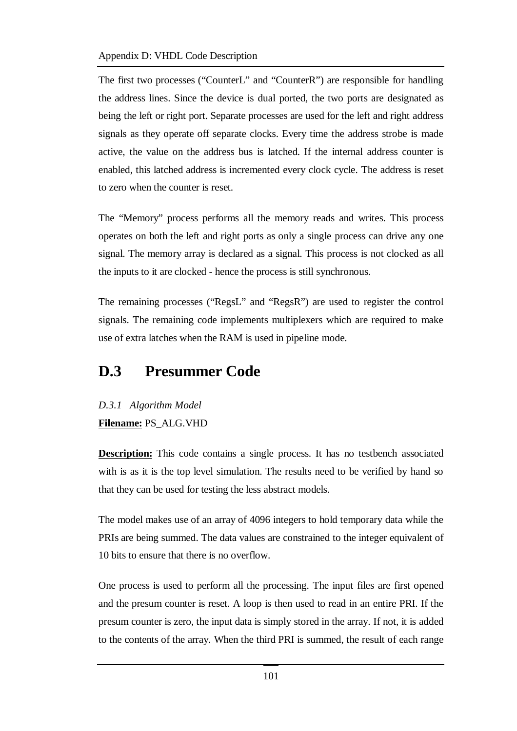The first two processes ("CounterL" and "CounterR") are responsible for handling the address lines. Since the device is dual ported, the two ports are designated as being the left or right port. Separate processes are used for the left and right address signals as they operate off separate clocks. Every time the address strobe is made active, the value on the address bus is latched. If the internal address counter is enabled, this latched address is incremented every clock cycle. The address is reset to zero when the counter is reset.

The "Memory" process performs all the memory reads and writes. This process operates on both the left and right ports as only a single process can drive any one signal. The memory array is declared as a signal. This process is not clocked as all the inputs to it are clocked - hence the process is still synchronous.

The remaining processes ("RegsL" and "RegsR") are used to register the control signals. The remaining code implements multiplexers which are required to make use of extra latches when the RAM is used in pipeline mode.

# **D.3 Presummer Code**

*D.3.1 Algorithm Model* **Filename:** PS\_ALG.VHD

**Description:** This code contains a single process. It has no testbench associated with is as it is the top level simulation. The results need to be verified by hand so that they can be used for testing the less abstract models.

The model makes use of an array of 4096 integers to hold temporary data while the PRIs are being summed. The data values are constrained to the integer equivalent of 10 bits to ensure that there is no overflow.

One process is used to perform all the processing. The input files are first opened and the presum counter is reset. A loop is then used to read in an entire PRI. If the presum counter is zero, the input data is simply stored in the array. If not, it is added to the contents of the array. When the third PRI is summed, the result of each range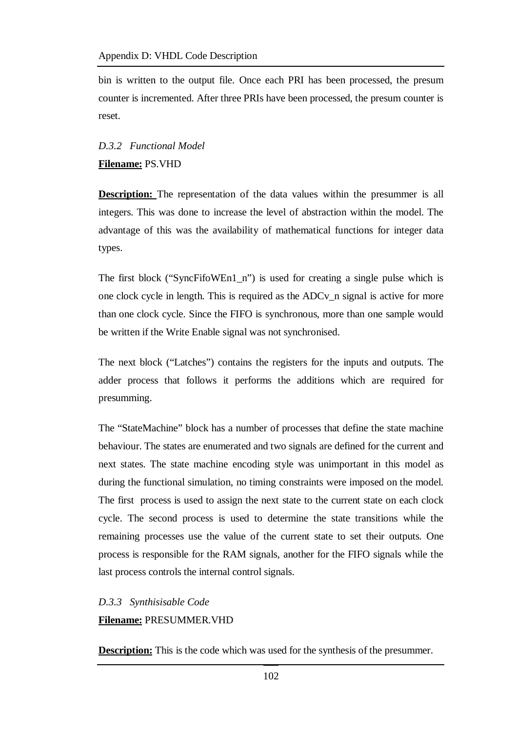bin is written to the output file. Once each PRI has been processed, the presum counter is incremented. After three PRIs have been processed, the presum counter is reset.

## *D.3.2 Functional Model* **Filename:** PS.VHD

**Description:** The representation of the data values within the presummer is all integers. This was done to increase the level of abstraction within the model. The advantage of this was the availability of mathematical functions for integer data types.

The first block ("SyncFifoWEn1\_n") is used for creating a single pulse which is one clock cycle in length. This is required as the ADCv\_n signal is active for more than one clock cycle. Since the FIFO is synchronous, more than one sample would be written if the Write Enable signal was not synchronised.

The next block ("Latches") contains the registers for the inputs and outputs. The adder process that follows it performs the additions which are required for presumming.

The "StateMachine" block has a number of processes that define the state machine behaviour. The states are enumerated and two signals are defined for the current and next states. The state machine encoding style was unimportant in this model as during the functional simulation, no timing constraints were imposed on the model. The first process is used to assign the next state to the current state on each clock cycle. The second process is used to determine the state transitions while the remaining processes use the value of the current state to set their outputs. One process is responsible for the RAM signals, another for the FIFO signals while the last process controls the internal control signals.

#### *D.3.3 Synthisisable Code* **Filename:** PRESUMMER.VHD

**Description:** This is the code which was used for the synthesis of the presummer.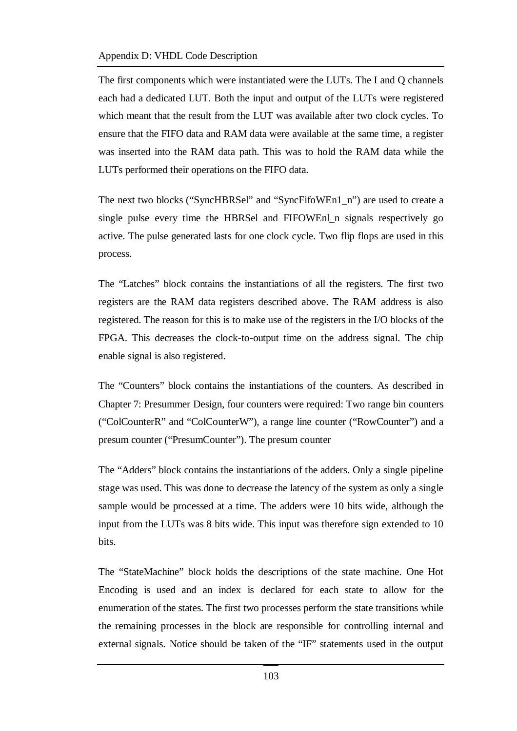The first components which were instantiated were the LUTs. The I and Q channels each had a dedicated LUT. Both the input and output of the LUTs were registered which meant that the result from the LUT was available after two clock cycles. To ensure that the FIFO data and RAM data were available at the same time, a register was inserted into the RAM data path. This was to hold the RAM data while the LUTs performed their operations on the FIFO data.

The next two blocks ("SyncHBRSel" and "SyncFifoWEn1\_n") are used to create a single pulse every time the HBRSel and FIFOWEnl\_n signals respectively go active. The pulse generated lasts for one clock cycle. Two flip flops are used in this process.

The "Latches" block contains the instantiations of all the registers. The first two registers are the RAM data registers described above. The RAM address is also registered. The reason for this is to make use of the registers in the I/O blocks of the FPGA. This decreases the clock-to-output time on the address signal. The chip enable signal is also registered.

The "Counters" block contains the instantiations of the counters. As described in Chapter 7: Presummer Design, four counters were required: Two range bin counters ("ColCounterR" and "ColCounterW"), a range line counter ("RowCounter") and a presum counter ("PresumCounter"). The presum counter

The "Adders" block contains the instantiations of the adders. Only a single pipeline stage was used. This was done to decrease the latency of the system as only a single sample would be processed at a time. The adders were 10 bits wide, although the input from the LUTs was 8 bits wide. This input was therefore sign extended to 10 bits.

The "StateMachine" block holds the descriptions of the state machine. One Hot Encoding is used and an index is declared for each state to allow for the enumeration of the states. The first two processes perform the state transitions while the remaining processes in the block are responsible for controlling internal and external signals. Notice should be taken of the "IF" statements used in the output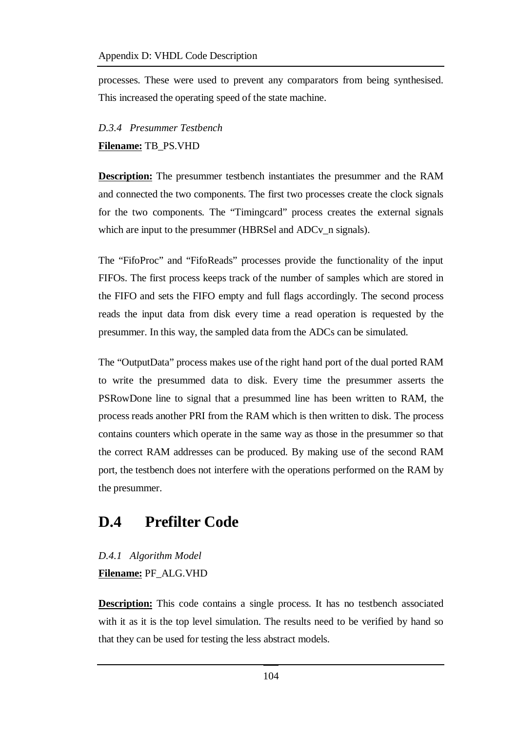processes. These were used to prevent any comparators from being synthesised. This increased the operating speed of the state machine.

### *D.3.4 Presummer Testbench* **Filename:** TB\_PS.VHD

**Description:** The presummer testbench instantiates the presummer and the RAM and connected the two components. The first two processes create the clock signals for the two components. The "Timingcard" process creates the external signals which are input to the presummer (HBRSel and ADCv n signals).

The "FifoProc" and "FifoReads" processes provide the functionality of the input FIFOs. The first process keeps track of the number of samples which are stored in the FIFO and sets the FIFO empty and full flags accordingly. The second process reads the input data from disk every time a read operation is requested by the presummer. In this way, the sampled data from the ADCs can be simulated.

The "OutputData" process makes use of the right hand port of the dual ported RAM to write the presummed data to disk. Every time the presummer asserts the PSRowDone line to signal that a presummed line has been written to RAM, the process reads another PRI from the RAM which is then written to disk. The process contains counters which operate in the same way as those in the presummer so that the correct RAM addresses can be produced. By making use of the second RAM port, the testbench does not interfere with the operations performed on the RAM by the presummer.

# **D.4 Prefilter Code**

## *D.4.1 Algorithm Model* **Filename:** PF\_ALG.VHD

**Description:** This code contains a single process. It has no testbench associated with it as it is the top level simulation. The results need to be verified by hand so that they can be used for testing the less abstract models.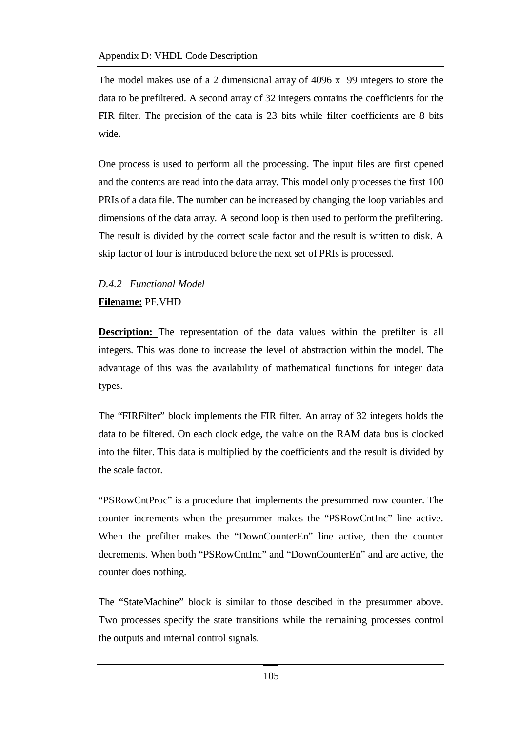The model makes use of a 2 dimensional array of 4096 x 99 integers to store the data to be prefiltered. A second array of 32 integers contains the coefficients for the FIR filter. The precision of the data is 23 bits while filter coefficients are 8 bits wide.

One process is used to perform all the processing. The input files are first opened and the contents are read into the data array. This model only processes the first 100 PRIs of a data file. The number can be increased by changing the loop variables and dimensions of the data array. A second loop is then used to perform the prefiltering. The result is divided by the correct scale factor and the result is written to disk. A skip factor of four is introduced before the next set of PRIs is processed.

## *D.4.2 Functional Model* **Filename:** PF.VHD

**Description:** The representation of the data values within the prefilter is all integers. This was done to increase the level of abstraction within the model. The advantage of this was the availability of mathematical functions for integer data types.

The "FIRFilter" block implements the FIR filter. An array of 32 integers holds the data to be filtered. On each clock edge, the value on the RAM data bus is clocked into the filter. This data is multiplied by the coefficients and the result is divided by the scale factor.

"PSRowCntProc" is a procedure that implements the presummed row counter. The counter increments when the presummer makes the "PSRowCntInc" line active. When the prefilter makes the "DownCounterEn" line active, then the counter decrements. When both "PSRowCntInc" and "DownCounterEn" and are active, the counter does nothing.

The "StateMachine" block is similar to those descibed in the presummer above. Two processes specify the state transitions while the remaining processes control the outputs and internal control signals.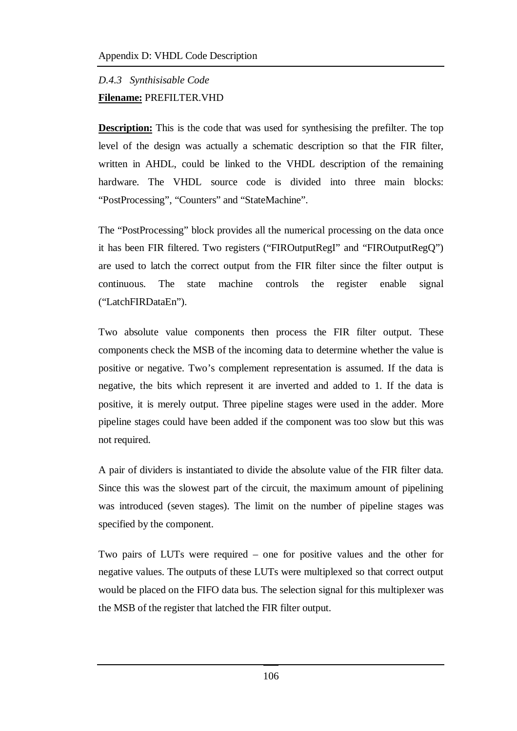## *D.4.3 Synthisisable Code* **Filename:** PREFILTER.VHD

**Description:** This is the code that was used for synthesising the prefilter. The top level of the design was actually a schematic description so that the FIR filter, written in AHDL, could be linked to the VHDL description of the remaining hardware. The VHDL source code is divided into three main blocks: "PostProcessing", "Counters" and "StateMachine".

The "PostProcessing" block provides all the numerical processing on the data once it has been FIR filtered. Two registers ("FIROutputRegI" and "FIROutputRegQ") are used to latch the correct output from the FIR filter since the filter output is continuous. The state machine controls the register enable signal ("LatchFIRDataEn").

Two absolute value components then process the FIR filter output. These components check the MSB of the incoming data to determine whether the value is positive or negative. Two's complement representation is assumed. If the data is negative, the bits which represent it are inverted and added to 1. If the data is positive, it is merely output. Three pipeline stages were used in the adder. More pipeline stages could have been added if the component was too slow but this was not required.

A pair of dividers is instantiated to divide the absolute value of the FIR filter data. Since this was the slowest part of the circuit, the maximum amount of pipelining was introduced (seven stages). The limit on the number of pipeline stages was specified by the component.

Two pairs of LUTs were required – one for positive values and the other for negative values. The outputs of these LUTs were multiplexed so that correct output would be placed on the FIFO data bus. The selection signal for this multiplexer was the MSB of the register that latched the FIR filter output.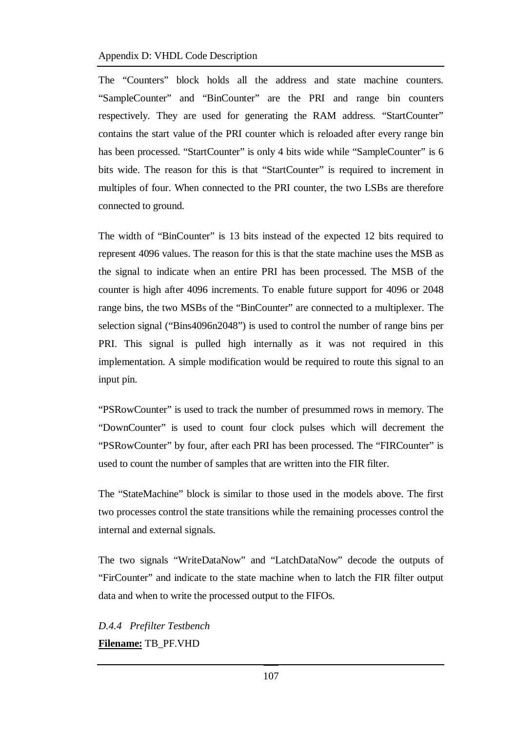#### Appendix D: VHDL Code Description

The "Counters" block holds all the address and state machine counters. "SampleCounter" and "BinCounter" are the PRI and range bin counters respectively. They are used for generating the RAM address. "StartCounter" contains the start value of the PRI counter which is reloaded after every range bin has been processed. "StartCounter" is only 4 bits wide while "SampleCounter" is 6 bits wide. The reason for this is that "StartCounter" is required to increment in multiples of four. When connected to the PRI counter, the two LSBs are therefore connected to ground.

The width of "BinCounter" is 13 bits instead of the expected 12 bits required to represent 4096 values. The reason for this is that the state machine uses the MSB as the signal to indicate when an entire PRI has been processed. The MSB of the counter is high after 4096 increments. To enable future support for 4096 or 2048 range bins, the two MSBs of the "BinCounter" are connected to a multiplexer. The selection signal ("Bins4096n2048") is used to control the number of range bins per PRI. This signal is pulled high internally as it was not required in this implementation. A simple modification would be required to route this signal to an input pin.

"PSRowCounter" is used to track the number of presummed rows in memory. The "DownCounter" is used to count four clock pulses which will decrement the "PSRowCounter" by four, after each PRI has been processed. The "FIRCounter" is used to count the number of samples that are written into the FIR filter.

The "StateMachine" block is similar to those used in the models above. The first two processes control the state transitions while the remaining processes control the internal and external signals.

The two signals "WriteDataNow" and "LatchDataNow" decode the outputs of "FirCounter" and indicate to the state machine when to latch the FIR filter output data and when to write the processed output to the FIFOs.

*D.4.4 Prefilter Testbench* **Filename:** TB\_PF.VHD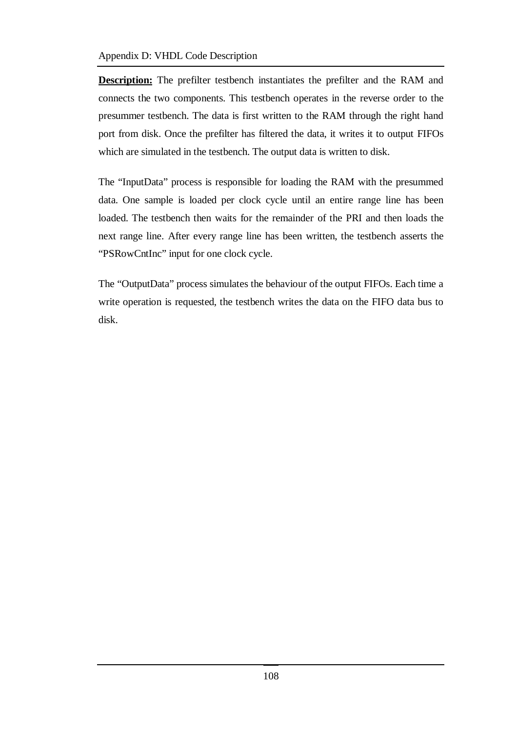**Description:** The prefilter testbench instantiates the prefilter and the RAM and connects the two components. This testbench operates in the reverse order to the presummer testbench. The data is first written to the RAM through the right hand port from disk. Once the prefilter has filtered the data, it writes it to output FIFOs which are simulated in the testbench. The output data is written to disk.

The "InputData" process is responsible for loading the RAM with the presummed data. One sample is loaded per clock cycle until an entire range line has been loaded. The testbench then waits for the remainder of the PRI and then loads the next range line. After every range line has been written, the testbench asserts the "PSRowCntInc" input for one clock cycle.

The "OutputData" process simulates the behaviour of the output FIFOs. Each time a write operation is requested, the testbench writes the data on the FIFO data bus to disk.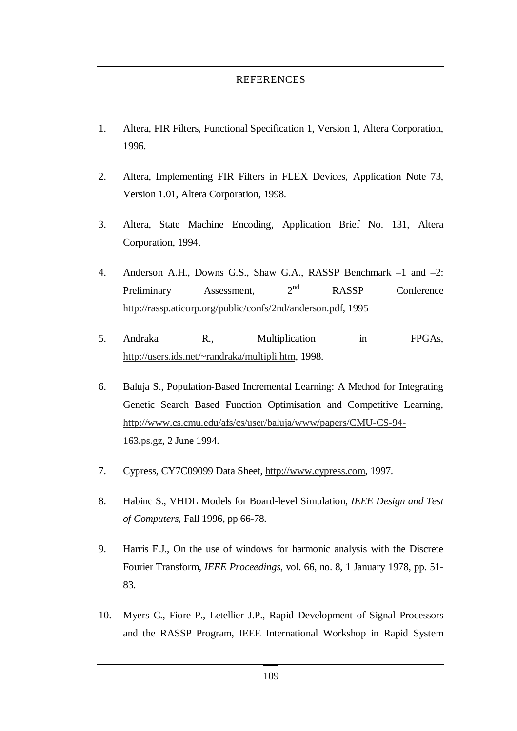#### REFERENCES

- 1. Altera, FIR Filters, Functional Specification 1, Version 1, Altera Corporation, 1996.
- 2. Altera, Implementing FIR Filters in FLEX Devices, Application Note 73, Version 1.01, Altera Corporation, 1998.
- 3. Altera, State Machine Encoding, Application Brief No. 131, Altera Corporation, 1994.
- 4. Anderson A.H., Downs G.S., Shaw G.A., RASSP Benchmark –1 and –2: Preliminary Assessment,  $2<sup>nd</sup>$ RASSP Conference http://rassp.aticorp.org/public/confs/2nd/anderson.pdf, 1995
- 5. Andraka R., Multiplication in FPGAs, http://users.ids.net/~randraka/multipli.htm, 1998.
- 6. Baluja S., Population-Based Incremental Learning: A Method for Integrating Genetic Search Based Function Optimisation and Competitive Learning, http://www.cs.cmu.edu/afs/cs/user/baluja/www/papers/CMU-CS-94- 163.ps.gz, 2 June 1994.
- 7. Cypress, CY7C09099 Data Sheet, http://www.cypress.com, 1997.
- 8. Habinc S., VHDL Models for Board-level Simulation, *IEEE Design and Test of Computers*, Fall 1996, pp 66-78.
- 9. Harris F.J., On the use of windows for harmonic analysis with the Discrete Fourier Transform, *IEEE Proceedings*, vol. 66, no. 8, 1 January 1978, pp. 51- 83.
- 10. Myers C., Fiore P., Letellier J.P., Rapid Development of Signal Processors and the RASSP Program, IEEE International Workshop in Rapid System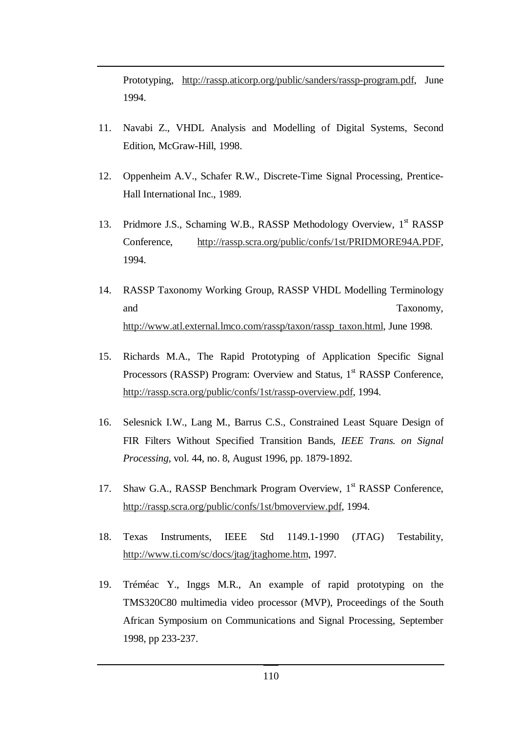Prototyping, http://rassp.aticorp.org/public/sanders/rassp-program.pdf, June 1994.

- 11. Navabi Z., VHDL Analysis and Modelling of Digital Systems, Second Edition, McGraw-Hill, 1998.
- 12. Oppenheim A.V., Schafer R.W., Discrete-Time Signal Processing, Prentice-Hall International Inc., 1989.
- 13. Pridmore J.S., Schaming W.B., RASSP Methodology Overview, 1st RASSP Conference, http://rassp.scra.org/public/confs/1st/PRIDMORE94A.PDF, 1994.
- 14. RASSP Taxonomy Working Group, RASSP VHDL Modelling Terminology and Taxonomy, http://www.atl.external.lmco.com/rassp/taxon/rassp\_taxon.html, June 1998.
- 15. Richards M.A., The Rapid Prototyping of Application Specific Signal Processors (RASSP) Program: Overview and Status, 1<sup>st</sup> RASSP Conference, http://rassp.scra.org/public/confs/1st/rassp-overview.pdf, 1994.
- 16. Selesnick I.W., Lang M., Barrus C.S., Constrained Least Square Design of FIR Filters Without Specified Transition Bands, *IEEE Trans. on Signal Processing*, vol. 44, no. 8, August 1996, pp. 1879-1892.
- 17. Shaw G.A., RASSP Benchmark Program Overview, 1<sup>st</sup> RASSP Conference, http://rassp.scra.org/public/confs/1st/bmoverview.pdf, 1994.
- 18. Texas Instruments, IEEE Std 1149.1-1990 (JTAG) Testability, http://www.ti.com/sc/docs/jtag/jtaghome.htm, 1997.
- 19. Tréméac Y., Inggs M.R., An example of rapid prototyping on the TMS320C80 multimedia video processor (MVP), Proceedings of the South African Symposium on Communications and Signal Processing, September 1998, pp 233-237.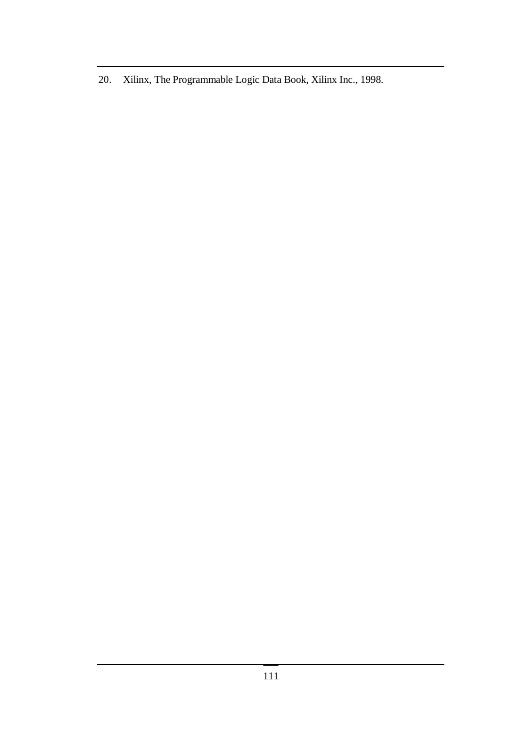20. Xilinx, The Programmable Logic Data Book, Xilinx Inc., 1998.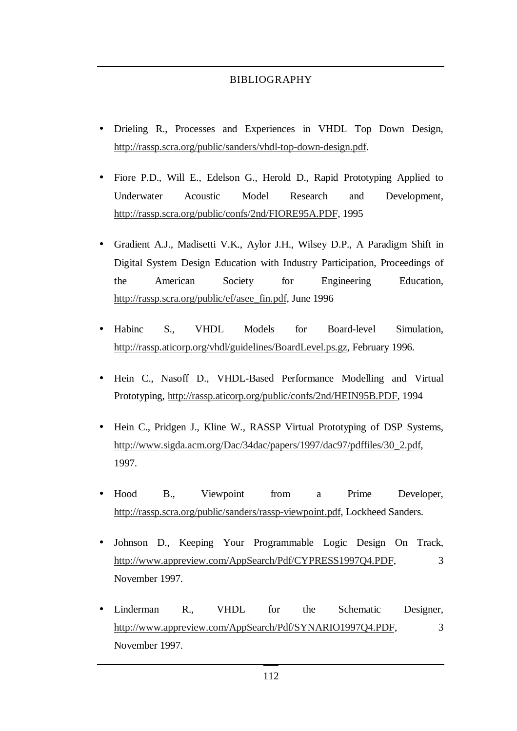#### BIBLIOGRAPHY

- Drieling R., Processes and Experiences in VHDL Top Down Design, http://rassp.scra.org/public/sanders/vhdl-top-down-design.pdf.
- Fiore P.D., Will E., Edelson G., Herold D., Rapid Prototyping Applied to Underwater Acoustic Model Research and Development, http://rassp.scra.org/public/confs/2nd/FIORE95A.PDF, 1995
- Gradient A.J., Madisetti V.K., Aylor J.H., Wilsey D.P., A Paradigm Shift in Digital System Design Education with Industry Participation, Proceedings of the American Society for Engineering Education, http://rassp.scra.org/public/ef/asee\_fin.pdf, June 1996
- Habinc S., VHDL Models for Board-level Simulation, http://rassp.aticorp.org/vhdl/guidelines/BoardLevel.ps.gz, February 1996.
- Hein C., Nasoff D., VHDL-Based Performance Modelling and Virtual Prototyping, http://rassp.aticorp.org/public/confs/2nd/HEIN95B.PDF, 1994
- Hein C., Pridgen J., Kline W., RASSP Virtual Prototyping of DSP Systems, http://www.sigda.acm.org/Dac/34dac/papers/1997/dac97/pdffiles/30\_2.pdf, 1997.
- Hood B., Viewpoint from a Prime Developer, http://rassp.scra.org/public/sanders/rassp-viewpoint.pdf, Lockheed Sanders.
- Johnson D., Keeping Your Programmable Logic Design On Track, http://www.appreview.com/AppSearch/Pdf/CYPRESS1997Q4.PDF, 3 November 1997.
- Linderman R., VHDL for the Schematic Designer, http://www.appreview.com/AppSearch/Pdf/SYNARIO1997Q4.PDF, 3 November 1997.